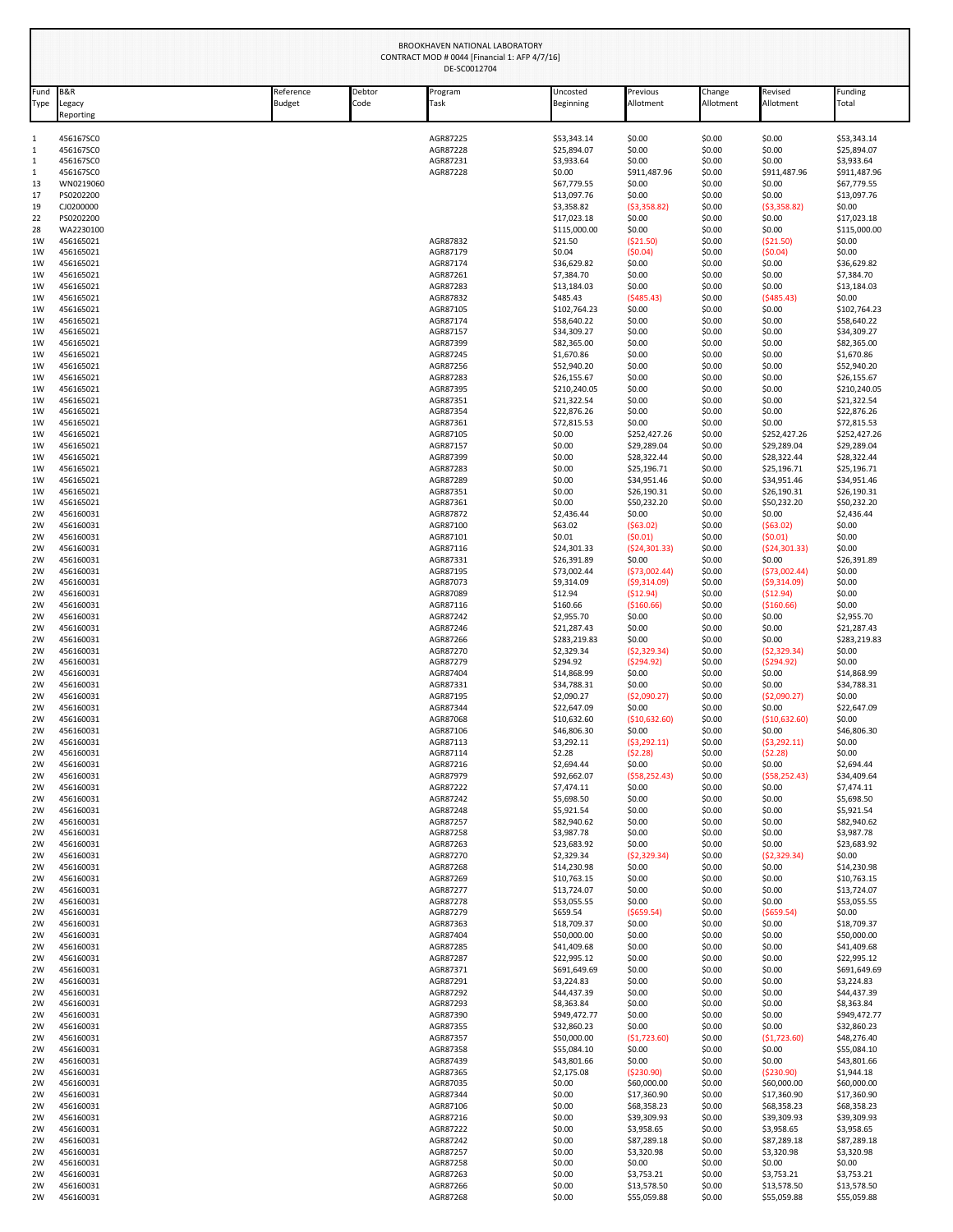|                             | <b>BROOKHAVEN NATIONAL LABORATORY</b><br>CONTRACT MOD # 0044 [Financial 1: AFP 4/7/16]<br>DE-SC0012704 |                            |                |                      |                             |                            |                     |                            |                             |  |  |
|-----------------------------|--------------------------------------------------------------------------------------------------------|----------------------------|----------------|----------------------|-----------------------------|----------------------------|---------------------|----------------------------|-----------------------------|--|--|
| Fund<br>Type                | <b>B&amp;R</b><br>Legacy<br>Reporting                                                                  | Reference<br><b>Budget</b> | Debtor<br>Code | Program<br>Task      | Uncosted<br>Beginning       | Previous<br>Allotment      | Change<br>Allotment | Revised<br>Allotment       | Funding<br>Total            |  |  |
| 1                           | 456167SC0                                                                                              |                            |                | AGR87225             | \$53,343.14                 | \$0.00                     | \$0.00              | \$0.00                     | \$53,343.14                 |  |  |
| $\mathbf 1$                 | 456167SC0                                                                                              |                            |                | AGR87228             | \$25,894.07                 | \$0.00                     | \$0.00              | \$0.00                     | \$25,894.07                 |  |  |
| $\mathbf 1$<br>$\mathbf{1}$ | 456167SC0                                                                                              |                            |                | AGR87231             | \$3,933.64<br>\$0.00        | \$0.00                     | \$0.00              | \$0.00                     | \$3,933.64                  |  |  |
| 13                          | 456167SC0<br>WN0219060                                                                                 |                            |                | AGR87228             | \$67,779.55                 | \$911,487.96<br>\$0.00     | \$0.00<br>\$0.00    | \$911,487.96<br>\$0.00     | \$911,487.96<br>\$67,779.55 |  |  |
| 17                          | PS0202200                                                                                              |                            |                |                      | \$13,097.76                 | \$0.00                     | \$0.00              | \$0.00                     | \$13,097.76                 |  |  |
| 19<br>22                    | CJ0200000<br>PS0202200                                                                                 |                            |                |                      | \$3.358.82<br>\$17,023.18   | (53,358.82)<br>\$0.00      | \$0.00<br>\$0.00    | ( \$3,358.82)<br>\$0.00    | \$0.00<br>\$17,023.18       |  |  |
| 28                          | WA2230100                                                                                              |                            |                |                      | \$115,000.00                | \$0.00                     | \$0.00              | \$0.00                     | \$115,000.00                |  |  |
| 1W<br>1W                    | 456165021<br>456165021                                                                                 |                            |                | AGR87832<br>AGR87179 | \$21.50<br>\$0.04           | ( \$21.50)<br>(50.04)      | \$0.00<br>\$0.00    | ( \$21.50)<br>(50.04)      | \$0.00<br>\$0.00            |  |  |
| 1W                          | 456165021                                                                                              |                            |                | AGR87174             | \$36,629.82                 | \$0.00                     | \$0.00              | \$0.00                     | \$36,629.82                 |  |  |
| 1W                          | 456165021                                                                                              |                            |                | AGR87261             | \$7,384.70                  | \$0.00                     | \$0.00              | \$0.00                     | \$7,384.70                  |  |  |
| 1W<br>1W                    | 456165021<br>456165021                                                                                 |                            |                | AGR87283<br>AGR87832 | \$13,184.03<br>\$485.43     | \$0.00<br>(5485.43)        | \$0.00<br>\$0.00    | \$0.00<br>(5485.43)        | \$13,184.03<br>\$0.00       |  |  |
| 1W                          | 456165021                                                                                              |                            |                | AGR87105             | \$102,764.23                | \$0.00                     | \$0.00              | \$0.00                     | \$102,764.23                |  |  |
| 1W<br>1W                    | 456165021<br>456165021                                                                                 |                            |                | AGR87174<br>AGR87157 | \$58,640.22<br>\$34,309.27  | \$0.00<br>\$0.00           | \$0.00<br>\$0.00    | \$0.00<br>\$0.00           | \$58,640.22<br>\$34,309.27  |  |  |
| 1W                          | 456165021                                                                                              |                            |                | AGR87399             | \$82,365.00                 | \$0.00                     | \$0.00              | \$0.00                     | \$82,365.00                 |  |  |
| 1W                          | 456165021                                                                                              |                            |                | AGR87245             | \$1,670.86                  | \$0.00                     | \$0.00              | \$0.00                     | \$1,670.86                  |  |  |
| 1W<br>1W                    | 456165021<br>456165021                                                                                 |                            |                | AGR87256<br>AGR87283 | \$52,940.20<br>\$26,155.67  | \$0.00<br>\$0.00           | \$0.00<br>\$0.00    | \$0.00<br>\$0.00           | \$52,940.20<br>\$26,155.67  |  |  |
| 1W                          | 456165021                                                                                              |                            |                | AGR87395             | \$210,240.05                | \$0.00                     | \$0.00              | \$0.00                     | \$210,240.05                |  |  |
| 1W<br>1W                    | 456165021<br>456165021                                                                                 |                            |                | AGR87351<br>AGR87354 | \$21,322.54<br>\$22,876.26  | \$0.00<br>\$0.00           | \$0.00<br>\$0.00    | \$0.00<br>\$0.00           | \$21,322.54<br>\$22,876.26  |  |  |
| 1W                          | 456165021                                                                                              |                            |                | AGR87361             | \$72,815.53                 | \$0.00                     | \$0.00              | \$0.00                     | \$72,815.53                 |  |  |
| 1W                          | 456165021                                                                                              |                            |                | AGR87105             | \$0.00                      | \$252,427.26               | \$0.00              | \$252,427.26               | \$252,427.26                |  |  |
| 1W<br>1 <sub>W</sub>        | 456165021<br>456165021                                                                                 |                            |                | AGR87157<br>AGR87399 | \$0.00<br>\$0.00            | \$29,289.04<br>\$28,322.44 | \$0.00<br>\$0.00    | \$29,289.04<br>\$28,322.44 | \$29,289.04<br>\$28,322.44  |  |  |
| 1W                          | 456165021                                                                                              |                            |                | AGR87283             | \$0.00                      | \$25,196.71                | \$0.00              | \$25,196.71                | \$25,196.71                 |  |  |
| 1W<br>1W                    | 456165021<br>456165021                                                                                 |                            |                | AGR87289<br>AGR87351 | \$0.00<br>\$0.00            | \$34,951.46<br>\$26,190.31 | \$0.00<br>\$0.00    | \$34,951.46<br>\$26,190.31 | \$34,951.46<br>\$26,190.31  |  |  |
| 1W                          | 456165021                                                                                              |                            |                | AGR87361             | \$0.00                      | \$50,232.20                | \$0.00              | \$50,232.20                | \$50,232.20                 |  |  |
| 2W                          | 456160031                                                                                              |                            |                | AGR87872             | \$2,436.44                  | \$0.00                     | \$0.00              | \$0.00                     | \$2,436.44                  |  |  |
| 2W<br>2W                    | 456160031<br>456160031                                                                                 |                            |                | AGR87100<br>AGR87101 | \$63.02<br>\$0.01           | (563.02)<br>(50.01)        | \$0.00<br>\$0.00    | ( \$63.02)<br>(50.01)      | \$0.00<br>\$0.00            |  |  |
| 2W                          | 456160031                                                                                              |                            |                | AGR87116             | \$24,301.33                 | (524, 301.33)              | \$0.00              | (524, 301.33)              | \$0.00                      |  |  |
| 2W<br>2W                    | 456160031<br>456160031                                                                                 |                            |                | AGR87331<br>AGR87195 | \$26,391.89<br>\$73,002.44  | \$0.00<br>(573,002.44)     | \$0.00<br>\$0.00    | \$0.00<br>(573,002.44)     | \$26,391.89<br>\$0.00       |  |  |
| 2W                          | 456160031                                                                                              |                            |                | AGR87073             | \$9,314.09                  | (59,314.09)                | \$0.00              | (59,314.09)                | \$0.00                      |  |  |
| 2W                          | 456160031                                                                                              |                            |                | AGR87089             | \$12.94                     | (\$12.94)                  | \$0.00              | (\$12.94)                  | \$0.00                      |  |  |
| 2W<br>2W                    | 456160031<br>456160031                                                                                 |                            |                | AGR87116<br>AGR87242 | \$160.66<br>\$2,955.70      | ( \$160.66)<br>\$0.00      | \$0.00<br>\$0.00    | (\$160.66)<br>\$0.00       | \$0.00<br>\$2,955.70        |  |  |
| 2W                          | 456160031                                                                                              |                            |                | AGR87246             | \$21,287.43                 | \$0.00                     | \$0.00              | \$0.00                     | \$21,287.43                 |  |  |
| 2W<br>2W                    | 456160031<br>456160031                                                                                 |                            |                | AGR87266<br>AGR87270 | \$283,219.83<br>\$2,329.34  | \$0.00<br>(52, 329.34)     | \$0.00<br>\$0.00    | \$0.00<br>(52, 329.34)     | \$283,219.83<br>\$0.00      |  |  |
| 2 <sub>W</sub>              | 456160031                                                                                              |                            |                | AGR87279             | \$294.92                    | (5294.92)                  | \$0.00              | (5294.92)                  | \$0.00                      |  |  |
| 2W                          | 456160031                                                                                              |                            |                | AGR87404             | \$14,868.99                 | \$0.00                     | \$0.00              | \$0.00                     | \$14,868.99                 |  |  |
| 2W<br>2W                    | 456160031<br>456160031                                                                                 |                            |                | AGR87331<br>AGR87195 | \$34,788.31<br>\$2,090.27   | \$0.00<br>( \$2,090.27)    | \$0.00<br>\$0.00    | \$0.00<br>( \$2,090.27)    | \$34,788.31<br>\$0.00       |  |  |
| 2W                          | 456160031                                                                                              |                            |                | AGR87344             | \$22,647.09                 | \$0.00                     | \$0.00              | \$0.00                     | \$22,647.09                 |  |  |
| 2W<br>2W                    | 456160031<br>456160031                                                                                 |                            |                | AGR87068<br>AGR87106 | \$10,632.60<br>\$46,806.30  | (\$10,632.60)<br>\$0.00    | \$0.00<br>\$0.00    | ( \$10,632.60)<br>\$0.00   | \$0.00<br>\$46,806.30       |  |  |
| 2W                          | 456160031                                                                                              |                            |                | AGR87113             | \$3,292.11                  | ( \$3,292.11)              | \$0.00              | (53, 292.11)               | \$0.00                      |  |  |
| 2W                          | 456160031                                                                                              |                            |                | AGR87114             | \$2.28                      | (52.28)                    | \$0.00              | (52.28)                    | \$0.00                      |  |  |
| 2W<br>2W                    | 456160031<br>456160031                                                                                 |                            |                | AGR87216<br>AGR87979 | \$2,694.44<br>\$92,662.07   | \$0.00<br>(558, 252.43)    | \$0.00<br>\$0.00    | \$0.00<br>( \$58, 252.43)  | \$2,694.44<br>\$34,409.64   |  |  |
| 2W                          | 456160031                                                                                              |                            |                | AGR87222             | \$7,474.11                  | \$0.00                     | \$0.00              | \$0.00                     | \$7,474.11                  |  |  |
| 2W<br>2W                    | 456160031<br>456160031                                                                                 |                            |                | AGR87242<br>AGR87248 | \$5,698.50<br>\$5,921.54    | \$0.00<br>\$0.00           | \$0.00<br>\$0.00    | \$0.00<br>\$0.00           | \$5,698.50<br>\$5,921.54    |  |  |
| 2W                          | 456160031                                                                                              |                            |                | AGR87257             | \$82,940.62                 | \$0.00                     | \$0.00              | \$0.00                     | \$82,940.62                 |  |  |
| 2W<br>2W                    | 456160031                                                                                              |                            |                | AGR87258             | \$3,987.78                  | \$0.00                     | \$0.00<br>\$0.00    | \$0.00<br>\$0.00           | \$3,987.78                  |  |  |
| 2W                          | 456160031<br>456160031                                                                                 |                            |                | AGR87263<br>AGR87270 | \$23,683.92<br>\$2,329.34   | \$0.00<br>(52, 329.34)     | \$0.00              | (52, 329.34)               | \$23,683.92<br>\$0.00       |  |  |
| 2W                          | 456160031                                                                                              |                            |                | AGR87268             | \$14,230.98                 | \$0.00                     | \$0.00              | \$0.00                     | \$14,230.98                 |  |  |
| 2W<br>2W                    | 456160031<br>456160031                                                                                 |                            |                | AGR87269<br>AGR87277 | \$10,763.15<br>\$13,724.07  | \$0.00<br>\$0.00           | \$0.00<br>\$0.00    | \$0.00<br>\$0.00           | \$10,763.15<br>\$13,724.07  |  |  |
| 2W                          | 456160031                                                                                              |                            |                | AGR87278             | \$53,055.55                 | \$0.00                     | \$0.00              | \$0.00                     | \$53,055.55                 |  |  |
| 2W<br>2W                    | 456160031<br>456160031                                                                                 |                            |                | AGR87279<br>AGR87363 | \$659.54<br>\$18,709.37     | ( \$659.54)<br>\$0.00      | \$0.00<br>\$0.00    | ( \$659.54)<br>\$0.00      | \$0.00<br>\$18,709.37       |  |  |
| 2W                          | 456160031                                                                                              |                            |                | AGR87404             | \$50,000.00                 | \$0.00                     | \$0.00              | \$0.00                     | \$50,000.00                 |  |  |
| 2W                          | 456160031                                                                                              |                            |                | AGR87285             | \$41,409.68                 | \$0.00                     | \$0.00              | \$0.00                     | \$41,409.68                 |  |  |
| 2W<br>2W                    | 456160031<br>456160031                                                                                 |                            |                | AGR87287<br>AGR87371 | \$22,995.12<br>\$691,649.69 | \$0.00<br>\$0.00           | \$0.00<br>\$0.00    | \$0.00<br>\$0.00           | \$22,995.12<br>\$691,649.69 |  |  |
| 2W                          | 456160031                                                                                              |                            |                | AGR87291             | \$3,224.83                  | \$0.00                     | \$0.00              | \$0.00                     | \$3,224.83                  |  |  |
| 2W                          | 456160031                                                                                              |                            |                | AGR87292             | \$44,437.39                 | \$0.00                     | \$0.00              | \$0.00                     | \$44,437.39                 |  |  |
| 2W<br>2W                    | 456160031<br>456160031                                                                                 |                            |                | AGR87293<br>AGR87390 | \$8,363.84<br>\$949,472.77  | \$0.00<br>\$0.00           | \$0.00<br>\$0.00    | \$0.00<br>\$0.00           | \$8,363.84<br>\$949,472.77  |  |  |
| 2W                          | 456160031                                                                                              |                            |                | AGR87355             | \$32,860.23                 | \$0.00                     | \$0.00              | \$0.00                     | \$32,860.23                 |  |  |
| 2W<br>2W                    | 456160031                                                                                              |                            |                | AGR87357             | \$50,000.00                 | (\$1,723.60)               | \$0.00              | (\$1,723.60)               | \$48,276.40                 |  |  |
| 2W                          | 456160031<br>456160031                                                                                 |                            |                | AGR87358<br>AGR87439 | \$55,084.10<br>\$43,801.66  | \$0.00<br>\$0.00           | \$0.00<br>\$0.00    | \$0.00<br>\$0.00           | \$55,084.10<br>\$43,801.66  |  |  |
| 2W                          | 456160031                                                                                              |                            |                | AGR87365             | \$2,175.08                  | ( \$230.90)                | \$0.00              | ( \$230.90)                | \$1,944.18                  |  |  |
| 2W<br>2W                    | 456160031<br>456160031                                                                                 |                            |                | AGR87035<br>AGR87344 | \$0.00<br>\$0.00            | \$60,000.00<br>\$17,360.90 | \$0.00<br>\$0.00    | \$60,000.00<br>\$17,360.90 | \$60,000.00<br>\$17,360.90  |  |  |
| 2W                          | 456160031                                                                                              |                            |                | AGR87106             | \$0.00                      | \$68,358.23                | \$0.00              | \$68,358.23                | \$68,358.23                 |  |  |
| 2W                          | 456160031                                                                                              |                            |                | AGR87216             | \$0.00                      | \$39,309.93                | \$0.00              | \$39,309.93                | \$39,309.93                 |  |  |
| 2W<br>2W                    | 456160031<br>456160031                                                                                 |                            |                | AGR87222<br>AGR87242 | \$0.00<br>\$0.00            | \$3,958.65<br>\$87,289.18  | \$0.00<br>\$0.00    | \$3,958.65<br>\$87,289.18  | \$3,958.65<br>\$87,289.18   |  |  |
| 2W                          | 456160031                                                                                              |                            |                | AGR87257             | \$0.00                      | \$3,320.98                 | \$0.00              | \$3,320.98                 | \$3,320.98                  |  |  |
| 2W                          | 456160031                                                                                              |                            |                | AGR87258             | \$0.00                      | \$0.00                     | \$0.00              | \$0.00                     | \$0.00                      |  |  |
| 2W<br>2W                    | 456160031<br>456160031                                                                                 |                            |                | AGR87263<br>AGR87266 | \$0.00<br>\$0.00            | \$3,753.21<br>\$13,578.50  | \$0.00<br>\$0.00    | \$3,753.21<br>\$13,578.50  | \$3,753.21<br>\$13,578.50   |  |  |
| 2W                          | 456160031                                                                                              |                            |                | AGR87268             | \$0.00                      | \$55,059.88                | \$0.00              | \$55,059.88                | \$55,059.88                 |  |  |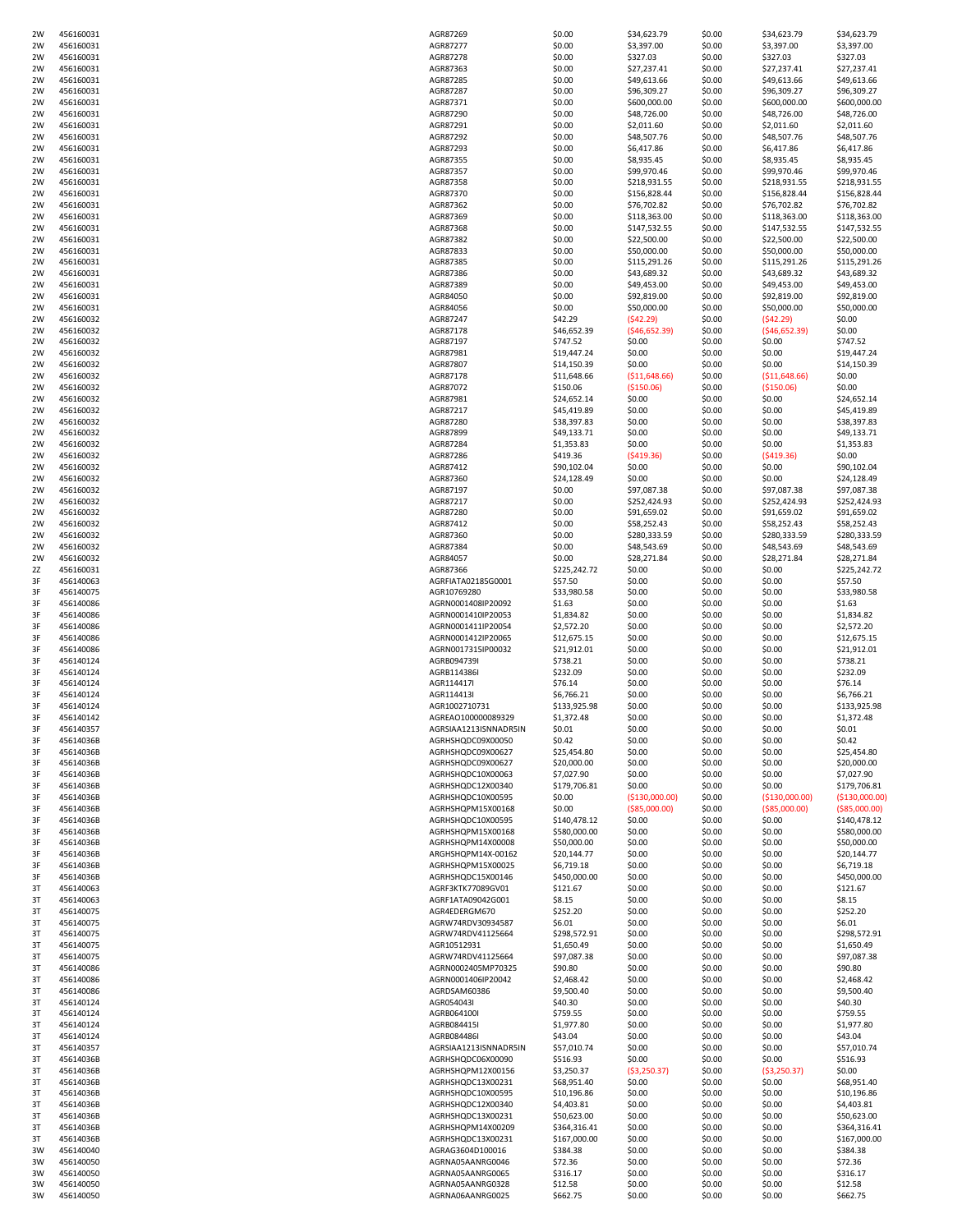| 2W       | 456160031              | AGR87269                             | \$0.00              | \$34,623.79      | \$0.00           | \$34,623.79      | \$34,623.79         |
|----------|------------------------|--------------------------------------|---------------------|------------------|------------------|------------------|---------------------|
| 2W       | 456160031              | AGR87277                             | \$0.00              | \$3,397.00       | \$0.00           | \$3,397.00       | \$3,397.00          |
| 2W       | 456160031              | AGR87278                             | \$0.00              | \$327.03         | \$0.00           | \$327.03         | \$327.03            |
| 2W       | 456160031              | AGR87363                             | \$0.00              | \$27,237.41      | \$0.00           | \$27,237.41      | \$27,237.41         |
| 2W       | 456160031              | AGR87285                             | \$0.00              | \$49,613.66      | \$0.00           | \$49,613.66      | \$49,613.66         |
| 2W       | 456160031              | AGR87287                             | \$0.00              | \$96,309.27      | \$0.00           | \$96,309.27      | \$96,309.27         |
| 2W       | 456160031              | AGR87371                             | \$0.00              | \$600,000.00     | \$0.00           | \$600,000.00     | \$600,000.00        |
| 2W       | 456160031              | AGR87290                             | \$0.00              | \$48,726.00      | \$0.00           | \$48,726.00      | \$48,726.00         |
|          |                        |                                      |                     |                  |                  |                  |                     |
| 2W       | 456160031              | AGR87291                             | \$0.00              | \$2,011.60       | \$0.00           | \$2,011.60       | \$2,011.60          |
| 2W       | 456160031              | AGR87292                             | \$0.00              | \$48,507.76      | \$0.00           | \$48,507.76      | \$48,507.76         |
| 2W       | 456160031              | AGR87293                             | \$0.00              | \$6,417.86       | \$0.00           | \$6,417.86       | \$6,417.86          |
| 2W       | 456160031              | AGR87355                             | \$0.00              | \$8,935.45       | \$0.00           | \$8,935.45       | \$8,935.45          |
| 2W       | 456160031              | AGR87357                             | \$0.00              | \$99,970.46      | \$0.00           | \$99,970.46      | \$99,970.46         |
| 2W       | 456160031              | AGR87358                             | \$0.00              | \$218,931.55     | \$0.00           | \$218,931.55     | \$218,931.55        |
| 2W       | 456160031              | AGR87370                             | \$0.00              | \$156,828.44     | \$0.00           | \$156,828.44     | \$156,828.44        |
| 2W       | 456160031              | AGR87362                             | \$0.00              | \$76,702.82      | \$0.00           | \$76,702.82      | \$76,702.82         |
| 2W       | 456160031              | AGR87369                             | \$0.00              | \$118,363.00     | \$0.00           | \$118,363.00     | \$118,363.00        |
| 2W       |                        | AGR87368                             | \$0.00              | \$147,532.55     |                  | \$147,532.55     | \$147,532.55        |
|          | 456160031              |                                      |                     |                  | \$0.00           |                  |                     |
| 2W       | 456160031              | AGR87382                             | \$0.00              | \$22,500.00      | \$0.00           | \$22,500.00      | \$22,500.00         |
| 2W       | 456160031              | AGR87833                             | \$0.00              | \$50,000.00      | \$0.00           | \$50,000.00      | \$50,000.00         |
| 2W       | 456160031              | AGR87385                             | \$0.00              | \$115,291.26     | \$0.00           | \$115,291.26     | \$115,291.26        |
| 2W       | 456160031              | AGR87386                             | \$0.00              | \$43,689.32      | \$0.00           | \$43,689.32      | \$43,689.32         |
| 2W       | 456160031              | AGR87389                             | \$0.00              | \$49,453.00      | \$0.00           | \$49,453.00      | \$49,453.00         |
| 2W       | 456160031              | AGR84050                             | \$0.00              | \$92,819.00      | \$0.00           | \$92,819.00      | \$92,819.00         |
| 2W       | 456160031              | AGR84056                             | \$0.00              | \$50,000.00      | \$0.00           | \$50,000.00      | \$50,000.00         |
| 2W       | 456160032              | AGR87247                             | \$42.29             | (542.29)         | \$0.00           | (542.29)         | \$0.00              |
| 2W       | 456160032              | AGR87178                             | \$46,652.39         | (546, 652.39)    | \$0.00           | ( \$46,652.39)   | \$0.00              |
|          |                        |                                      |                     |                  |                  |                  |                     |
| 2W       | 456160032              | AGR87197                             | \$747.52            | \$0.00           | \$0.00           | \$0.00           | \$747.52            |
| 2W       | 456160032              | AGR87981                             | \$19,447.24         | \$0.00           | \$0.00           | \$0.00           | \$19,447.24         |
| 2W       | 456160032              | AGR87807                             | \$14,150.39         | \$0.00           | \$0.00           | \$0.00           | \$14,150.39         |
| 2W       | 456160032              | AGR87178                             | \$11,648.66         | ( \$11,648.66)   | \$0.00           | ( \$11,648.66)   | \$0.00              |
| 2W       | 456160032              | AGR87072                             | \$150.06            | (\$150.06)       | \$0.00           | ( \$150.06)      | \$0.00              |
| 2W       | 456160032              | AGR87981                             | \$24,652.14         | \$0.00           | \$0.00           | \$0.00           | \$24,652.14         |
| 2W       | 456160032              | AGR87217                             | \$45,419.89         | \$0.00           | \$0.00           | \$0.00           | \$45,419.89         |
| 2W       | 456160032              | AGR87280                             | \$38,397.83         | \$0.00           | \$0.00           | \$0.00           | \$38,397.83         |
| 2W       | 456160032              | AGR87899                             | \$49,133.71         | \$0.00           | \$0.00           | \$0.00           | \$49,133.71         |
| 2W       | 456160032              | AGR87284                             | \$1,353.83          | \$0.00           | \$0.00           | \$0.00           | \$1,353.83          |
|          |                        |                                      |                     |                  |                  |                  |                     |
| 2W       | 456160032              | AGR87286                             | \$419.36            | ( \$419.36)      | \$0.00           | ( \$419.36]      | \$0.00              |
| 2W       | 456160032              | AGR87412                             | \$90,102.04         | \$0.00           | \$0.00           | \$0.00           | \$90,102.04         |
| 2W       | 456160032              | AGR87360                             | \$24,128.49         | \$0.00           | \$0.00           | \$0.00           | \$24,128.49         |
| 2W       | 456160032              | AGR87197                             | \$0.00              | \$97,087.38      | \$0.00           | \$97,087.38      | \$97,087.38         |
| 2W       | 456160032              | AGR87217                             | \$0.00              | \$252,424.93     | \$0.00           | \$252,424.93     | \$252,424.93        |
| 2W       | 456160032              | AGR87280                             | \$0.00              | \$91,659.02      | \$0.00           | \$91,659.02      | \$91,659.02         |
| 2W       | 456160032              | AGR87412                             | \$0.00              | \$58,252.43      | \$0.00           | \$58,252.43      | \$58,252.43         |
| 2W       | 456160032              | AGR87360                             | \$0.00              | \$280,333.59     | \$0.00           | \$280,333.59     | \$280,333.59        |
| 2W       | 456160032              | AGR87384                             | \$0.00              | \$48,543.69      | \$0.00           | \$48,543.69      | \$48,543.69         |
| 2W       | 456160032              | AGR84057                             | \$0.00              | \$28,271.84      | \$0.00           | \$28,271.84      | \$28,271.84         |
|          |                        |                                      |                     |                  |                  |                  |                     |
| 2Z       | 456160031              | AGR87366                             | \$225,242.72        | \$0.00           | \$0.00           | \$0.00           | \$225,242.72        |
| 3F       | 456140063              | AGRFIATA02185G0001                   | \$57.50             | \$0.00           | \$0.00           | \$0.00           | \$57.50             |
| 3F       | 456140075              | AGR10769280                          | \$33,980.58         | \$0.00           | \$0.00           | \$0.00           | \$33,980.58         |
| 3F       | 456140086              | AGRN0001408lP20092                   | \$1.63              | \$0.00           | \$0.00           | \$0.00           | \$1.63              |
|          | 456140086              | AGRN0001410IP20053                   | \$1,834.82          | \$0.00           | \$0.00           | \$0.00           | \$1,834.82          |
| 3F       |                        |                                      |                     |                  |                  |                  |                     |
| 3F       | 456140086              | AGRN0001411IP20054                   | \$2,572.20          | \$0.00           | \$0.00           | \$0.00           | \$2,572.20          |
|          |                        |                                      |                     |                  |                  |                  |                     |
| 3F       | 456140086              | AGRN0001412IP20065                   | \$12,675.15         | \$0.00           | \$0.00           | \$0.00           | \$12,675.15         |
| 3F       | 456140086              | AGRN0017315IP00032                   | \$21,912.01         | \$0.00           | \$0.00           | \$0.00           | \$21,912.01         |
| 3F       | 456140124              | AGRB094739I                          | \$738.21            | \$0.00           | \$0.00           | \$0.00           | \$738.21            |
| 3F       | 456140124              | AGRB114386I                          | \$232.09            | \$0.00           | \$0.00           | \$0.00           | \$232.09            |
| 3F       | 456140124              | AGR114417                            | \$76.14             | \$0.00           | \$0.00           | \$0.00           | \$76.14             |
| 3F       | 456140124              | AGR114413                            | \$6,766.21          | \$0.00           | \$0.00           | \$0.00           | \$6,766.21          |
| 3F       | 456140124              | AGR1002710731                        | \$133,925.98        | \$0.00           | \$0.00           | \$0.00           | \$133,925.98        |
| 3F       | 456140142              | AGREAO100000089329                   | \$1,372.48          | \$0.00           | \$0.00           | \$0.00           | \$1,372.48          |
| 3F       | 456140357              | AGRSIAA1213ISNNADR5IN                | \$0.01              | \$0.00           | \$0.00           | \$0.00           | \$0.01              |
| 3F       | 45614036B              | AGRHSHQDC09X00050                    | \$0.42              | \$0.00           | \$0.00           | \$0.00           | \$0.42              |
| 3F       |                        |                                      |                     |                  |                  |                  |                     |
|          | 45614036B              | AGRHSHQDC09X00627                    | \$25,454.80         | \$0.00           | \$0.00           | \$0.00           | \$25,454.80         |
| 3F       | 45614036B              | AGRHSHQDC09X00627                    | \$20,000.00         | \$0.00           | \$0.00           | \$0.00           | \$20,000.00         |
| 3F       | 45614036B              | AGRHSHQDC10X00063                    | \$7,027.90          | \$0.00           | \$0.00           | \$0.00           | \$7,027.90          |
| 3F       | 45614036B              | AGRHSHQDC12X00340                    | \$179,706.81        | \$0.00           | \$0.00           | \$0.00           | \$179,706.81        |
| 3F       | 45614036B              | AGRHSHQDC10X00595                    | \$0.00              | ( \$130,000.00)  | \$0.00           | ( \$130,000.00)  | ( \$130,000.00]     |
| 3F       | 45614036B              | AGRHSHQPM15X00168                    | \$0.00              | ( \$85,000.00)   | \$0.00           | $($ \$85,000.00) | ( \$85,000.00)      |
| 3F       | 45614036B              | AGRHSHQDC10X00595                    | \$140,478.12        | \$0.00           | \$0.00           | \$0.00           | \$140,478.12        |
| 3F       | 45614036B              | AGRHSHQPM15X00168                    | \$580,000.00        | \$0.00           | \$0.00           | \$0.00           | \$580,000.00        |
| 3F       | 45614036B              | AGRHSHQPM14X00008                    | \$50,000.00         | \$0.00           | \$0.00           | \$0.00           | \$50,000.00         |
| 3F       | 45614036B              | ARGHSHQPM14X-00162                   | \$20,144.77         | \$0.00           | \$0.00           | \$0.00           | \$20,144.77         |
| 3F       | 45614036B              | AGRHSHQPM15X00025                    | \$6,719.18          | \$0.00           | \$0.00           | \$0.00           | \$6,719.18          |
| 3F       | 45614036B              | AGRHSHQDC15X00146                    | \$450,000.00        | \$0.00           | \$0.00           | \$0.00           | \$450,000.00        |
| 3T       | 456140063              | AGRF3KTK77089GV01                    | \$121.67            | \$0.00           | \$0.00           | \$0.00           | \$121.67            |
|          |                        |                                      |                     |                  |                  |                  |                     |
| 3T       | 456140063              | AGRF1ATA09042G001                    | \$8.15              | \$0.00           | \$0.00           | \$0.00           | \$8.15              |
| 3T       | 456140075              | AGR4EDERGM670                        | \$252.20            | \$0.00           | \$0.00           | \$0.00           | \$252.20            |
| 3T       | 456140075              | AGRW74RDV30934587                    | \$6.01              | \$0.00           | \$0.00           | \$0.00           | \$6.01              |
| 3T       | 456140075              | AGRW74RDV41125664                    | \$298,572.91        | \$0.00           | \$0.00           | \$0.00           | \$298,572.91        |
| 3T       | 456140075              | AGR10512931                          | \$1,650.49          | \$0.00           | \$0.00           | \$0.00           | \$1,650.49          |
| 3T       | 456140075              | AGRW74RDV41125664                    | \$97,087.38         | \$0.00           | \$0.00           | \$0.00           | \$97,087.38         |
| 3T       | 456140086              | AGRN0002405MP70325                   | \$90.80             | \$0.00           | \$0.00           | \$0.00           | \$90.80             |
| 3T       | 456140086              | AGRN0001406IP20042                   | \$2,468.42          | \$0.00           | \$0.00           | \$0.00           | \$2,468.42          |
| 3T       | 456140086              | AGRDSAM60386                         | \$9,500.40          | \$0.00           | \$0.00           | \$0.00           | \$9,500.40          |
| 3T       | 456140124              | AGR054043                            | \$40.30             | \$0.00           | \$0.00           | \$0.00           | \$40.30             |
|          |                        |                                      |                     |                  |                  |                  |                     |
| 3T       | 456140124              | AGRB064100I                          | \$759.55            | \$0.00           | \$0.00           | \$0.00           | \$759.55            |
| 3T       | 456140124              | AGRB084415I                          | \$1,977.80          | \$0.00           | \$0.00           | \$0.00           | \$1,977.80          |
| 3T       | 456140124              | AGRB084486I                          | \$43.04             | \$0.00           | \$0.00           | \$0.00           | \$43.04             |
| 3T       | 456140357              | AGRSIAA1213ISNNADR5IN                | \$57,010.74         | \$0.00           | \$0.00           | \$0.00           | \$57,010.74         |
| 3T       | 45614036B              | AGRHSHQDC06X00090                    | \$516.93            | \$0.00           | \$0.00           | \$0.00           | \$516.93            |
| 3T       | 45614036B              | AGRHSHQPM12X00156                    | \$3,250.37          | ( \$3,250.37)    | \$0.00           | ( \$3,250.37)    | \$0.00              |
| 3T       | 45614036B              | AGRHSHQDC13X00231                    | \$68,951.40         | \$0.00           | \$0.00           | \$0.00           | \$68,951.40         |
| 3T       | 45614036B              | AGRHSHQDC10X00595                    | \$10,196.86         | \$0.00           | \$0.00           | \$0.00           | \$10,196.86         |
| 3T       | 45614036B              | AGRHSHQDC12X00340                    | \$4,403.81          | \$0.00           | \$0.00           | \$0.00           | \$4,403.81          |
| 3T       | 45614036B              | AGRHSHQDC13X00231                    | \$50,623.00         | \$0.00           | \$0.00           | \$0.00           | \$50,623.00         |
|          |                        |                                      |                     |                  |                  |                  |                     |
| 3T       | 45614036B              | AGRHSHQPM14X00209                    | \$364,316.41        | \$0.00           | \$0.00           | \$0.00           | \$364,316.41        |
| 3T       | 45614036B              | AGRHSHQDC13X00231                    | \$167,000.00        | \$0.00           | \$0.00           | \$0.00           | \$167,000.00        |
| 3W       | 456140040              | AGRAG3604D100016                     | \$384.38            | \$0.00           | \$0.00           | \$0.00           | \$384.38            |
| 3W       | 456140050              | AGRNA05AANRG0046                     | \$72.36             | \$0.00           | \$0.00           | \$0.00           | \$72.36             |
| 3W       | 456140050              | AGRNA05AANRG0065                     | \$316.17            | \$0.00           | \$0.00           | \$0.00           | \$316.17            |
| 3W<br>3W | 456140050<br>456140050 | AGRNA05AANRG0328<br>AGRNA06AANRG0025 | \$12.58<br>\$662.75 | \$0.00<br>\$0.00 | \$0.00<br>\$0.00 | \$0.00<br>\$0.00 | \$12.58<br>\$662.75 |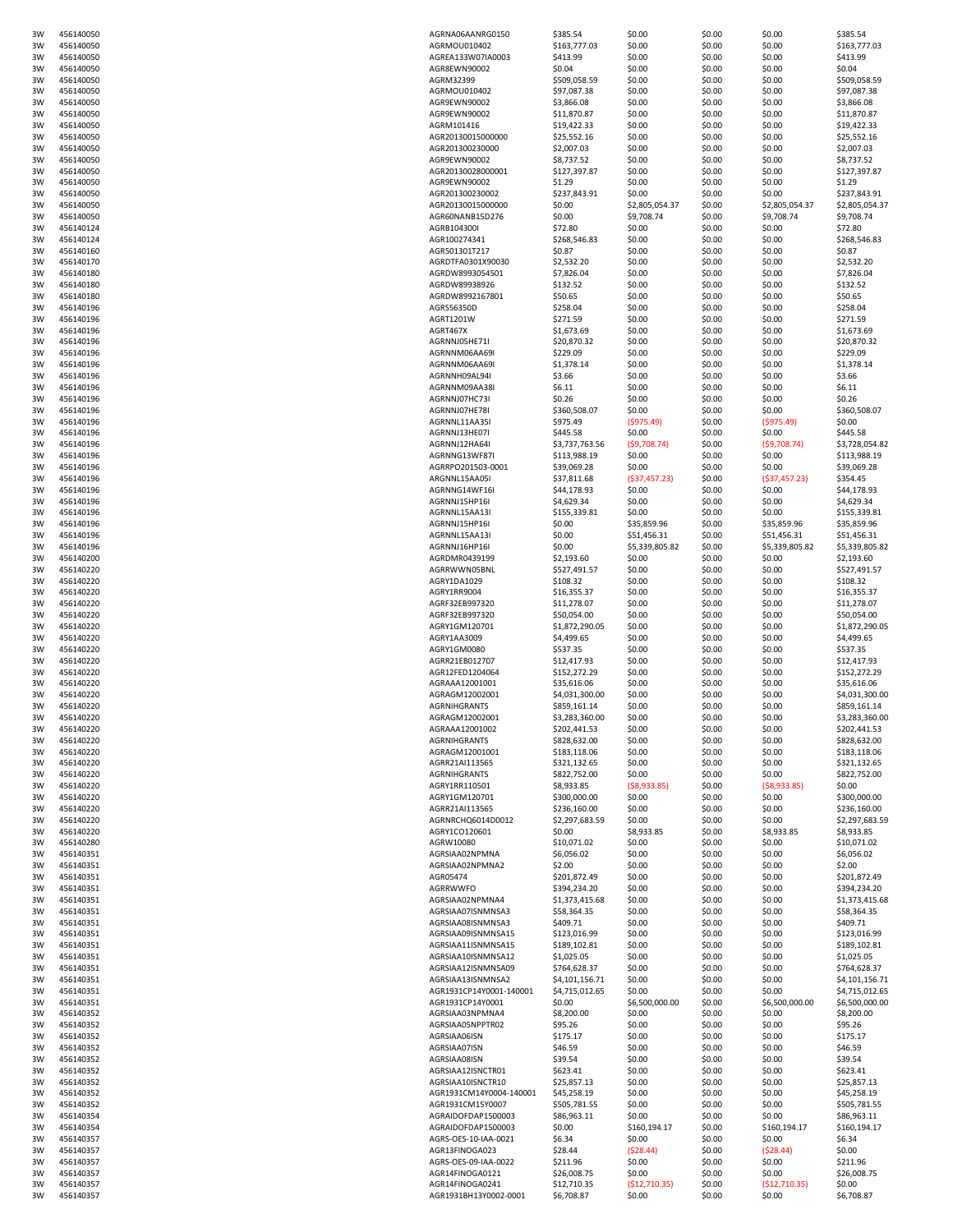| 3W       | 456140050              | AGRNA06AANRG0150                         | \$385.54                     | \$0.00                  | \$0.00           | \$0.00                  | \$385.54                     |
|----------|------------------------|------------------------------------------|------------------------------|-------------------------|------------------|-------------------------|------------------------------|
| 3W       | 456140050              | AGRMOU010402                             | \$163,777.03                 | \$0.00                  | \$0.00           | \$0.00                  | \$163,777.03                 |
| 3W       | 456140050              | AGREA133W07IA0003                        | \$413.99                     | \$0.00                  | \$0.00           | \$0.00                  | \$413.99                     |
| 3W       | 456140050              | AGR8EWN90002                             | \$0.04                       | \$0.00                  | \$0.00           | \$0.00                  | \$0.04                       |
| 3W       | 456140050              | AGRM32399                                | \$509,058.59                 | \$0.00                  | \$0.00           | \$0.00                  | \$509,058.59                 |
| 3W<br>3W | 456140050<br>456140050 | AGRMOU010402<br>AGR9EWN90002             | \$97,087.38<br>\$3,866.08    | \$0.00<br>\$0.00        | \$0.00<br>\$0.00 | \$0.00<br>\$0.00        | \$97,087.38<br>\$3,866.08    |
| 3W       | 456140050              | AGR9EWN90002                             | \$11,870.87                  | \$0.00                  | \$0.00           | \$0.00                  | \$11,870.87                  |
| 3W       | 456140050              | AGRM101416                               | \$19,422.33                  | \$0.00                  | \$0.00           | \$0.00                  | \$19,422.33                  |
| 3W       | 456140050              | AGR20130015000000                        | \$25,552.16                  | \$0.00                  | \$0.00           | \$0.00                  | \$25,552.16                  |
| 3W       | 456140050              | AGR201300230000                          | \$2,007.03                   | \$0.00                  | \$0.00           | \$0.00                  | \$2,007.03                   |
| 3W       | 456140050              | AGR9EWN90002                             | \$8,737.52                   | \$0.00                  | \$0.00           | \$0.00                  | \$8,737.52                   |
| 3W       | 456140050              | AGR20130028000001                        | \$127,397.87                 | \$0.00                  | \$0.00           | \$0.00                  | \$127,397.87                 |
| 3W       | 456140050              | AGR9EWN90002                             | \$1.29                       | \$0.00                  | \$0.00           | \$0.00                  | \$1.29                       |
| 3W       | 456140050              | AGR201300230002                          | \$237,843.91                 | \$0.00                  | \$0.00           | \$0.00                  | \$237,843.91                 |
| 3W       | 456140050              | AGR20130015000000                        | \$0.00                       | \$2,805,054.37          | \$0.00           | \$2,805,054.37          | \$2,805,054.37               |
| 3W       | 456140050              | AGR60NANB15D276                          | \$0.00                       | \$9,708.74              | \$0.00           | \$9,708.74              | \$9,708.74                   |
| 3W       | 456140124              | AGRB104300I                              | \$72.80                      | \$0.00                  | \$0.00           | \$0.00                  | \$72.80                      |
| 3W       | 456140124              | AGR100274341<br>AGR501301T217            | \$268,546.83                 | \$0.00                  | \$0.00           | \$0.00                  | \$268,546.83                 |
| 3W<br>3W | 456140160              |                                          | \$0.87                       | \$0.00                  | \$0.00           | \$0.00                  | \$0.87                       |
| 3W       | 456140170<br>456140180 | AGRDTFA0301X90030<br>AGRDW8993054501     | \$2,532.20<br>\$7,826.04     | \$0.00<br>\$0.00        | \$0.00<br>\$0.00 | \$0.00<br>\$0.00        | \$2,532.20<br>\$7,826.04     |
| 3W       | 456140180              | AGRDW89938926                            | \$132.52                     | \$0.00                  | \$0.00           | \$0.00                  | \$132.52                     |
| 3W       | 456140180              | AGRDW8992167801                          | \$50.65                      | \$0.00                  | \$0.00           | \$0.00                  | \$50.65                      |
| 3W       | 456140196              | AGRS56350D                               | \$258.04                     | \$0.00                  | \$0.00           | \$0.00                  | \$258.04                     |
| 3W       | 456140196              | AGRT1201W                                | \$271.59                     | \$0.00                  | \$0.00           | \$0.00                  | \$271.59                     |
| 3W       | 456140196              | AGRT467X                                 | \$1,673.69                   | \$0.00                  | \$0.00           | \$0.00                  | \$1,673.69                   |
| 3W       | 456140196              | AGRNNJ05HE71I                            | \$20,870.32                  | \$0.00                  | \$0.00           | \$0.00                  | \$20,870.32                  |
| 3W       | 456140196              | AGRNNM06AA69I                            | \$229.09                     | \$0.00                  | \$0.00           | \$0.00                  | \$229.09                     |
| 3W       | 456140196              | AGRNNM06AA69I                            | \$1,378.14                   | \$0.00                  | \$0.00           | \$0.00                  | \$1,378.14                   |
| 3W       | 456140196              | AGRNNH09AL94I                            | \$3.66                       | \$0.00                  | \$0.00           | \$0.00                  | \$3.66                       |
| 3W       | 456140196              | AGRNNM09AA38                             | \$6.11                       | \$0.00                  | \$0.00           | \$0.00                  | \$6.11                       |
| 3W       | 456140196              | AGRNNJ07HC73I                            | \$0.26                       | \$0.00                  | \$0.00           | \$0.00                  | \$0.26                       |
| 3W       | 456140196              | AGRNNJ07HE78I                            | \$360,508.07                 | \$0.00                  | \$0.00           | \$0.00                  | \$360,508.07                 |
| 3W<br>3W | 456140196<br>456140196 | AGRNNL11AA35I<br>AGRNNJ13HE07I           | \$975.49<br>\$445.58         | (\$975.49)<br>\$0.00    | \$0.00<br>\$0.00 | (\$975.49)<br>\$0.00    | \$0.00<br>\$445.58           |
| 3W       | 456140196              | AGRNNJ12HA64I                            | \$3,737,763.56               | (59,708.74)             | \$0.00           | (59,708.74)             | \$3,728,054.82               |
| 3W       | 456140196              | AGRNNG13WF87I                            | \$113,988.19                 | \$0.00                  | \$0.00           | \$0.00                  | \$113,988.19                 |
| 3W       | 456140196              | AGRRPO201503-0001                        | \$39,069.28                  | \$0.00                  | \$0.00           | \$0.00                  | \$39,069.28                  |
| 3W       | 456140196              | ARGNNL15AA05I                            | \$37,811.68                  | (537, 457.23)           | \$0.00           | (537, 457.23)           | \$354.45                     |
| 3W       | 456140196              | AGRNNG14WF16                             | \$44,178.93                  | \$0.00                  | \$0.00           | \$0.00                  | \$44,178.93                  |
| 3W       | 456140196              | AGRNNJ15HP16I                            | \$4,629.34                   | \$0.00                  | \$0.00           | \$0.00                  | \$4,629.34                   |
| 3W       | 456140196              | AGRNNL15AA13I                            | \$155,339.81                 | \$0.00                  | \$0.00           | \$0.00                  | \$155,339.81                 |
| 3W       | 456140196              | AGRNNJ15HP16I                            | \$0.00                       | \$35,859.96             | \$0.00           | \$35,859.96             | \$35,859.96                  |
| 3W       | 456140196              | AGRNNL15AA13I                            | \$0.00                       | \$51,456.31             | \$0.00           | \$51,456.31             | \$51,456.31                  |
| 3W       | 456140196              | AGRNNJ16HP16I                            | \$0.00                       | \$5,339,805.82          | \$0.00           | \$5,339,805.82          | \$5,339,805.82               |
| 3W       | 456140200              | AGRDMR0439199                            | \$2,193.60                   | \$0.00                  | \$0.00           | \$0.00                  | \$2,193.60                   |
| 3W       | 456140220              | AGRRWWN05BNL                             | \$527,491.57                 | \$0.00                  | \$0.00           | \$0.00                  | \$527,491.57                 |
| 3W       | 456140220              | AGRY1DA1029                              | \$108.32                     | \$0.00                  | \$0.00           | \$0.00                  | \$108.32                     |
| 3W<br>3W | 456140220              | AGRY1RR9004                              | \$16,355.37<br>\$11,278.07   | \$0.00<br>\$0.00        | \$0.00<br>\$0.00 | \$0.00<br>\$0.00        | \$16,355.37<br>\$11,278.07   |
| 3W       | 456140220<br>456140220 | AGRF32EB997320<br>AGRF32EB997320         | \$50,054.00                  | \$0.00                  | \$0.00           | \$0.00                  | \$50,054.00                  |
| 3W       | 456140220              | AGRY1GM120701                            | \$1,872,290.05               | \$0.00                  | \$0.00           | \$0.00                  | \$1,872,290.05               |
| 3W       | 456140220              | AGRY1AA3009                              | \$4,499.65                   | \$0.00                  | \$0.00           | \$0.00                  | \$4,499.65                   |
| 3W       | 456140220              | AGRY1GM0080                              | \$537.35                     | \$0.00                  | \$0.00           | \$0.00                  | \$537.35                     |
| 3W       | 456140220              | AGRR21EB012707                           | \$12,417.93                  | \$0.00                  | \$0.00           | \$0.00                  | \$12,417.93                  |
| 3W       | 456140220              | AGR12FED1204064                          | \$152,272.29                 | \$0.00                  | \$0.00           | \$0.00                  | \$152,272.29                 |
| 3W       | 456140220              | AGRAAA12001001                           | \$35,616.06                  | \$0.00                  | \$0.00           | \$0.00                  | \$35,616.06                  |
| 3W       | 456140220              | AGRAGM12002001                           | \$4,031,300.00               | \$0.00                  | \$0.00           | \$0.00                  | \$4,031,300.00               |
| 3W       | 456140220              | AGRNIHGRANTS                             | \$859,161.14                 | \$0.00                  | \$0.00           | \$0.00                  | \$859,161.14                 |
| 3W       | 456140220              | AGRAGM12002001                           | \$3,283,360.00               | \$0.00                  | \$0.00           | \$0.00                  | \$3,283,360.00               |
| 3W       | 456140220              | AGRAAA12001002                           | \$202,441.53                 | \$0.00                  | \$0.00           | \$0.00                  | \$202,441.53                 |
| 3W       | 456140220              | AGRNIHGRANTS                             | \$828,632.00                 | \$0.00                  | \$0.00           | \$0.00                  | \$828,632.00                 |
| 3W<br>3W | 456140220<br>456140220 | AGRAGM12001001<br>AGRR21AI113565         | \$183,118.06<br>\$321,132.65 | \$0.00<br>\$0.00        | \$0.00<br>\$0.00 | \$0.00<br>\$0.00        | \$183,118.06<br>\$321,132.65 |
| 3W       | 456140220              | <b>AGRNIHGRANTS</b>                      | \$822,752.00                 | \$0.00                  | \$0.00           | \$0.00                  | \$822.752.00                 |
| 3W       | 456140220              | AGRY1RR110501                            | \$8,933.85                   | (58,933.85)             | \$0.00           | (58,933.85)             | \$0.00                       |
| 3W       | 456140220              | AGRY1GM120701                            | \$300,000.00                 | \$0.00                  | \$0.00           | \$0.00                  | \$300,000.00                 |
| 3W       | 456140220              | AGRR21AI113565                           | \$236,160.00                 | \$0.00                  | \$0.00           | \$0.00                  | \$236,160.00                 |
| 3W       | 456140220              | AGRNRCHQ6014D0012                        | \$2,297,683.59               | \$0.00                  | \$0.00           | \$0.00                  | \$2,297,683.59               |
| 3W       | 456140220              | AGRY1CO120601                            | \$0.00                       | \$8,933.85              | \$0.00           | \$8,933.85              | \$8,933.85                   |
| 3W       | 456140280              | AGRW10080                                | \$10,071.02                  | \$0.00                  | \$0.00           | \$0.00                  | \$10,071.02                  |
| 3W       | 456140351              | AGRSIAA02NPMNA                           | \$6,056.02                   | \$0.00                  | \$0.00           | \$0.00                  | \$6,056.02                   |
| 3W       | 456140351              | AGRSIAA02NPMNA2<br>AGR05474              | \$2.00<br>\$201,872.49       | \$0.00                  | \$0.00           | \$0.00                  | \$2.00                       |
| 3W<br>3W | 456140351<br>456140351 | AGRRWWFO                                 | \$394,234.20                 | \$0.00<br>\$0.00        | \$0.00<br>\$0.00 | \$0.00<br>\$0.00        | \$201,872.49<br>\$394,234.20 |
| 3W       | 456140351              | AGRSIAA02NPMNA4                          | \$1,373,415.68               | \$0.00                  | \$0.00           | \$0.00                  | \$1,373,415.68               |
| 3W       | 456140351              | AGRSIAA07ISNMNSA3                        | \$58,364.35                  | \$0.00                  | \$0.00           | \$0.00                  | \$58,364.35                  |
| 3W       | 456140351              | AGRSIAA08ISNMNSA3                        | \$409.71                     | \$0.00                  | \$0.00           | \$0.00                  | \$409.71                     |
| 3W       | 456140351              | AGRSIAA09ISNMNSA15                       | \$123,016.99                 | \$0.00                  | \$0.00           | \$0.00                  | \$123,016.99                 |
| 3W       | 456140351              | AGRSIAA11ISNMNSA15                       | \$189,102.81                 | \$0.00                  | \$0.00           | \$0.00                  | \$189,102.81                 |
| 3W       | 456140351              | AGRSIAA10ISNMNSA12                       | \$1,025.05                   | \$0.00                  | \$0.00           | \$0.00                  | \$1,025.05                   |
| 3W       | 456140351              | AGRSIAA12ISNMNSA09                       | \$764,628.37                 | \$0.00                  | \$0.00           | \$0.00                  | \$764,628.37                 |
| 3W       | 456140351              | AGRSIAA13ISNMNSA2                        | \$4,101,156.71               | \$0.00                  | \$0.00           | \$0.00                  | \$4,101,156.71               |
| 3W       | 456140351              | AGR1931CP14Y0001-140001                  | \$4,715,012.65               | \$0.00                  | \$0.00           | \$0.00                  | \$4,715,012.65               |
| 3W       | 456140351              | AGR1931CP14Y0001                         | \$0.00                       | \$6,500,000.00          | \$0.00           | \$6,500,000.00          | \$6,500,000.00               |
| 3W<br>3W | 456140352<br>456140352 | AGRSIAA03NPMNA4<br>AGRSIAA05NPPTR02      | \$8,200.00<br>\$95.26        | \$0.00<br>\$0.00        | \$0.00<br>\$0.00 | \$0.00<br>\$0.00        | \$8,200.00<br>\$95.26        |
| 3W       | 456140352              | AGRSIAA06ISN                             | \$175.17                     | \$0.00                  | \$0.00           | \$0.00                  | \$175.17                     |
| 3W       | 456140352              | AGRSIAA07ISN                             | \$46.59                      | \$0.00                  | \$0.00           | \$0.00                  | \$46.59                      |
| 3W       | 456140352              | AGRSIAA08ISN                             | \$39.54                      | \$0.00                  | \$0.00           | \$0.00                  | \$39.54                      |
| 3W       | 456140352              | AGRSIAA12ISNCTR01                        | \$623.41                     | \$0.00                  | \$0.00           | \$0.00                  | \$623.41                     |
| 3W       | 456140352              | AGRSIAA10ISNCTR10                        | \$25,857.13                  | \$0.00                  | \$0.00           | \$0.00                  | \$25,857.13                  |
| 3W       | 456140352              | AGR1931CM14Y0004-140001                  | \$45,258.19                  | \$0.00                  | \$0.00           | \$0.00                  | \$45,258.19                  |
| 3W       | 456140352              | AGR1931CM15Y0007                         | \$505,781.55                 | \$0.00                  | \$0.00           | \$0.00                  | \$505,781.55                 |
| 3W       | 456140354              | AGRAIDOFDAP1500003                       | \$86,963.11                  | \$0.00                  | \$0.00           | \$0.00                  | \$86,963.11                  |
| 3W       | 456140354              | AGRAIDOFDAP1500003                       | \$0.00                       | \$160,194.17            | \$0.00           | \$160,194.17            | \$160,194.17                 |
| 3W       | 456140357              | AGRS-OES-10-IAA-0021                     | \$6.34                       | \$0.00                  | \$0.00           | \$0.00                  | \$6.34                       |
| 3W<br>3W | 456140357              | AGR13FINOGA023                           | \$28.44                      | ( \$28.44)              | \$0.00           | ( \$28.44)              | \$0.00                       |
|          |                        |                                          |                              |                         |                  |                         |                              |
|          | 456140357              | AGRS-OES-09-IAA-0022                     | \$211.96                     | \$0.00                  | \$0.00           | \$0.00                  | \$211.96                     |
| 3W       | 456140357              | AGR14FINOGA0121                          | \$26,008.75                  | \$0.00                  | \$0.00           | \$0.00                  | \$26,008.75                  |
| 3W<br>3W | 456140357<br>456140357 | AGR14FINOGA0241<br>AGR1931BH13Y0002-0001 | \$12,710.35<br>\$6,708.87    | (\$12,710.35)<br>\$0.00 | \$0.00<br>\$0.00 | (\$12,710.35)<br>\$0.00 | \$0.00<br>\$6,708.87         |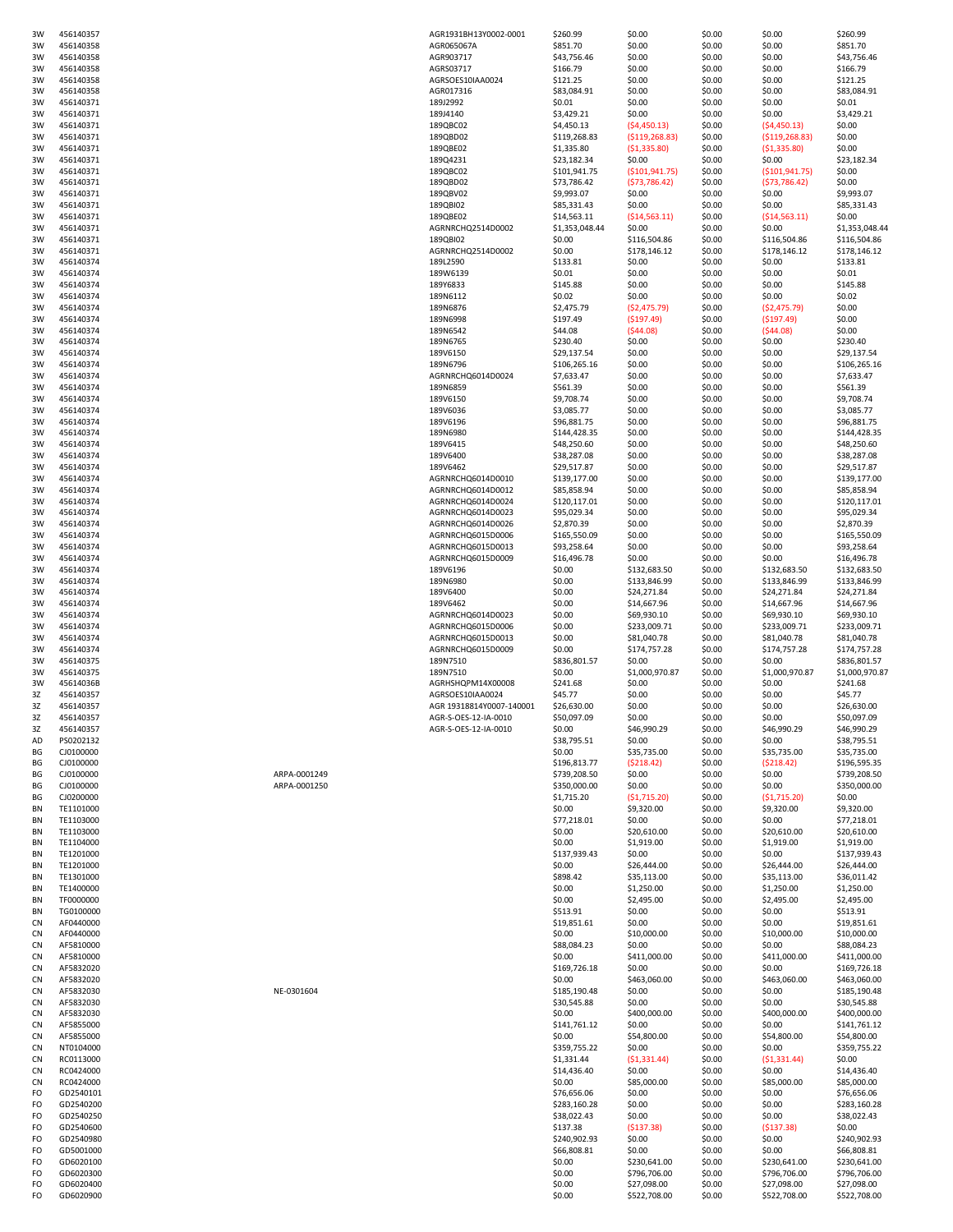| 3W             | 456140357              |              | AGR1931BH13Y0002-0001    | \$260.99                      | \$0.00                      | \$0.00           | \$0.00                      | \$260.99                    |
|----------------|------------------------|--------------|--------------------------|-------------------------------|-----------------------------|------------------|-----------------------------|-----------------------------|
| 3W             | 456140358              |              | AGR065067A               | \$851.70                      | \$0.00                      | \$0.00           | \$0.00                      | \$851.70                    |
| 3W             | 456140358              |              | AGR903717                | \$43,756.46                   | \$0.00                      | \$0.00           | \$0.00                      | \$43,756.46                 |
| 3W             | 456140358              |              | AGRS03717                | \$166.79                      | \$0.00                      | \$0.00           | \$0.00                      | \$166.79                    |
| 3W             | 456140358              |              | AGRSOES10IAA0024         | \$121.25                      | \$0.00                      | \$0.00           | \$0.00                      | \$121.25                    |
| 3W             | 456140358              |              | AGR017316                | \$83,084.91                   | \$0.00                      | \$0.00           | \$0.00                      | \$83,084.91                 |
| 3W             | 456140371              |              | 189J2992                 | \$0.01                        | \$0.00                      | \$0.00           | \$0.00                      | \$0.01                      |
| 3W             | 456140371              |              | 189J4140                 | \$3,429.21                    | \$0.00                      | \$0.00           | \$0.00                      | \$3,429.21                  |
| 3W             | 456140371              |              | 189QBC02                 | \$4,450.13                    | (54, 450.13)                | \$0.00           | (54, 450.13)                | \$0.00                      |
| 3W             | 456140371              |              | 189QBD02                 | \$119,268.83                  | ( \$119, 268.83)            | \$0.00           | ( \$119, 268.83)            | \$0.00                      |
| 3W             | 456140371              |              | 189QBE02                 | \$1,335.80                    | (\$1,335.80)                | \$0.00           | (\$1,335.80)                | \$0.00                      |
| 3W             | 456140371              |              | 189Q4231                 | \$23,182.34                   | \$0.00                      | \$0.00           | \$0.00                      | \$23,182.34                 |
| 3W             | 456140371              |              | 189QBC02                 | \$101,941.75                  | ( \$101, 941.75)            | \$0.00           | ( \$101, 941.75)            | \$0.00                      |
| 3W             | 456140371              |              | 189QBD02                 | \$73,786.42                   | (573, 786.42)               | \$0.00           | (573, 786.42)               | \$0.00                      |
| 3W             | 456140371              |              | 189QBV02                 | \$9,993.07                    | \$0.00                      | \$0.00           | \$0.00                      | \$9,993.07                  |
| 3W             | 456140371              |              | 189QBI02                 | \$85,331.43                   | \$0.00                      | \$0.00           | \$0.00                      | \$85,331.43                 |
| 3W             | 456140371              |              | 189QBE02                 |                               |                             | \$0.00           |                             | \$0.00                      |
| 3W             | 456140371              |              | AGRNRCHQ2514D0002        | \$14,563.11<br>\$1,353,048.44 | ( \$14,563.11)<br>\$0.00    | \$0.00           | ( \$14,563.11)<br>\$0.00    | \$1,353,048.44              |
|                |                        |              |                          |                               |                             |                  |                             |                             |
| 3W             | 456140371              |              | 189QBI02                 | \$0.00                        | \$116,504.86                | \$0.00           | \$116,504.86                | \$116,504.86                |
| 3W             | 456140371              |              | AGRNRCHQ2514D0002        | \$0.00                        | \$178,146.12                | \$0.00           | \$178,146.12                | \$178,146.12                |
| 3W             | 456140374              |              | 189L2590                 | \$133.81                      | \$0.00                      | \$0.00           | \$0.00                      | \$133.81                    |
| 3W             | 456140374              |              | 189W6139                 | \$0.01                        | \$0.00                      | \$0.00           | \$0.00                      | \$0.01                      |
| 3W             | 456140374              |              | 189Y6833                 | \$145.88                      | \$0.00                      | \$0.00           | \$0.00                      | \$145.88                    |
| 3W             | 456140374              |              | 189N6112                 | \$0.02                        | \$0.00                      | \$0.00           | \$0.00                      | \$0.02                      |
| 3W             | 456140374              |              | 189N6876                 | \$2,475.79                    | ( \$2,475.79)               | \$0.00           | ( \$2,475.79)               | \$0.00                      |
| 3W             | 456140374              |              | 189N6998                 | \$197.49                      | (\$197.49)                  | \$0.00           | (\$197.49)                  | \$0.00                      |
| 3W             | 456140374              |              | 189N6542                 | \$44.08                       | (544.08)                    | \$0.00           | ( \$44.08)                  | \$0.00                      |
| 3W             | 456140374              |              | 189N6765                 | \$230.40                      | \$0.00                      | \$0.00           | \$0.00                      | \$230.40                    |
| 3W             | 456140374              |              | 189V6150                 | \$29,137.54                   | \$0.00                      | \$0.00           | \$0.00                      | \$29,137.54                 |
| 3W             | 456140374              |              | 189N6796                 | \$106,265.16                  | \$0.00                      | \$0.00           | \$0.00                      | \$106,265.16                |
| 3W             | 456140374              |              | AGRNRCHQ6014D0024        | \$7,633.47                    | \$0.00                      | \$0.00           | \$0.00                      | \$7,633.47                  |
| 3W             | 456140374              |              | 189N6859                 | \$561.39                      | \$0.00                      | \$0.00           | \$0.00                      | \$561.39                    |
| 3W             | 456140374              |              | 189V6150                 | \$9,708.74                    | \$0.00                      | \$0.00           | \$0.00                      | \$9,708.74                  |
| 3W             | 456140374              |              | 189V6036                 | \$3,085.77                    | \$0.00                      | \$0.00           | \$0.00                      | \$3,085.77                  |
| 3W             | 456140374              |              | 189V6196                 | \$96,881.75                   | \$0.00                      | \$0.00           | \$0.00                      | \$96,881.75                 |
| 3W             | 456140374              |              | 189N6980                 | \$144,428.35                  | \$0.00                      | \$0.00           | \$0.00                      | \$144,428.35                |
| 3W             | 456140374              |              | 189V6415                 | \$48,250.60                   | \$0.00                      | \$0.00           | \$0.00                      | \$48,250.60                 |
| 3W             | 456140374              |              | 189V6400                 | \$38,287.08                   | \$0.00                      | \$0.00           | \$0.00                      | \$38,287.08                 |
| 3W             | 456140374              |              | 189V6462                 | \$29,517.87                   | \$0.00                      | \$0.00           | \$0.00                      | \$29,517.87                 |
| 3W             | 456140374              |              | AGRNRCHQ6014D0010        | \$139,177.00                  | \$0.00                      | \$0.00           | \$0.00                      | \$139,177.00                |
| 3W             | 456140374              |              | AGRNRCHQ6014D0012        | \$85,858.94                   | \$0.00                      | \$0.00           | \$0.00                      | \$85,858.94                 |
| 3W             | 456140374              |              | AGRNRCHQ6014D0024        | \$120,117.01                  | \$0.00                      | \$0.00           | \$0.00                      | \$120,117.01                |
| 3W             | 456140374              |              | AGRNRCHQ6014D0023        | \$95,029.34                   | \$0.00                      | \$0.00           | \$0.00                      | \$95,029.34                 |
| 3W             | 456140374              |              | AGRNRCHQ6014D0026        | \$2,870.39                    | \$0.00                      | \$0.00           | \$0.00                      | \$2,870.39                  |
| 3W             | 456140374              |              | AGRNRCHQ6015D0006        | \$165,550.09                  | \$0.00                      | \$0.00           | \$0.00                      | \$165,550.09                |
| 3W             | 456140374              |              | AGRNRCHQ6015D0013        | \$93,258.64                   | \$0.00                      | \$0.00           | \$0.00                      | \$93,258.64                 |
| 3W             | 456140374              |              | AGRNRCHQ6015D0009        | \$16,496.78                   | \$0.00                      | \$0.00           | \$0.00                      | \$16,496.78                 |
| 3W             | 456140374              |              | 189V6196                 | \$0.00                        | \$132,683.50                | \$0.00           | \$132,683.50                | \$132,683.50                |
| 3W             | 456140374              |              | 189N6980                 | \$0.00                        | \$133,846.99                | \$0.00           | \$133,846.99                | \$133,846.99                |
| 3W             | 456140374              |              | 189V6400                 | \$0.00                        | \$24,271.84                 | \$0.00           | \$24,271.84                 | \$24,271.84                 |
| 3W             | 456140374              |              | 189V6462                 | \$0.00                        | \$14,667.96                 | \$0.00           | \$14,667.96                 | \$14,667.96                 |
|                |                        |              |                          |                               |                             |                  |                             |                             |
| 3W             | 456140374              |              | AGRNRCHQ6014D0023        | \$0.00                        | \$69,930.10                 | \$0.00           | \$69,930.10                 | \$69,930.10                 |
| 3W             | 456140374              |              | AGRNRCHQ6015D0006        | \$0.00                        | \$233,009.71                | \$0.00           | \$233,009.71                | \$233,009.71                |
| 3W             | 456140374              |              | AGRNRCHQ6015D0013        | \$0.00                        | \$81,040.78                 | \$0.00           | \$81,040.78                 | \$81,040.78                 |
| 3W             | 456140374              |              | AGRNRCHQ6015D0009        | \$0.00                        | \$174,757.28                | \$0.00           | \$174,757.28                | \$174,757.28                |
| 3W             | 456140375              |              | 189N7510                 | \$836,801.57                  | \$0.00                      | \$0.00           | \$0.00                      | \$836,801.57                |
| 3W             | 456140375              |              | 189N7510                 | \$0.00                        | \$1,000,970.87              | \$0.00           | \$1,000,970.87              | \$1,000,970.87              |
| 3W             | 45614036B              |              | AGRHSHQPM14X00008        | \$241.68                      | \$0.00                      | \$0.00           | \$0.00                      | \$241.68                    |
| 3Z             | 456140357              |              | AGRSOES10IAA0024         | \$45.77                       | \$0.00                      | \$0.00           | \$0.00                      | \$45.77                     |
| 3Z             | 456140357              |              | AGR 19318814Y0007-140001 | \$26,630.00                   | \$0.00                      | \$0.00           | \$0.00                      | \$26,630.00                 |
| 3Z             | 456140357              |              | AGR-S-OES-12-IA-0010     | \$50,097.09                   | \$0.00                      | \$0.00           | \$0.00                      | \$50.097.09                 |
| 3Z             | 456140357              |              | AGR-S-OES-12-IA-0010     | \$0.00                        | \$46,990.29                 | \$0.00           | \$46,990.29                 | \$46,990.29                 |
| AD             | PS0202132              |              |                          | \$38,795.51                   | \$0.00                      | \$0.00           | \$0.00                      | \$38,795.51                 |
| ΒG             | CJ0100000              |              |                          | \$0.00                        | \$35,735.00                 | \$0.00           | \$35,735.00                 | \$35,735.00                 |
| BG             | CJ0100000              |              |                          | \$196,813.77                  | (5218.42)                   | \$0.00           | (5218.42)                   | \$196,595.35                |
| ВG             | CJ0100000              | ARPA-0001249 |                          | \$739,208.50                  | \$0.00                      | \$0.00           | \$0.00                      | \$739,208.50                |
| BG             | CJ0100000              | ARPA-0001250 |                          | \$350,000.00                  | \$0.00                      | \$0.00           | \$0.00                      | \$350,000.00                |
| BG             | CJ0200000              |              |                          | \$1,715.20                    | (51, 715.20)                | \$0.00           | (51, 715.20)                | \$0.00                      |
| BN             | TE1101000              |              |                          | \$0.00                        | \$9,320.00                  | \$0.00           | \$9,320.00                  | \$9,320.00                  |
| BN             | TE1103000              |              |                          | \$77,218.01                   | \$0.00                      | \$0.00           | \$0.00                      | \$77,218.01                 |
| BN             | TE1103000              |              |                          | \$0.00                        | \$20,610.00                 | \$0.00           | \$20,610.00                 | \$20,610.00                 |
| BN             | TE1104000              |              |                          | \$0.00                        | \$1,919.00                  | \$0.00           | \$1,919.00                  | \$1,919.00                  |
| BN             | TE1201000              |              |                          | \$137,939.43                  | \$0.00                      | \$0.00           | \$0.00                      | \$137,939.43                |
| BN             | TE1201000              |              |                          | \$0.00                        | \$26,444.00                 | \$0.00           | \$26,444.00                 | \$26,444.00                 |
| BN             | TE1301000              |              |                          | \$898.42                      | \$35,113.00                 | \$0.00           | \$35,113.00                 | \$36,011.42                 |
| <b>BN</b>      | TE1400000              |              |                          | \$0.00                        | \$1,250.00                  | \$0.00           | \$1,250.00                  | \$1,250.00                  |
| <b>BN</b>      | TF0000000              |              |                          | \$0.00                        | \$2,495.00                  | \$0.00           | \$2,495.00                  | \$2,495.00                  |
| BN             | TG0100000              |              |                          | \$513.91                      | \$0.00                      | \$0.00           | \$0.00                      | \$513.91                    |
| CN             | AF0440000              |              |                          | \$19,851.61                   | \$0.00                      | \$0.00           | \$0.00                      | \$19,851.61                 |
| CN             | AF0440000              |              |                          | \$0.00                        | \$10,000.00                 | \$0.00           | \$10,000.00                 | \$10,000.00                 |
| CN             | AF5810000              |              |                          | \$88,084.23                   | \$0.00                      | \$0.00           | \$0.00                      | \$88,084.23                 |
| CN             | AF5810000              |              |                          | \$0.00                        | \$411,000.00                | \$0.00           | \$411,000.00                | \$411,000.00                |
| CN             | AF5832020              |              |                          | \$169,726.18                  | \$0.00                      | \$0.00           | \$0.00                      | \$169,726.18                |
| <b>CN</b>      | AF5832020              |              |                          | \$0.00                        | \$463,060.00                | \$0.00           | \$463,060.00                | \$463,060.00                |
| C <sub>N</sub> | AF5832030              | NE-0301604   |                          | \$185,190.48                  | \$0.00                      | \$0.00           | \$0.00                      | \$185,190.48                |
| CN             | AF5832030              |              |                          | \$30,545.88                   | \$0.00                      | \$0.00           | \$0.00                      | \$30,545.88                 |
| CN             | AF5832030              |              |                          | \$0.00                        | \$400,000.00                | \$0.00           | \$400,000.00                | \$400,000.00                |
| CN             | AF5855000              |              |                          | \$141,761.12                  | \$0.00                      | \$0.00           | \$0.00                      | \$141,761.12                |
| CN             | AF5855000              |              |                          | \$0.00                        | \$54,800.00                 | \$0.00           | \$54,800.00                 | \$54,800.00                 |
| CN             | NT0104000              |              |                          | \$359,755.22                  | \$0.00                      | \$0.00           | \$0.00                      | \$359,755.22                |
| CN             | RC0113000              |              |                          | \$1,331.44                    | (51, 331.44)                | \$0.00           | (51, 331.44)                | \$0.00                      |
| CN             | RC0424000              |              |                          | \$14,436.40                   | \$0.00                      | \$0.00           | \$0.00                      | \$14,436.40                 |
| <b>CN</b>      | RC0424000              |              |                          | \$0.00                        | \$85,000.00                 | \$0.00           | \$85,000.00                 | \$85,000.00                 |
| FO             | GD2540101              |              |                          | \$76,656.06                   | \$0.00                      | \$0.00           | \$0.00                      | \$76,656.06                 |
| FO             | GD2540200              |              |                          | \$283,160.28                  | \$0.00                      | \$0.00           | \$0.00                      | \$283,160.28                |
| FO             | GD2540250              |              |                          |                               |                             |                  | \$0.00                      |                             |
|                |                        |              |                          | \$38,022.43                   | \$0.00                      | \$0.00           |                             | \$38,022.43                 |
| FO             | GD2540600              |              |                          | \$137.38                      | (5137.38)                   | \$0.00           | (5137.38)                   | \$0.00                      |
| FO<br>FO       |                        |              |                          | \$240,902.93                  | \$0.00                      | \$0.00           | \$0.00                      | \$240,902.93                |
|                | GD2540980              |              |                          |                               |                             |                  |                             |                             |
|                | GD5001000              |              |                          | \$66,808.81                   | \$0.00                      | \$0.00           | \$0.00                      | \$66,808.81                 |
| FO             | GD6020100              |              |                          | \$0.00                        | \$230,641.00                | \$0.00           | \$230,641.00                | \$230,641.00                |
| FO             | GD6020300              |              |                          | \$0.00                        | \$796,706.00                | \$0.00           | \$796,706.00                | \$796,706.00                |
| FO<br>FO       | GD6020400<br>GD6020900 |              |                          | \$0.00<br>\$0.00              | \$27,098.00<br>\$522,708.00 | \$0.00<br>\$0.00 | \$27,098.00<br>\$522,708.00 | \$27,098.00<br>\$522,708.00 |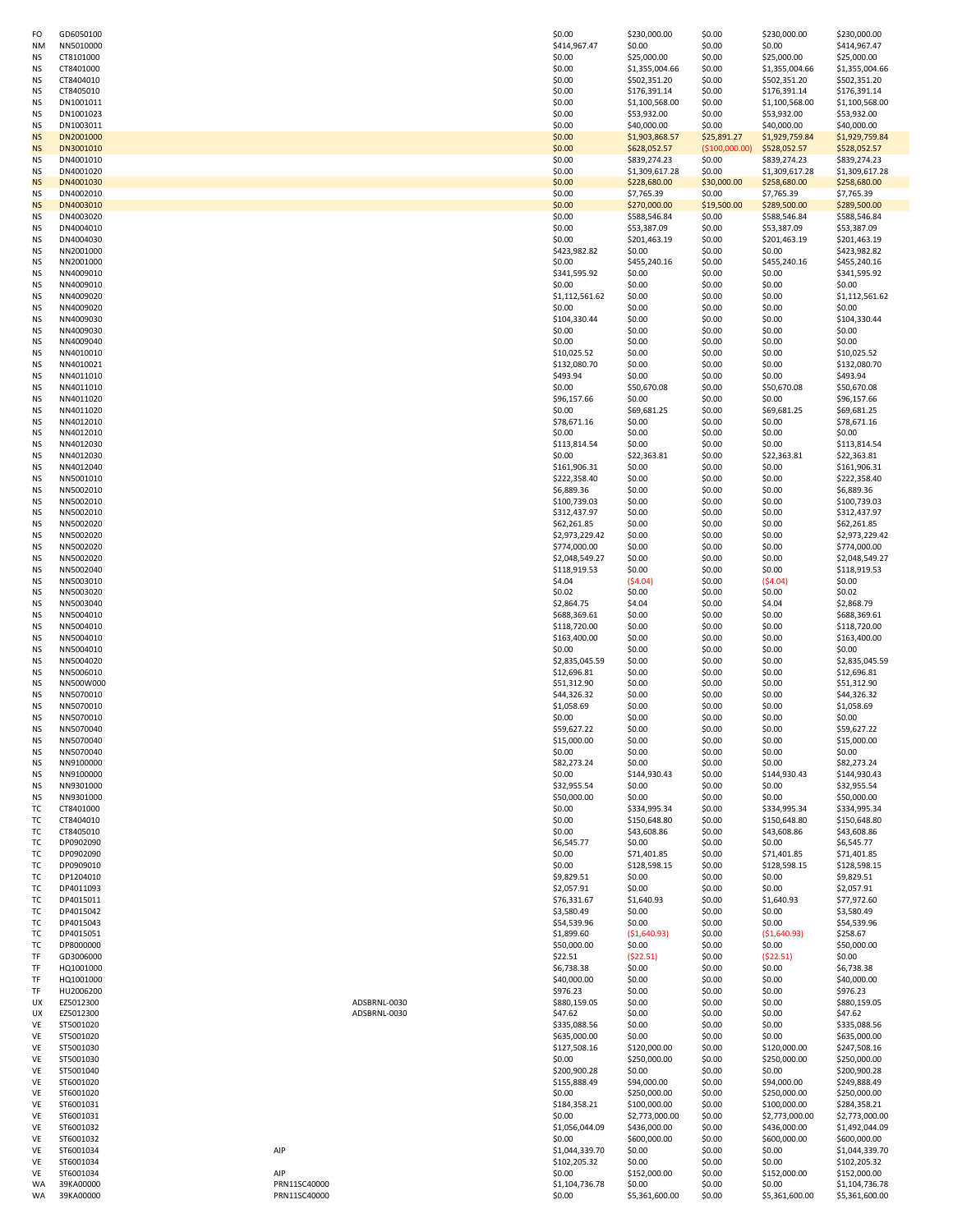| FO             | GD6050100              |              | \$0.00                   | \$230,000.00           | \$0.00           | \$230,000.00                   | \$230,000.00                 |
|----------------|------------------------|--------------|--------------------------|------------------------|------------------|--------------------------------|------------------------------|
| <b>NM</b>      | NN5010000              |              | \$414,967.47             | \$0.00                 | \$0.00           | \$0.00                         | \$414,967.47                 |
| <b>NS</b>      | CT8101000              |              | \$0.00                   | \$25,000.00            | \$0.00           | \$25,000.00                    | \$25,000.00                  |
| <b>NS</b>      | CT8401000              |              | \$0.00                   | \$1,355,004.66         | \$0.00           | \$1,355,004.66<br>\$502,351.20 | \$1,355,004.66               |
| ΝS             | CT8404010              |              | \$0.00                   | \$502,351.20           | \$0.00           |                                | \$502,351.20                 |
| ΝS             | CT8405010              |              | \$0.00                   | \$176,391.14           | \$0.00           | \$176,391.14                   | \$176,391.14                 |
| ΝS             | DN1001011              |              | \$0.00                   | \$1,100,568.00         | \$0.00           | \$1,100,568.00                 | \$1,100,568.00               |
| ΝS             | DN1001023              |              | \$0.00                   | \$53,932.00            | \$0.00           | \$53,932.00                    | \$53,932.00                  |
| NS             | DN1003011              |              | \$0.00                   | \$40,000.00            | \$0.00           | \$40,000.00                    | \$40,000.00                  |
| <b>NS</b>      | DN2001000              |              | \$0.00                   | \$1,903,868.57         | \$25,891.27      | \$1,929,759.84                 | \$1,929,759.84               |
| <b>NS</b>      | DN3001010              |              | \$0.00                   | \$628,052.57           | (\$100,000.00)   | \$528,052.57                   | \$528,052.57                 |
| <b>NS</b>      | DN4001010              |              | \$0.00                   | \$839,274.23           | \$0.00           | \$839,274.23                   | \$839,274.23                 |
| <b>NS</b>      | DN4001020              |              | \$0.00                   | \$1,309,617.28         | \$0.00           | \$1,309,617.28                 | \$1,309,617.28               |
| <b>NS</b>      | DN4001030              |              | \$0.00                   | \$228,680.00           | \$30,000.00      | \$258,680.00                   | \$258,680.00                 |
| ΝS             | DN4002010              |              | \$0.00                   | \$7,765.39             | \$0.00           | \$7,765.39                     | \$7,765.39                   |
| <b>NS</b>      | DN4003010              |              | \$0.00                   | \$270,000.00           | \$19,500.00      | \$289,500.00                   | \$289,500.00                 |
| ΝS             | DN4003020              |              | \$0.00                   | \$588,546.84           | \$0.00           | \$588,546.84                   | \$588,546.84                 |
| <b>NS</b>      | DN4004010              |              | \$0.00                   | \$53,387.09            | \$0.00           | \$53,387.09                    | \$53,387.09                  |
| <b>NS</b>      | DN4004030              |              | \$0.00                   | \$201,463.19           | \$0.00           | \$201,463.19                   | \$201,463.19                 |
| <b>NS</b>      | NN2001000              |              | \$423,982.82             | \$0.00                 | \$0.00           | \$0.00                         | \$423,982.82                 |
| <b>NS</b>      | NN2001000              |              | \$0.00                   | \$455,240.16           | \$0.00           | \$455,240.16                   | \$455,240.16                 |
| ΝS             | NN4009010              |              | \$341,595.92             | \$0.00                 | \$0.00           | \$0.00                         | \$341,595.92                 |
| ΝS             | NN4009010              |              | \$0.00                   | \$0.00                 | \$0.00           | \$0.00                         | \$0.00                       |
| ΝS             | NN4009020              |              | \$1,112,561.62           | \$0.00                 | \$0.00           | \$0.00                         | \$1,112,561.62               |
| ΝS             | NN4009020              |              | \$0.00                   | \$0.00                 | \$0.00           | \$0.00                         | \$0.00                       |
| ΝS             | NN4009030              |              | \$104,330.44             | \$0.00                 | \$0.00           | \$0.00                         | \$104,330.44                 |
| NS             | NN4009030              |              | \$0.00                   | \$0.00                 | \$0.00           | \$0.00                         | \$0.00                       |
| <b>NS</b>      | NN4009040              |              | \$0.00                   | \$0.00                 | \$0.00           | \$0.00                         | \$0.00                       |
| <b>NS</b>      | NN4010010              |              | \$10,025.52              | \$0.00                 | \$0.00           | \$0.00                         | \$10,025.52                  |
| <b>NS</b>      | NN4010021              |              | \$132,080.70             | \$0.00                 | \$0.00           | \$0.00                         | \$132,080.70                 |
| ΝS             | NN4011010              |              | \$493.94                 | \$0.00                 | \$0.00           | \$0.00                         | \$493.94                     |
| NS             | NN4011010              |              | \$0.00                   | \$50,670.08            | \$0.00           | \$50,670.08                    | \$50,670.08                  |
| ΝS             | NN4011020              |              | \$96,157.66              | \$0.00                 | \$0.00           | \$0.00                         | \$96,157.66                  |
| ΝS             | NN4011020              |              | \$0.00                   | \$69,681.25            | \$0.00           | \$69,681.25                    | \$69,681.25                  |
| <b>NS</b>      | NN4012010              |              | \$78,671.16              | \$0.00                 | \$0.00           | \$0.00                         | \$78,671.16                  |
| NS             | NN4012010              |              | \$0.00                   | \$0.00                 | \$0.00           | \$0.00                         | \$0.00                       |
| <b>NS</b>      | NN4012030              |              | \$113,814.54             | \$0.00                 | \$0.00           | \$0.00                         | \$113,814.54                 |
| <b>NS</b>      | NN4012030              |              | \$0.00                   | \$22,363.81            | \$0.00           | \$22,363.81                    | \$22,363.81                  |
| NS             | NN4012040              |              |                          | \$0.00                 | \$0.00           | \$0.00                         |                              |
|                |                        |              | \$161,906.31             |                        |                  |                                | \$161,906.31<br>\$222,358.40 |
| ΝS             | NN5001010              |              | \$222,358.40             | \$0.00                 | \$0.00           | \$0.00                         |                              |
| NS             | NN5002010              |              | \$6,889.36               | \$0.00                 | \$0.00           | \$0.00                         | \$6,889.36                   |
| <b>NS</b>      | NN5002010              |              | \$100,739.03             | \$0.00                 | \$0.00           | \$0.00                         | \$100,739.03                 |
| ΝS             | NN5002010              |              | \$312,437.97             | \$0.00                 | \$0.00           | \$0.00                         | \$312,437.97                 |
| <b>NS</b>      | NN5002020              |              | \$62,261.85              | \$0.00                 | \$0.00           | \$0.00                         | \$62,261.85                  |
| NS             | NN5002020              |              | \$2,973,229.42           | \$0.00                 | \$0.00           | \$0.00                         | \$2,973,229.42               |
| <b>NS</b>      | NN5002020              |              | \$774,000.00             | \$0.00                 | \$0.00           | \$0.00                         | \$774,000.00                 |
| <b>NS</b>      | NN5002020              |              | \$2,048,549.27           | \$0.00                 | \$0.00           | \$0.00                         | \$2,048,549.27               |
| NS             | NN5002040              |              | \$118,919.53             | \$0.00                 | \$0.00           | \$0.00                         | \$118,919.53                 |
| ΝS             | NN5003010              |              | \$4.04                   | ( \$4.04]              | \$0.00           | (54.04)                        | \$0.00                       |
| NS             | NN5003020              |              | \$0.02                   | \$0.00                 | \$0.00           | \$0.00                         | \$0.02                       |
| <b>NS</b>      | NN5003040              |              | \$2,864.75               | \$4.04                 | \$0.00           | \$4.04                         | \$2,868.79                   |
| <b>NS</b>      | NN5004010              |              | \$688,369.61             | \$0.00                 | \$0.00           | \$0.00                         | \$688,369.61                 |
| <b>NS</b>      | NN5004010              |              | \$118,720.00             | \$0.00                 | \$0.00           | \$0.00                         | \$118,720.00                 |
| <b>NS</b>      | NN5004010              |              | \$163,400.00             | \$0.00                 | \$0.00           | \$0.00                         | \$163,400.00                 |
| <b>NS</b>      | NN5004010              |              | \$0.00                   | \$0.00                 | \$0.00           | \$0.00                         | \$0.00                       |
| ΝS             | NN5004020              |              | \$2,835,045.59           | \$0.00                 | \$0.00           | \$0.00                         | \$2,835,045.59               |
| NS             | NN5006010              |              | \$12,696.81              | \$0.00                 | \$0.00           | \$0.00                         | \$12,696.81                  |
| ΝS             | NN500W000              |              | \$51,312.90              | \$0.00                 | \$0.00           | \$0.00                         | \$51,312.90                  |
| ΝS             | NN5070010              |              | \$44,326.32              | \$0.00                 | \$0.00           | \$0.00                         | \$44,326.32                  |
| NS             | NN5070010              |              | \$1,058.69               | \$0.00                 | \$0.00           | \$0.00                         | \$1,058.69                   |
| <b>NS</b>      | NN5070010              |              | \$0.00                   | \$0.00                 | \$0.00           | \$0.00                         | \$0.00                       |
| N <sub>S</sub> | NN5070040              |              | \$59,627.22              | \$0.00                 | \$0.00           | \$0.00                         | \$59,627.22                  |
| <b>NS</b>      | NN5070040              |              | \$15,000.00              | \$0.00                 | \$0.00           | \$0.00                         | \$15,000.00                  |
| <b>NS</b>      | NN5070040              |              | \$0.00                   | \$0.00                 | \$0.00           | \$0.00                         | \$0.00                       |
| ΝS             | NN9100000              |              | \$82,273.24              | \$0.00                 | \$0.00           | \$0.00                         | \$82,273.24                  |
|                | NN9100000              |              |                          |                        |                  | \$144,930.43                   |                              |
| NS             | NN9301000              |              | \$0.00<br>\$32,955.54    | \$144,930.43<br>\$0.00 | \$0.00<br>\$0.00 | \$0.00                         | \$144,930.43                 |
| ΝS             |                        |              |                          |                        |                  |                                | \$32,955.54                  |
| ΝS<br>TC       | NN9301000<br>CT8401000 |              | \$50,000.00<br>\$0.00    | \$0.00                 | \$0.00<br>\$0.00 | \$0.00                         | \$50,000.00                  |
|                |                        |              |                          | \$334,995.34           |                  | \$334,995.34                   | \$334,995.34                 |
| ТC             | CT8404010              |              | \$0.00                   | \$150,648.80           | \$0.00           | \$150,648.80                   | \$150,648.80                 |
| ТC             | CT8405010              |              | \$0.00                   | \$43,608.86            | \$0.00           | \$43,608.86                    | \$43,608.86                  |
| ТC             | DP0902090              |              | \$6,545.77               | \$0.00                 | \$0.00           | \$0.00                         | \$6,545.77                   |
| ТC             | DP0902090              |              | \$0.00                   | \$71,401.85            | \$0.00           | \$71,401.85                    | \$71,401.85                  |
| ТC             | DP0909010              |              | \$0.00                   | \$128,598.15<br>\$0.00 | \$0.00<br>\$0.00 | \$128,598.15                   | \$128,598.15                 |
| TC             | DP1204010              |              | \$9,829.51<br>\$2,057.91 |                        |                  | \$0.00                         | \$9,829.51                   |
| ТC             | DP4011093              |              |                          | \$0.00<br>\$1,640.93   | \$0.00           | \$0.00                         | \$2,057.91<br>\$77,972.60    |
| ТC             | DP4015011              |              | \$76,331.67              |                        | \$0.00           | \$1,640.93                     |                              |
| TC             | DP4015042              |              | \$3,580.49               | \$0.00                 | \$0.00           | \$0.00                         | \$3,580.49                   |
| TC             | DP4015043              |              | \$54,539.96              | \$0.00                 | \$0.00           | \$0.00                         | \$54,539.96                  |
| ТC             | DP4015051              |              | \$1,899.60               | ( \$1,640.93)          | \$0.00           | ( \$1,640.93)                  | \$258.67                     |
| ТC             | DP8000000              |              | \$50,000.00              | \$0.00                 | \$0.00           | \$0.00                         | \$50,000.00                  |
| TF             | GD3006000              |              | \$22.51                  | (522.51)               | \$0.00           | (522.51)                       | \$0.00                       |
| TF             | HQ1001000              |              | \$6,738.38               | \$0.00                 | \$0.00           | \$0.00                         | \$6,738.38                   |
| TF             | HQ1001000              |              | \$40,000.00              | \$0.00                 | \$0.00           | \$0.00                         | \$40,000.00                  |
| TF             | HU2006200              |              | \$976.23                 | \$0.00                 | \$0.00           | \$0.00                         | \$976.23                     |
| UX             | EZ5012300              | ADSBRNL-0030 | \$880,159.05             | \$0.00                 | \$0.00           | \$0.00                         | \$880,159.05                 |
| UX             | EZ5012300              | ADSBRNL-0030 | \$47.62                  | \$0.00                 | \$0.00           | \$0.00                         | \$47.62                      |
| VE             | ST5001020              |              | \$335,088.56             | \$0.00                 | \$0.00           | \$0.00                         | \$335,088.56                 |
| VE             | ST5001020              |              | \$635,000.00             | \$0.00                 | \$0.00           | \$0.00                         | \$635,000.00                 |
| VE             | ST5001030              |              | \$127,508.16             | \$120,000.00           | \$0.00           | \$120,000.00                   | \$247,508.16                 |
| VE             | ST5001030              |              | \$0.00                   | \$250,000.00           | \$0.00           | \$250,000.00                   | \$250,000.00                 |
| VE             | ST5001040              |              | \$200,900.28             | \$0.00                 | \$0.00           | \$0.00                         | \$200,900.28                 |
| VE             | ST6001020              |              | \$155,888.49             | \$94,000.00            | \$0.00           | \$94,000.00                    | \$249,888.49                 |
| VE             | ST6001020              |              | \$0.00                   | \$250,000.00           | \$0.00           | \$250,000.00                   | \$250,000.00                 |
| VE             | ST6001031              |              | \$184,358.21             | \$100,000.00           | \$0.00           | \$100,000.00                   | \$284,358.21                 |
| VE             | ST6001031              |              | \$0.00                   | \$2,773,000.00         | \$0.00           | \$2,773,000.00                 | \$2,773,000.00               |
| VE             | ST6001032              |              | \$1,056,044.09           | \$436,000.00           | \$0.00           | \$436,000.00                   | \$1,492,044.09               |
| VE             | ST6001032              |              | \$0.00                   | \$600,000.00           | \$0.00           | \$600,000.00                   | \$600,000.00                 |
| VE             | ST6001034              | AIP          | \$1,044,339.70           | \$0.00                 | \$0.00           | \$0.00                         | \$1,044,339.70               |
| VE             | ST6001034              |              | \$102,205.32             | \$0.00                 | \$0.00           | \$0.00                         | \$102,205.32                 |
| VE             | ST6001034              | AIP          | \$0.00                   | \$152,000.00           | \$0.00           | \$152,000.00                   | \$152,000.00                 |
| WA             | 39KA00000              | PRN11SC40000 | \$1,104,736.78           | \$0.00                 | \$0.00           | \$0.00                         | \$1,104,736.78               |
| WA             | 39KA00000              | PRN11SC40000 | \$0.00                   | \$5,361,600.00         | \$0.00           | \$5,361,600.00                 | \$5,361,600.00               |
|                |                        |              |                          |                        |                  |                                |                              |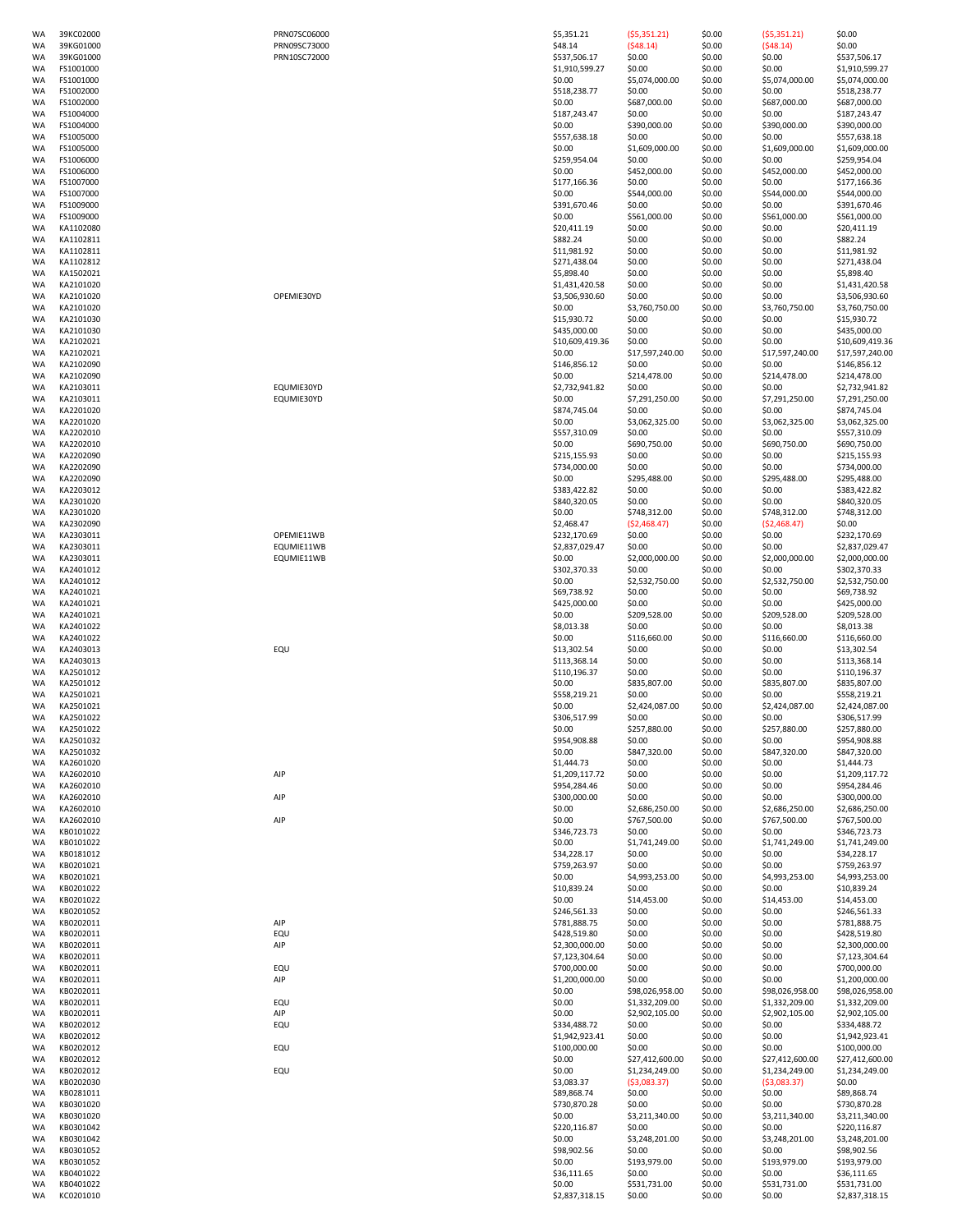| WA        | 39KC02000 | PRN07SC06000 | \$5,351.21      | (55,351.21)     | \$0.00 | (55,351.21)     | \$0.00          |
|-----------|-----------|--------------|-----------------|-----------------|--------|-----------------|-----------------|
| WA        | 39KG01000 | PRN09SC73000 | \$48.14         | (548.14)        | \$0.00 | (548.14)        | \$0.00          |
| <b>WA</b> | 39KG01000 | PRN10SC72000 | \$537,506.17    | \$0.00          | \$0.00 | \$0.00          | \$537,506.17    |
| <b>WA</b> |           |              | \$1,910,599.27  |                 |        |                 |                 |
|           | FS1001000 |              |                 | \$0.00          | \$0.00 | \$0.00          | \$1,910,599.27  |
| WA        | FS1001000 |              | \$0.00          | \$5,074,000.00  | \$0.00 | \$5,074,000.00  | \$5,074,000.00  |
| WA        | FS1002000 |              | \$518,238.77    | \$0.00          | \$0.00 | \$0.00          | \$518,238.77    |
| WA        | FS1002000 |              | \$0.00          | \$687,000.00    | \$0.00 | \$687,000.00    | \$687,000.00    |
| WA        | FS1004000 |              | \$187,243.47    | \$0.00          | \$0.00 | \$0.00          | \$187,243.47    |
| WA        | FS1004000 |              | \$0.00          | \$390,000.00    | \$0.00 | \$390,000.00    | \$390,000.00    |
| WA        | FS1005000 |              | \$557,638.18    | \$0.00          | \$0.00 | \$0.00          | \$557,638.18    |
| WA        | FS1005000 |              | \$0.00          | \$1,609,000.00  | \$0.00 | \$1,609,000.00  | \$1,609,000.00  |
| <b>WA</b> | FS1006000 |              | \$259,954.04    | \$0.00          | \$0.00 | \$0.00          | \$259,954.04    |
| <b>WA</b> | FS1006000 |              | \$0.00          | \$452,000.00    | \$0.00 | \$452,000.00    | \$452,000.00    |
| WA        | FS1007000 |              | \$177,166.36    | \$0.00          | \$0.00 | \$0.00          | \$177,166.36    |
| WA        | FS1007000 |              | \$0.00          | \$544,000.00    | \$0.00 | \$544,000.00    | \$544,000.00    |
|           | FS1009000 |              | \$391,670.46    |                 |        |                 | \$391,670.46    |
| WA        |           |              |                 | \$0.00          | \$0.00 | \$0.00          |                 |
| WA        | FS1009000 |              | \$0.00          | \$561,000.00    | \$0.00 | \$561,000.00    | \$561,000.00    |
| WA        | KA1102080 |              | \$20,411.19     | \$0.00          | \$0.00 | \$0.00          | \$20,411.19     |
| WA        | KA1102811 |              | \$882.24        | \$0.00          | \$0.00 | \$0.00          | \$882.24        |
| WA        | KA1102811 |              | \$11,981.92     | \$0.00          | \$0.00 | \$0.00          | \$11,981.92     |
| <b>WA</b> | KA1102812 |              | \$271,438.04    | \$0.00          | \$0.00 | \$0.00          | \$271,438.04    |
| WA        | KA1502021 |              | \$5,898.40      | \$0.00          | \$0.00 | \$0.00          | \$5,898.40      |
| WA        | KA2101020 |              | \$1,431,420.58  | \$0.00          | \$0.00 | \$0.00          | \$1,431,420.58  |
| WA        | KA2101020 | OPEMIE30YD   | \$3,506,930.60  | \$0.00          | \$0.00 | \$0.00          | \$3,506,930.60  |
| WA        | KA2101020 |              | \$0.00          | \$3,760,750.00  | \$0.00 | \$3,760,750.00  | \$3,760,750.00  |
| WA        | KA2101030 |              | \$15,930.72     | \$0.00          | \$0.00 | \$0.00          | \$15,930.72     |
| WA        | KA2101030 |              | \$435,000.00    | \$0.00          | \$0.00 | \$0.00          | \$435,000.00    |
|           |           |              |                 |                 |        |                 |                 |
| WA        | KA2102021 |              | \$10,609,419.36 | \$0.00          | \$0.00 | \$0.00          | \$10,609,419.36 |
| WA        | KA2102021 |              | \$0.00          | \$17,597,240.00 | \$0.00 | \$17,597,240.00 | \$17,597,240.00 |
| <b>WA</b> | KA2102090 |              | \$146,856.12    | \$0.00          | \$0.00 | \$0.00          | \$146,856.12    |
| WA        | KA2102090 |              | \$0.00          | \$214,478.00    | \$0.00 | \$214,478.00    | \$214,478.00    |
| WA        | KA2103011 | EQUMIE30YD   | \$2,732,941.82  | \$0.00          | \$0.00 | \$0.00          | \$2,732,941.82  |
| WA        | KA2103011 | EQUMIE30YD   | \$0.00          | \$7,291,250.00  | \$0.00 | \$7,291,250.00  | \$7,291,250.00  |
| WA        | KA2201020 |              | \$874,745.04    | \$0.00          | \$0.00 | \$0.00          | \$874,745.04    |
| WA        | KA2201020 |              | \$0.00          | \$3,062,325.00  | \$0.00 | \$3,062,325.00  | \$3,062,325.00  |
| WA        | KA2202010 |              | \$557,310.09    | \$0.00          | \$0.00 | \$0.00          | \$557,310.09    |
| <b>WA</b> | KA2202010 |              | \$0.00          | \$690,750.00    | \$0.00 | \$690,750.00    | \$690,750.00    |
| <b>WA</b> | KA2202090 |              |                 | \$0.00          |        | \$0.00          |                 |
|           |           |              | \$215,155.93    |                 | \$0.00 |                 | \$215,155.93    |
| WA        | KA2202090 |              | \$734,000.00    | \$0.00          | \$0.00 | \$0.00          | \$734,000.00    |
| WA        | KA2202090 |              | \$0.00          | \$295,488.00    | \$0.00 | \$295,488.00    | \$295,488.00    |
| WA        | KA2203012 |              | \$383,422.82    | \$0.00          | \$0.00 | \$0.00          | \$383,422.82    |
| WA        | KA2301020 |              | \$840,320.05    | \$0.00          | \$0.00 | \$0.00          | \$840,320.05    |
| WA        | KA2301020 |              | \$0.00          | \$748,312.00    | \$0.00 | \$748,312.00    | \$748,312.00    |
| WA        | KA2302090 |              | \$2,468.47      | (52, 468.47)    | \$0.00 | (52, 468.47)    | \$0.00          |
| WA        | KA2303011 | OPEMIE11WB   | \$232,170.69    | \$0.00          | \$0.00 | \$0.00          | \$232,170.69    |
| <b>WA</b> | KA2303011 | EQUMIE11WB   | \$2,837,029.47  | \$0.00          | \$0.00 | \$0.00          | \$2,837,029.47  |
| <b>WA</b> | KA2303011 | EQUMIE11WB   | \$0.00          | \$2,000,000.00  | \$0.00 | \$2,000,000.00  | \$2,000,000.00  |
| WA        | KA2401012 |              | \$302,370.33    | \$0.00          | \$0.00 | \$0.00          | \$302,370.33    |
|           | KA2401012 |              | \$0.00          |                 |        |                 |                 |
| WA        |           |              |                 | \$2,532,750.00  | \$0.00 | \$2,532,750.00  | \$2,532,750.00  |
| WA        | KA2401021 |              | \$69,738.92     | \$0.00          | \$0.00 | \$0.00          | \$69,738.92     |
| WA        | KA2401021 |              | \$425,000.00    | \$0.00          | \$0.00 | \$0.00          | \$425,000.00    |
| WA        | KA2401021 |              | \$0.00          | \$209,528.00    | \$0.00 | \$209,528.00    | \$209,528.00    |
| WA        | KA2401022 |              | \$8,013.38      | \$0.00          | \$0.00 | \$0.00          | \$8,013.38      |
| WA        | KA2401022 |              | \$0.00          | \$116,660.00    | \$0.00 | \$116,660.00    | \$116,660.00    |
| <b>WA</b> | KA2403013 | EQU          | \$13,302.54     | \$0.00          | \$0.00 | \$0.00          | \$13,302.54     |
| WA        | KA2403013 |              | \$113,368.14    | \$0.00          | \$0.00 | \$0.00          | \$113,368.14    |
| WA        | KA2501012 |              | \$110,196.37    | \$0.00          | \$0.00 | \$0.00          | \$110,196.37    |
| WA        | KA2501012 |              | \$0.00          | \$835,807.00    | \$0.00 | \$835,807.00    | \$835,807.00    |
| WA        | KA2501021 |              | \$558,219.21    | \$0.00          | \$0.00 | \$0.00          | \$558,219.21    |
|           |           |              |                 |                 |        |                 | \$2,424,087.00  |
| WA        | KA2501021 |              | \$0.00          | \$2,424,087.00  | \$0.00 | \$2,424,087.00  |                 |
| WA        | KA2501022 |              | \$306,517.99    | \$0.00          | \$0.00 | \$0.00          | \$306,517.99    |
| WA        | KA2501022 |              | \$0.00          | \$257,880.00    | \$0.00 | \$257,880.00    | \$257,880.00    |
| WA        | KA2501032 |              | \$954,908.88    | \$0.00          | \$0.00 | \$0.00          | \$954,908.88    |
| WA        | KA2501032 |              | \$0.00          | \$847,320.00    | \$0.00 | \$847,320.00    | \$847,320.00    |
| WA        | KA2601020 |              | \$1,444.73      | \$0.00          | \$0.00 | \$0.00          | \$1,444.73      |
| WA        | KA2602010 | AIP          | \$1,209,117.72  | \$0.00          | \$0.00 | \$0.00          | \$1,209,117.72  |
| WA        | KA2602010 |              | \$954,284.46    | \$0.00          | \$0.00 | \$0.00          | \$954,284.46    |
| WA        | KA2602010 | AIP          | \$300,000.00    | \$0.00          | \$0.00 | \$0.00          | \$300,000.00    |
| WA        | KA2602010 |              | \$0.00          | \$2,686,250.00  | \$0.00 | \$2,686,250.00  | \$2,686,250.00  |
| WA        | KA2602010 | AIP          | \$0.00          | \$767,500.00    | \$0.00 | \$767,500.00    | \$767,500.00    |
| WA        | KB0101022 |              | \$346,723.73    | \$0.00          | \$0.00 | \$0.00          | \$346,723.73    |
| WA        | KB0101022 |              | \$0.00          | \$1,741,249.00  | \$0.00 | \$1,741,249.00  | \$1,741,249.00  |
| WA        |           |              |                 |                 |        |                 |                 |
|           | KB0181012 |              | \$34,228.17     | \$0.00          | \$0.00 | \$0.00          | \$34,228.17     |
| WA        | KB0201021 |              | \$759,263.97    | \$0.00          | \$0.00 | \$0.00          | \$759,263.97    |
| WA        | KB0201021 |              | \$0.00          | \$4,993,253.00  | \$0.00 | \$4,993,253.00  | \$4,993,253.00  |
| WA        | KB0201022 |              | \$10,839.24     | \$0.00          | \$0.00 | \$0.00          | \$10,839.24     |
| WA        | KB0201022 |              | \$0.00          | \$14,453.00     | \$0.00 | \$14,453.00     | \$14,453.00     |
| WA        | KB0201052 |              | \$246,561.33    | \$0.00          | \$0.00 | \$0.00          | \$246,561.33    |
| WA        |           | AIP          | \$781,888.75    | \$0.00          | \$0.00 | \$0.00          | \$781,888.75    |
|           | KB0202011 |              |                 |                 |        |                 | \$428,519.80    |
| WA        | KB0202011 | EQU          | \$428,519.80    | \$0.00          | \$0.00 | \$0.00          |                 |
| WA        | KB0202011 | AIP          | \$2,300,000.00  | \$0.00          | \$0.00 | \$0.00          | \$2,300,000.00  |
| WA        |           |              |                 |                 |        |                 |                 |
|           | KB0202011 |              | \$7,123,304.64  | \$0.00          | \$0.00 | \$0.00          | \$7,123,304.64  |
| WA        | KB0202011 | EQU          | \$700,000.00    | \$0.00          | \$0.00 | \$0.00          | \$700,000.00    |
| WA        | KB0202011 | AIP          | \$1,200,000.00  | \$0.00          | \$0.00 | \$0.00          | \$1,200,000.00  |
| WA        | KB0202011 |              | \$0.00          | \$98,026,958.00 | \$0.00 | \$98,026,958.00 | \$98,026,958.00 |
| WA        | KB0202011 | EQU          | \$0.00          | \$1,332,209.00  | \$0.00 | \$1,332,209.00  | \$1,332,209.00  |
| WA        | KB0202011 | AIP          | \$0.00          | \$2,902,105.00  | \$0.00 | \$2,902,105.00  | \$2,902,105.00  |
| WA        | KB0202012 | EQU          | \$334,488.72    | \$0.00          | \$0.00 | \$0.00          | \$334,488.72    |
| WA        | KB0202012 |              | \$1,942,923.41  | \$0.00          | \$0.00 | \$0.00          | \$1,942,923.41  |
| WA        | KB0202012 | EQU          | \$100,000.00    | \$0.00          | \$0.00 | \$0.00          | \$100,000.00    |
| WA        | KB0202012 |              | \$0.00          | \$27,412,600.00 | \$0.00 | \$27,412,600.00 | \$27,412,600.00 |
| WA        | KB0202012 | EQU          | \$0.00          | \$1,234,249.00  | \$0.00 | \$1,234,249.00  | \$1,234,249.00  |
| WA        |           |              |                 |                 |        |                 |                 |
|           | KB0202030 |              | \$3,083.37      | (53,083.37)     | \$0.00 | ( \$3,083.37)   | \$0.00          |
| WA        | KB0281011 |              | \$89,868.74     | \$0.00          | \$0.00 | \$0.00          | \$89,868.74     |
| WA        | KB0301020 |              | \$730,870.28    | \$0.00          | \$0.00 | \$0.00          | \$730,870.28    |
| WA        | KB0301020 |              | \$0.00          | \$3,211,340.00  | \$0.00 | \$3,211,340.00  | \$3,211,340.00  |
| WA        | KB0301042 |              | \$220,116.87    | \$0.00          | \$0.00 | \$0.00          | \$220,116.87    |
| WA        | KB0301042 |              | \$0.00          | \$3,248,201.00  | \$0.00 | \$3,248,201.00  | \$3,248,201.00  |
| WA        | KB0301052 |              | \$98,902.56     | \$0.00          | \$0.00 | \$0.00          | \$98,902.56     |
| WA        | KB0301052 |              | \$0.00          | \$193,979.00    | \$0.00 | \$193,979.00    | \$193,979.00    |
| WA        | KB0401022 |              | \$36,111.65     | \$0.00          | \$0.00 | \$0.00          | \$36,111.65     |
| WA        | KB0401022 |              | \$0.00          | \$531,731.00    | \$0.00 | \$531,731.00    | \$531,731.00    |

| ۱             | \$0.00                           |
|---------------|----------------------------------|
|               | \$537,506.17                     |
| 00.00         | \$1,910,599.27<br>\$5,074,000.00 |
|               | \$518,238.77                     |
| 0.00          | \$687,000.00<br>\$187,243.47     |
| 0.00          | \$390,000.00                     |
| 00.00         | \$557,638.18<br>\$1,609,000.00   |
|               | \$259,954.04                     |
| $_{0.00}$     | \$452,000.00<br>\$177,166.36     |
| 0.00          | \$544,000.00                     |
| 0.00          | \$391,670.46                     |
|               | \$561,000.00<br>\$20,411.19      |
|               | \$882.24                         |
|               | \$11,981.92<br>\$271,438.04      |
|               | \$5,898.40                       |
|               | \$1,431,420.58                   |
| 750.00        | \$3,506,930.60<br>\$3,760,750.00 |
|               | \$15,930.72                      |
|               | \$435,000.00<br>\$10,609,419.3   |
| ,240.00       | \$17,597,240.0                   |
|               | \$146,856.12                     |
| 8.00          | \$214,478.00<br>\$2,732,941.82   |
| 250.00        | \$7,291,250.00                   |
| 325.00        | \$874,745.04<br>\$3,062,325.00   |
|               | \$557,310.09                     |
| 0.00          | \$690,750.00                     |
|               | \$215,155.93<br>\$734,000.00     |
| 8.00          | \$295,488.00                     |
|               | \$383,422.82<br>\$840,320.05     |
| 2.00          | \$748,312.00                     |
| 47)           | \$0.00<br>\$232,170.69           |
|               | \$2,837,029.47                   |
| 00.00         | \$2,000,000.00                   |
| 750.00        | \$302,370.33<br>\$2,532,750.00   |
|               | \$69,738.92                      |
| 8.00          | \$425,000.00                     |
|               | \$209,528.00<br>\$8,013.38       |
| 0.00          | \$116,660.00                     |
|               | \$13,302.54<br>\$113,368.14      |
|               | \$110,196.37                     |
| 7.00          | \$835,807.00<br>\$558,219.21     |
| 087.00        | \$2,424,087.00                   |
| 0.00          | \$306,517.99<br>\$257,880.00     |
|               | \$954,908.88                     |
| $_{0.00}$     | \$847,320.00                     |
|               | \$1,444.73<br>\$1,209,117.72     |
|               | \$954,284.46                     |
| 250.00        | \$300,000.00<br>\$2,686,250.00   |
| 0.00          | \$767,500.00                     |
| 249.00        | \$346,723.73<br>\$1,741,249.00   |
|               | \$34,228.17                      |
|               | \$759,263.97                     |
| 253.00        | \$4,993,253.00<br>\$10,839.24    |
| .00           | \$14,453.00                      |
|               | \$246,561.33<br>\$781,888.75     |
|               | \$428,519.80                     |
|               | \$2,300,000.00<br>\$7,123,304.64 |
|               | \$700,000.00                     |
| ,958.00       | \$1,200,000.00                   |
| 209.00        | \$98,026,958.0<br>\$1,332,209.00 |
| LO5.00        | \$2,902,105.00                   |
|               | \$334,488.72<br>\$1,942,923.41   |
|               | \$100,000.00                     |
| ,600.00       | \$27,412,600.0                   |
|               |                                  |
| 249.00<br>37) | \$1,234,249.00<br>\$0.00         |
|               | \$89,868.74                      |
| 340.00        | \$730,870.28<br>\$3,211,340.00   |
|               | \$220,116.87                     |
| 201.00        | \$3,248,201.00                   |
| 9.00          | \$98,902.56<br>\$193,979.00      |
| 1.00          | \$36,111.65<br>\$531,731.00      |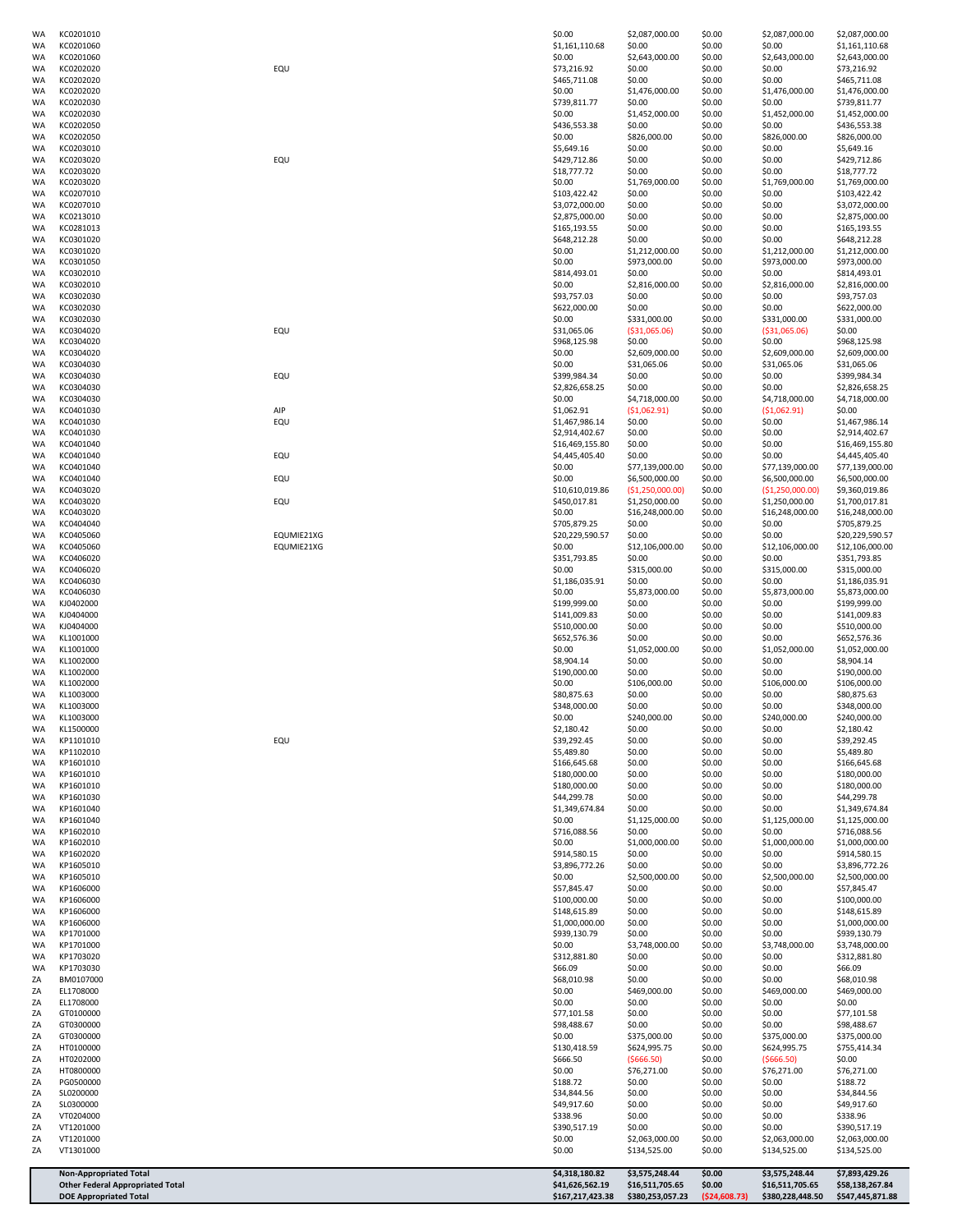| WA       | KC0201010                                                                |            | \$0.00                            | \$2,087,000.00                    | \$0.00           | \$2,087,000.00                    | \$2,087,000.00                    |
|----------|--------------------------------------------------------------------------|------------|-----------------------------------|-----------------------------------|------------------|-----------------------------------|-----------------------------------|
| WA<br>WA | KC0201060<br>KC0201060                                                   |            | \$1,161,110.68<br>\$0.00          | \$0.00<br>\$2,643,000.00          | \$0.00<br>\$0.00 | \$0.00<br>\$2,643,000.00          | \$1,161,110.68<br>\$2,643,000.00  |
| WA       | KC0202020                                                                | EQU        | \$73,216.92                       | \$0.00                            | \$0.00           | \$0.00                            | \$73,216.92                       |
| WA       | KC0202020                                                                |            | \$465,711.08                      | \$0.00                            | \$0.00           | \$0.00                            | \$465,711.08                      |
| WA<br>WA | KC0202020<br>KC0202030                                                   |            | \$0.00<br>\$739,811.77            | \$1,476,000.00<br>\$0.00          | \$0.00<br>\$0.00 | \$1,476,000.00<br>\$0.00          | \$1,476,000.00<br>\$739,811.77    |
| WA       | KC0202030                                                                |            | \$0.00                            | \$1,452,000.00                    | \$0.00           | \$1,452,000.00                    | \$1,452,000.00                    |
| WA       | KC0202050                                                                |            | \$436,553.38                      | \$0.00                            | \$0.00           | \$0.00                            | \$436,553.38                      |
| WA<br>WA | KC0202050<br>KC0203010                                                   |            | \$0.00<br>\$5,649.16              | \$826,000.00<br>\$0.00            | \$0.00<br>\$0.00 | \$826,000.00<br>\$0.00            | \$826,000.00<br>\$5,649.16        |
| WA       | KC0203020                                                                | EQU        | \$429,712.86                      | \$0.00                            | \$0.00           | \$0.00                            | \$429,712.86                      |
| WA       | KC0203020                                                                |            | \$18,777.72                       | \$0.00                            | \$0.00           | \$0.00                            | \$18,777.72                       |
| WA<br>WA | KC0203020<br>KC0207010                                                   |            | \$0.00<br>\$103,422.42            | \$1,769,000.00<br>\$0.00          | \$0.00<br>\$0.00 | \$1,769,000.00<br>\$0.00          | \$1,769,000.00<br>\$103,422.42    |
| WA       | KC0207010                                                                |            | \$3,072,000.00                    | \$0.00                            | \$0.00           | \$0.00                            | \$3,072,000.00                    |
| WA       | KC0213010                                                                |            | \$2,875,000.00                    | \$0.00                            | \$0.00           | \$0.00                            | \$2,875,000.00                    |
| WA<br>WA | KC0281013<br>KC0301020                                                   |            | \$165,193.55<br>\$648,212.28      | \$0.00<br>\$0.00                  | \$0.00<br>\$0.00 | \$0.00<br>\$0.00                  | \$165,193.55<br>\$648,212.28      |
| WA       | KC0301020                                                                |            | \$0.00                            | \$1,212,000.00                    | \$0.00           | \$1,212,000.00                    | \$1,212,000.00                    |
| WA       | KC0301050                                                                |            | \$0.00                            | \$973,000.00                      | \$0.00           | \$973,000.00                      | \$973,000.00                      |
| WA<br>WA | KC0302010<br>KC0302010                                                   |            | \$814,493.01<br>\$0.00            | \$0.00<br>\$2,816,000.00          | \$0.00<br>\$0.00 | \$0.00<br>\$2,816,000.00          | \$814,493.01<br>\$2,816,000.00    |
| WA       | KC0302030                                                                |            | \$93,757.03                       | \$0.00                            | \$0.00           | \$0.00                            | \$93,757.03                       |
| WA       | KC0302030                                                                |            | \$622,000.00                      | \$0.00                            | \$0.00           | \$0.00                            | \$622,000.00                      |
| WA<br>WA | KC0302030<br>KC0304020                                                   | EQU        | \$0.00<br>\$31,065.06             | \$331,000.00<br>( \$31,065.06)    | \$0.00<br>\$0.00 | \$331,000.00<br>( \$31,065.06)    | \$331,000.00<br>\$0.00            |
| WA       | KC0304020                                                                |            | \$968,125.98                      | \$0.00                            | \$0.00           | \$0.00                            | \$968,125.98                      |
| WA       | KC0304020                                                                |            | \$0.00                            | \$2,609,000.00                    | \$0.00           | \$2,609,000.00                    | \$2,609,000.00                    |
| WA<br>WA | KC0304030<br>KC0304030                                                   | EQU        | \$0.00<br>\$399,984.34            | \$31,065.06<br>\$0.00             | \$0.00<br>\$0.00 | \$31,065.06<br>\$0.00             | \$31,065.06<br>\$399,984.34       |
| WA       | KC0304030                                                                |            | \$2,826,658.25                    | \$0.00                            | \$0.00           | \$0.00                            | \$2,826,658.25                    |
| WA       | KC0304030                                                                |            | \$0.00                            | \$4,718,000.00                    | \$0.00           | \$4,718,000.00                    | \$4,718,000.00                    |
| WA<br>WA | KC0401030<br>KC0401030                                                   | AIP<br>EQU | \$1,062.91<br>\$1,467,986.14      | ( \$1,062.91)<br>\$0.00           | \$0.00<br>\$0.00 | ( \$1,062.91)<br>\$0.00           | \$0.00<br>\$1,467,986.14          |
| WA       | KC0401030                                                                |            | \$2,914,402.67                    | \$0.00                            | \$0.00           | \$0.00                            | \$2,914,402.67                    |
| WA       | KC0401040                                                                |            | \$16,469,155.80                   | \$0.00                            | \$0.00           | \$0.00                            | \$16,469,155.80                   |
| WA       | KC0401040<br>KC0401040                                                   | EQU        | \$4,445,405.40<br>\$0.00          | \$0.00                            | \$0.00<br>\$0.00 | \$0.00                            | \$4,445,405.40                    |
| WA<br>WA | KC0401040                                                                | EQU        | \$0.00                            | \$77,139,000.00<br>\$6,500,000.00 | \$0.00           | \$77,139,000.00<br>\$6,500,000.00 | \$77,139,000.00<br>\$6,500,000.00 |
| WA       | KC0403020                                                                |            | \$10,610,019.86                   | (\$1,250,000.00)                  | \$0.00           | (\$1,250,000.00]                  | \$9,360,019.86                    |
| WA       | KC0403020                                                                | EQU        | \$450,017.81                      | \$1,250,000.00                    | \$0.00           | \$1,250,000.00                    | \$1,700,017.81                    |
| WA<br>WA | KC0403020<br>KC0404040                                                   |            | \$0.00<br>\$705,879.25            | \$16,248,000.00<br>\$0.00         | \$0.00<br>\$0.00 | \$16,248,000.00<br>\$0.00         | \$16,248,000.00<br>\$705,879.25   |
| WA       | KC0405060                                                                | EQUMIE21XG | \$20,229,590.57                   | \$0.00                            | \$0.00           | \$0.00                            | \$20,229,590.57                   |
| WA       | KC0405060                                                                | EQUMIE21XG | \$0.00                            | \$12,106,000.00                   | \$0.00           | \$12,106,000.00                   | \$12,106,000.00                   |
| WA<br>WA | KC0406020<br>KC0406020                                                   |            | \$351,793.85<br>\$0.00            | \$0.00<br>\$315,000.00            | \$0.00<br>\$0.00 | \$0.00<br>\$315,000.00            | \$351,793.85<br>\$315,000.00      |
| WA       | KC0406030                                                                |            | \$1,186,035.91                    | \$0.00                            | \$0.00           | \$0.00                            | \$1,186,035.91                    |
| WA       | KC0406030                                                                |            | \$0.00                            | \$5,873,000.00                    | \$0.00           | \$5,873,000.00                    | \$5,873,000.00                    |
| WA<br>WA | KJ0402000<br>KJ0404000                                                   |            | \$199,999.00<br>\$141,009.83      | \$0.00<br>\$0.00                  | \$0.00<br>\$0.00 | \$0.00<br>\$0.00                  | \$199,999.00<br>\$141,009.83      |
| WA       | KJ0404000                                                                |            | \$510,000.00                      | \$0.00                            | \$0.00           | \$0.00                            | \$510,000.00                      |
| WA       | KL1001000                                                                |            | \$652,576.36                      | \$0.00                            | \$0.00           | \$0.00                            | \$652,576.36                      |
| WA<br>WA | KL1001000<br>KL1002000                                                   |            | \$0.00<br>\$8,904.14              | \$1,052,000.00<br>\$0.00          | \$0.00<br>\$0.00 | \$1,052,000.00<br>\$0.00          | \$1,052,000.00<br>\$8,904.14      |
| WA       | KL1002000                                                                |            | \$190,000.00                      | \$0.00                            | \$0.00           | \$0.00                            | \$190,000.00                      |
| WA       | KL1002000                                                                |            | \$0.00                            | \$106,000.00                      | \$0.00           | \$106,000.00                      | \$106,000.00                      |
| WA       | KL1003000                                                                |            | \$80,875.63                       | \$0.00                            | \$0.00           | \$0.00                            | \$80,875.63                       |
| WA<br>WA | KL1003000<br>KL1003000                                                   |            | \$348,000.00<br>\$0.00            | \$0.00<br>\$240,000.00            | \$0.00<br>\$0.00 | \$0.00<br>\$240,000.00            | \$348,000.00<br>\$240,000.00      |
| WA       | KL1500000                                                                |            | \$2,180.42                        | \$0.00                            | \$0.00           | \$0.00                            | \$2,180.42                        |
| WA       | KP1101010                                                                | EQU        | \$39,292.45                       | \$0.00                            | \$0.00           | \$0.00                            | \$39,292.45                       |
| WA<br>WA | KP1102010<br>KP1601010                                                   |            | \$5,489.80<br>\$166,645.68        | \$0.00<br>\$0.00                  | \$0.00<br>\$0.00 | \$0.00<br>\$0.00                  | \$5,489.80<br>\$166,645.68        |
| WA       | KP1601010                                                                |            | \$180,000.00                      | \$0.00                            | \$0.00           | \$0.00                            | \$180,000.00                      |
| WA       | KP1601010                                                                |            | \$180,000.00                      | \$0.00                            | \$0.00           | \$0.00                            | \$180,000.00                      |
| WA<br>WA | KP1601030<br>KP1601040                                                   |            | \$44,299.78<br>\$1,349,674.84     | \$0.00<br>\$0.00                  | \$0.00<br>\$0.00 | \$0.00<br>\$0.00                  | \$44,299.78<br>\$1,349,674.84     |
| WA       | KP1601040                                                                |            | \$0.00                            | \$1,125,000.00                    | \$0.00           | \$1,125,000.00                    | \$1,125,000.00                    |
| WA       | KP1602010                                                                |            | \$716,088.56                      | \$0.00                            | \$0.00           | \$0.00                            | \$716,088.56                      |
| WA<br>WA | KP1602010<br>KP1602020                                                   |            | \$0.00<br>\$914,580.15            | \$1,000,000.00<br>\$0.00          | \$0.00<br>\$0.00 | \$1,000,000.00<br>\$0.00          | \$1,000,000.00<br>\$914,580.15    |
| WA       | KP1605010                                                                |            | \$3,896,772.26                    | \$0.00                            | \$0.00           | \$0.00                            | \$3,896,772.26                    |
| WA       | KP1605010                                                                |            | \$0.00                            | \$2,500,000.00                    | \$0.00           | \$2,500,000.00                    | \$2,500,000.00                    |
| WA<br>WA | KP1606000<br>KP1606000                                                   |            | \$57,845.47<br>\$100,000.00       | \$0.00<br>\$0.00                  | \$0.00<br>\$0.00 | \$0.00<br>\$0.00                  | \$57,845.47<br>\$100,000.00       |
| WA       | KP1606000                                                                |            | \$148,615.89                      | \$0.00                            | \$0.00           | \$0.00                            | \$148,615.89                      |
| WA       | KP1606000                                                                |            | \$1,000,000.00                    | \$0.00                            | \$0.00           | \$0.00                            | \$1,000,000.00                    |
| WA<br>WA | KP1701000<br>KP1701000                                                   |            | \$939,130.79<br>\$0.00            | \$0.00<br>\$3,748,000.00          | \$0.00<br>\$0.00 | \$0.00<br>\$3,748,000.00          | \$939,130.79<br>\$3,748,000.00    |
| WA       | KP1703020                                                                |            | \$312,881.80                      | \$0.00                            | \$0.00           | \$0.00                            | \$312,881.80                      |
| WA       | KP1703030                                                                |            | \$66.09                           | \$0.00                            | \$0.00           | \$0.00                            | \$66.09                           |
| ZA<br>ZA | BM0107000<br>EL1708000                                                   |            | \$68,010.98<br>\$0.00             | \$0.00<br>\$469,000.00            | \$0.00<br>\$0.00 | \$0.00<br>\$469,000.00            | \$68,010.98<br>\$469,000.00       |
| ZA       | EL1708000                                                                |            | \$0.00                            | \$0.00                            | \$0.00           | \$0.00                            | \$0.00                            |
| ZA       | GT0100000                                                                |            | \$77,101.58                       | \$0.00                            | \$0.00           | \$0.00                            | \$77,101.58                       |
| ZA<br>ZA | GT0300000<br>GT0300000                                                   |            | \$98,488.67<br>\$0.00             | \$0.00<br>\$375,000.00            | \$0.00<br>\$0.00 | \$0.00<br>\$375,000.00            | \$98,488.67<br>\$375,000.00       |
| ZA       | HT0100000                                                                |            | \$130,418.59                      | \$624,995.75                      | \$0.00           | \$624,995.75                      | \$755,414.34                      |
| ZA       | HT0202000                                                                |            | \$666.50                          | ( \$666.50)                       | \$0.00           | ( \$666.50)                       | \$0.00                            |
| ZA       | HT0800000                                                                |            | \$0.00                            | \$76,271.00                       | \$0.00           | \$76,271.00                       | \$76,271.00                       |
| ZA<br>ZA | PG0500000<br>SL0200000                                                   |            | \$188.72<br>\$34,844.56           | \$0.00<br>\$0.00                  | \$0.00<br>\$0.00 | \$0.00<br>\$0.00                  | \$188.72<br>\$34,844.56           |
| ZA       | SL0300000                                                                |            | \$49,917.60                       | \$0.00                            | \$0.00           | \$0.00                            | \$49,917.60                       |
| ZA       | VT0204000                                                                |            | \$338.96                          | \$0.00                            | \$0.00           | \$0.00                            | \$338.96                          |
| ZA<br>ZA | VT1201000<br>VT1201000                                                   |            | \$390,517.19<br>\$0.00            | \$0.00<br>\$2,063,000.00          | \$0.00<br>\$0.00 | \$0.00<br>\$2,063,000.00          | \$390,517.19<br>\$2,063,000.00    |
| ZA       | VT1301000                                                                |            | \$0.00                            | \$134,525.00                      | \$0.00           | \$134,525.00                      | \$134,525.00                      |
|          | <b>Non-Appropriated Total</b><br><b>Other Federal Appropriated Total</b> |            | \$4,318,180.82<br>\$41,626,562.19 | \$3,575,248.44<br>\$16,511,705.65 | \$0.00<br>\$0.00 | \$3,575,248.44<br>\$16,511,705.65 | \$7,893,429.26<br>\$58,138,267.84 |
|          | <b>DOE Appropriated Total</b>                                            |            | \$167,217,423.38                  | \$380,253,057.23                  | ( \$24,608.73)   | \$380,228,448.50                  | \$547,445,871.88                  |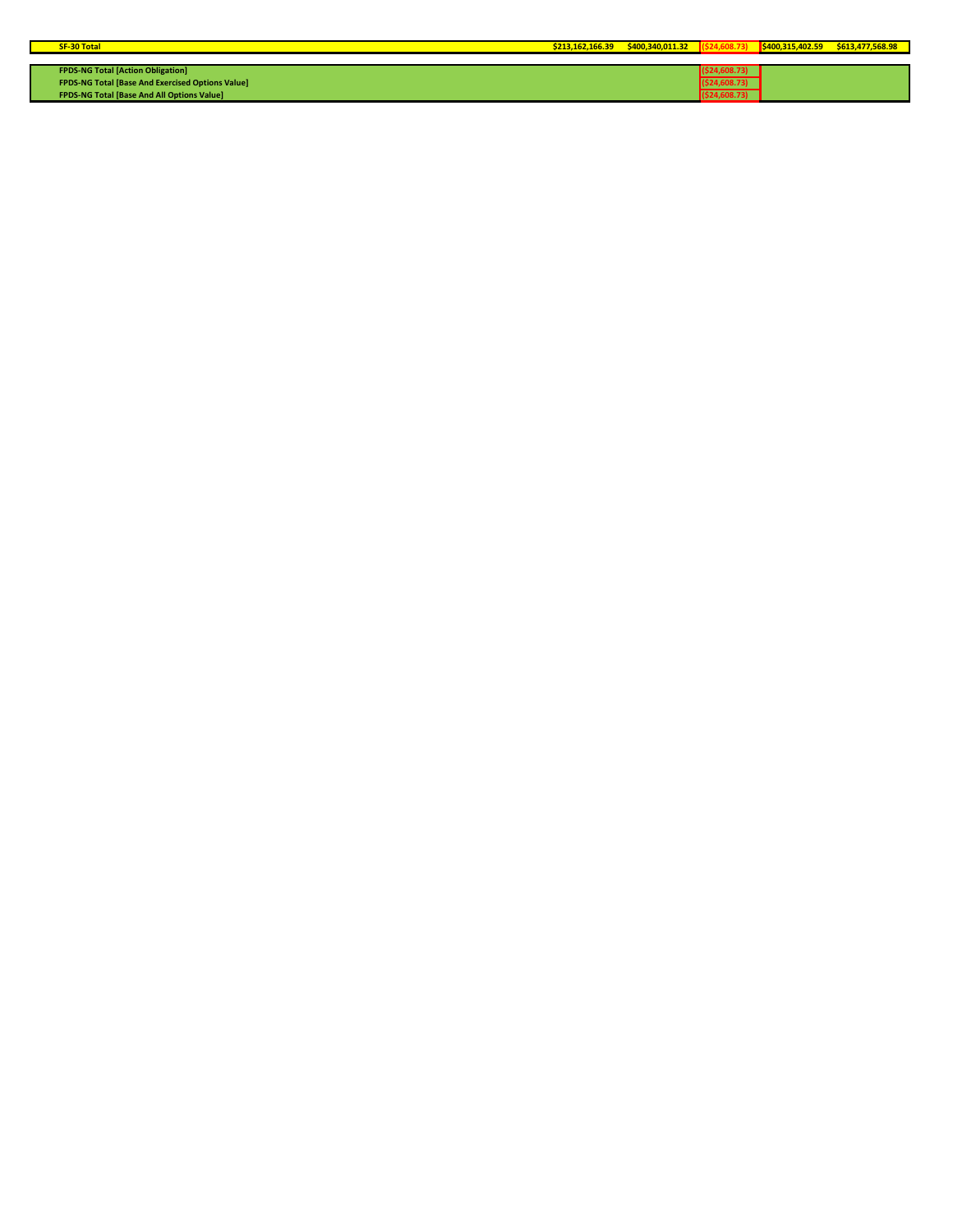| <b>SF-30 Total</b>                                      | \$213.162.166.39 | \$400.340.011.32 | \$400,315,402.59 | \$613,477,568.98 |
|---------------------------------------------------------|------------------|------------------|------------------|------------------|
|                                                         |                  |                  |                  |                  |
| <b>FPDS-NG Total [Action Obligation]</b>                |                  |                  |                  |                  |
| <b>FPDS-NG Total [Base And Exercised Options Value]</b> |                  |                  |                  |                  |
| FPDS-NG Total [Base And All Options Value]              |                  |                  |                  |                  |

Ī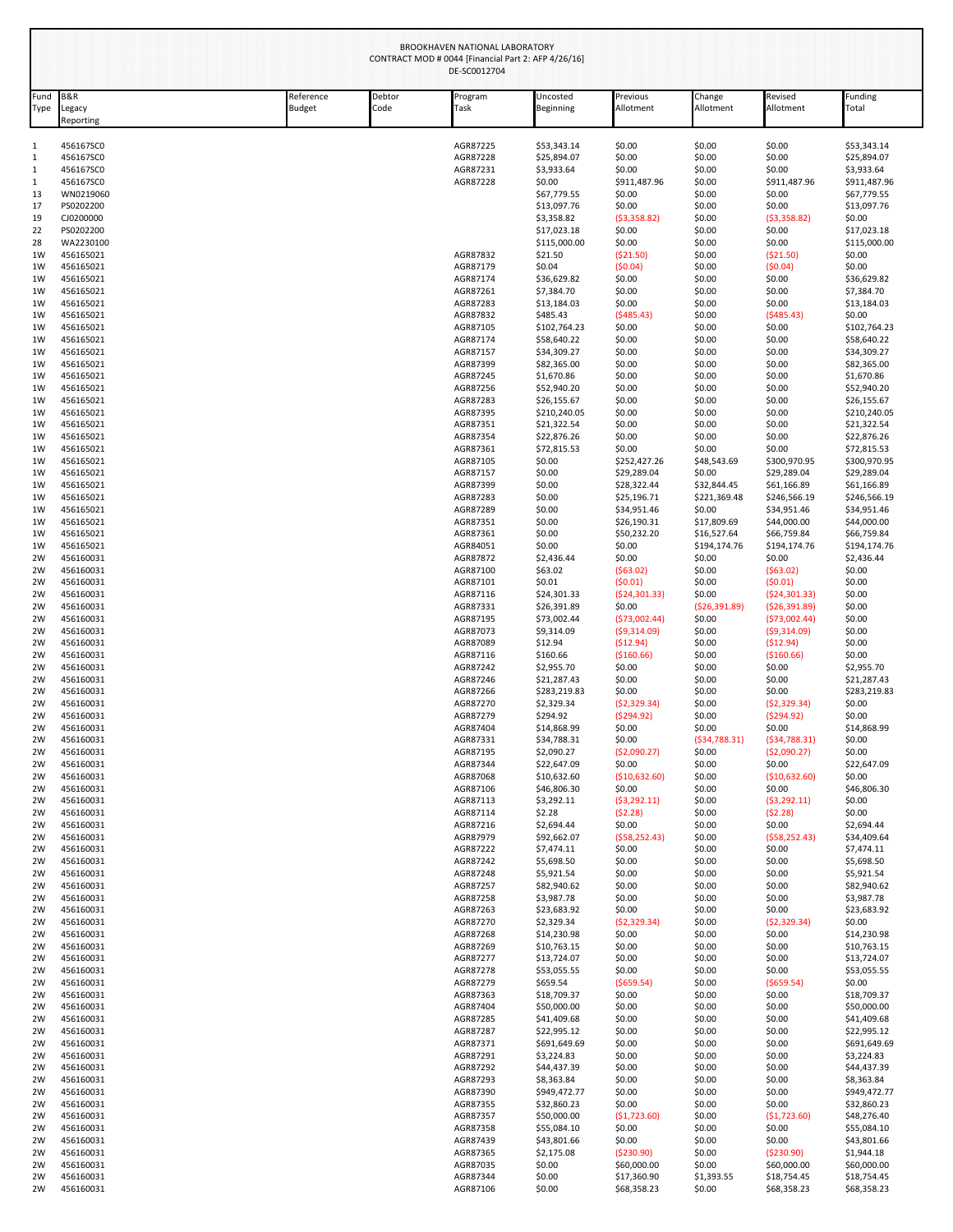|              |                                      |                            |                | BROOKHAVEN NATIONAL LABORATORY<br>CONTRACT MOD # 0044 [Financial Part 2: AFP 4/26/16]<br>DE-SC0012704 |                             |                            |                            |                                  |                             |
|--------------|--------------------------------------|----------------------------|----------------|-------------------------------------------------------------------------------------------------------|-----------------------------|----------------------------|----------------------------|----------------------------------|-----------------------------|
| Fund<br>Type | <b>B&amp;R</b><br>egacy<br>Reporting | Reference<br><b>Budget</b> | Debtor<br>Code | Program<br>Task                                                                                       | Uncosted<br>Beginning       | Previous<br>Allotment      | Change<br>Allotment        | Revised<br>Allotment             | Funding<br>Total            |
| 1            | 456167SC0                            |                            |                | AGR87225                                                                                              | \$53,343.14                 | \$0.00                     | \$0.00                     | \$0.00                           | \$53,343.14                 |
| $\mathbf{1}$ | 456167SC0                            |                            |                | AGR87228                                                                                              | \$25,894.07                 | \$0.00                     | \$0.00                     | \$0.00                           | \$25,894.07                 |
| 1            | 456167SC0                            |                            |                | AGR87231                                                                                              | \$3,933.64                  | \$0.00                     | \$0.00                     | \$0.00                           | \$3,933.64                  |
| 1            | 456167SC0                            |                            |                | AGR87228                                                                                              | \$0.00                      | \$911,487.96               | \$0.00<br>\$0.00           | \$911,487.96<br>\$0.00           | \$911,487.96                |
| 13<br>17     | WN0219060<br>PS0202200               |                            |                |                                                                                                       | \$67,779.55<br>\$13,097.76  | \$0.00<br>\$0.00           | \$0.00                     | \$0.00                           | \$67,779.55<br>\$13,097.76  |
| 19           | CJ0200000                            |                            |                |                                                                                                       | \$3,358.82                  | (53,358.82)                | \$0.00                     | ( \$3,358.82)                    | \$0.00                      |
| 22           | PS0202200                            |                            |                |                                                                                                       | \$17,023.18                 | \$0.00                     | \$0.00                     | \$0.00                           | \$17,023.18                 |
| 28           | WA2230100                            |                            |                |                                                                                                       | \$115,000.00                | \$0.00                     | \$0.00                     | \$0.00                           | \$115,000.00                |
| 1W           | 456165021                            |                            |                | AGR87832                                                                                              | \$21.50                     | ( \$21.50)                 | \$0.00                     | (521.50)                         | \$0.00                      |
| 1W           | 456165021                            |                            |                | AGR87179                                                                                              | \$0.04                      | (50.04)                    | \$0.00                     | (50.04)                          | \$0.00                      |
| 1W<br>1W     | 456165021<br>456165021               |                            |                | AGR87174<br>AGR87261                                                                                  | \$36,629.82<br>\$7,384.70   | \$0.00<br>\$0.00           | \$0.00<br>\$0.00           | \$0.00<br>\$0.00                 | \$36,629.82<br>\$7,384.70   |
| 1W           | 456165021                            |                            |                | AGR87283                                                                                              | \$13,184.03                 | \$0.00                     | \$0.00                     | \$0.00                           | \$13,184.03                 |
| 1W           | 456165021                            |                            |                | AGR87832                                                                                              | \$485.43                    | (5485.43)                  | \$0.00                     | (5485.43)                        | \$0.00                      |
| 1W           | 456165021                            |                            |                | AGR87105                                                                                              | \$102,764.23                | \$0.00                     | \$0.00                     | \$0.00                           | \$102,764.23                |
| 1W           | 456165021                            |                            |                | AGR87174                                                                                              | \$58,640.22                 | \$0.00                     | \$0.00                     | \$0.00                           | \$58,640.22                 |
| 1W           | 456165021                            |                            |                | AGR87157<br>AGR87399                                                                                  | \$34,309.27<br>\$82,365.00  | \$0.00<br>\$0.00           | \$0.00<br>\$0.00           | \$0.00<br>\$0.00                 | \$34,309.27<br>\$82,365.00  |
| 1W<br>1W     | 456165021<br>456165021               |                            |                | AGR87245                                                                                              | \$1,670.86                  | \$0.00                     | \$0.00                     | \$0.00                           | \$1,670.86                  |
| 1W           | 456165021                            |                            |                | AGR87256                                                                                              | \$52,940.20                 | \$0.00                     | \$0.00                     | \$0.00                           | \$52,940.20                 |
| 1W           | 456165021                            |                            |                | AGR87283                                                                                              | \$26,155.67                 | \$0.00                     | \$0.00                     | \$0.00                           | \$26,155.67                 |
| 1W           | 456165021                            |                            |                | AGR87395                                                                                              | \$210,240.05                | \$0.00                     | \$0.00                     | \$0.00                           | \$210,240.05                |
| 1W           | 456165021                            |                            |                | AGR87351                                                                                              | \$21,322.54                 | \$0.00                     | \$0.00                     | \$0.00                           | \$21,322.54                 |
| 1W<br>1W     | 456165021<br>456165021               |                            |                | AGR87354<br>AGR87361                                                                                  | \$22,876.26<br>\$72,815.53  | \$0.00<br>\$0.00           | \$0.00<br>\$0.00           | \$0.00<br>\$0.00                 | \$22,876.26<br>\$72,815.53  |
| 1W           | 456165021                            |                            |                | AGR87105                                                                                              | \$0.00                      | \$252,427.26               | \$48,543.69                | \$300,970.95                     | \$300,970.95                |
| 1W           | 456165021                            |                            |                | AGR87157                                                                                              | \$0.00                      | \$29,289.04                | \$0.00                     | \$29,289.04                      | \$29,289.04                 |
| 1W           | 456165021                            |                            |                | AGR87399                                                                                              | \$0.00                      | \$28,322.44                | \$32,844.45                | \$61,166.89                      | \$61,166.89                 |
| 1W           | 456165021                            |                            |                | AGR87283                                                                                              | \$0.00                      | \$25,196.71                | \$221,369.48               | \$246,566.19                     | \$246,566.19                |
| 1W           | 456165021                            |                            |                | AGR87289                                                                                              | \$0.00                      | \$34,951.46                | \$0.00                     | \$34,951.46                      | \$34,951.46                 |
| 1W<br>1W     | 456165021<br>456165021               |                            |                | AGR87351<br>AGR87361                                                                                  | \$0.00<br>\$0.00            | \$26,190.31<br>\$50,232.20 | \$17,809.69<br>\$16,527.64 | \$44,000.00<br>\$66,759.84       | \$44,000.00<br>\$66,759.84  |
| 1W           | 456165021                            |                            |                | AGR84051                                                                                              | \$0.00                      | \$0.00                     | \$194,174.76               | \$194,174.76                     | \$194,174.76                |
| 2W           | 456160031                            |                            |                | AGR87872                                                                                              | \$2,436.44                  | \$0.00                     | \$0.00                     | \$0.00                           | \$2,436.44                  |
| 2W           | 456160031                            |                            |                | AGR87100                                                                                              | \$63.02                     | (563.02)                   | \$0.00                     | $($ \$63.02)                     | \$0.00                      |
| 2W           | 456160031                            |                            |                | AGR87101                                                                                              | \$0.01                      | (50.01)                    | \$0.00                     | (50.01)                          | \$0.00                      |
| 2W<br>2W     | 456160031<br>456160031               |                            |                | AGR87116<br>AGR87331                                                                                  | \$24,301.33<br>\$26,391.89  | (524, 301.33)<br>\$0.00    | \$0.00<br>( \$26, 391.89)  | (524, 301.33)<br>( \$26, 391.89) | \$0.00<br>\$0.00            |
| 2W           | 456160031                            |                            |                | AGR87195                                                                                              | \$73,002.44                 | (573,002.44)               | \$0.00                     | (573,002.44)                     | \$0.00                      |
| 2W           | 456160031                            |                            |                | AGR87073                                                                                              | \$9,314.09                  | (59,314.09)                | \$0.00                     | (59,314.09)                      | \$0.00                      |
| 2W           | 456160031                            |                            |                | AGR87089                                                                                              | \$12.94                     | (512.94)                   | \$0.00                     | (512.94)                         | \$0.00                      |
| 2W           | 456160031                            |                            |                | AGR87116                                                                                              | \$160.66                    | ( \$160.66)                | \$0.00                     | ( \$160.66)                      | \$0.00                      |
| 2W           | 456160031                            |                            |                | AGR87242                                                                                              | \$2,955.70                  | \$0.00                     | \$0.00                     | \$0.00                           | \$2,955.70                  |
| 2W<br>2W     | 456160031<br>456160031               |                            |                | AGR87246<br>AGR87266                                                                                  | \$21,287.43<br>\$283,219.83 | \$0.00<br>\$0.00           | \$0.00<br>\$0.00           | \$0.00<br>\$0.00                 | \$21,287.43<br>\$283,219.83 |
| 2W           | 456160031                            |                            |                | AGR87270                                                                                              | \$2,329.34                  | (52, 329.34)               | \$0.00                     | (52, 329.34)                     | \$0.00                      |
| 2W           | 456160031                            |                            |                | AGR87279                                                                                              | \$294.92                    | (5294.92)                  | \$0.00                     | (5294.92)                        | \$0.00                      |
| 2W           | 456160031                            |                            |                | AGR87404                                                                                              | \$14,868.99                 | \$0.00                     | \$0.00                     | \$0.00                           | \$14,868.99                 |
| 2W           | 456160031                            |                            |                | AGR87331                                                                                              | \$34,788.31                 | \$0.00                     | (534, 788.31)              | (534, 788.31)                    | \$0.00                      |
| 2W<br>2W     | 456160031<br>456160031               |                            |                | AGR87195<br>AGR87344                                                                                  | \$2,090.27<br>\$22,647.09   | (52,090.27)<br>\$0.00      | \$0.00<br>\$0.00           | ( \$2,090.27)<br>\$0.00          | \$0.00<br>\$22,647.09       |
| 2W           | 456160031                            |                            |                | AGR87068                                                                                              | \$10,632.60                 | (\$10,632.60)              | \$0.00                     | (\$10,632.60)                    | \$0.00                      |
| 2W           | 456160031                            |                            |                | AGR87106                                                                                              | \$46,806.30                 | \$0.00                     | \$0.00                     | \$0.00                           | \$46,806.30                 |
| 2W           | 456160031                            |                            |                | AGR87113                                                                                              | \$3,292.11                  | (53, 292.11)               | \$0.00                     | (53, 292.11)                     | \$0.00                      |
| 2W           | 456160031                            |                            |                | AGR87114                                                                                              | \$2.28                      | (52.28)                    | \$0.00                     | (52.28)                          | \$0.00                      |
| 2W<br>2W     | 456160031<br>456160031               |                            |                | AGR87216<br>AGR87979                                                                                  | \$2,694.44<br>\$92,662.07   | \$0.00<br>(558, 252.43)    | \$0.00<br>\$0.00           | \$0.00<br>(558, 252.43)          | \$2,694.44<br>\$34,409.64   |
| 2W           | 456160031                            |                            |                | AGR87222                                                                                              | \$7,474.11                  | \$0.00                     | \$0.00                     | \$0.00                           | \$7,474.11                  |
| 2W           | 456160031                            |                            |                | AGR87242                                                                                              | \$5,698.50                  | \$0.00                     | \$0.00                     | \$0.00                           | \$5,698.50                  |
| 2W           | 456160031                            |                            |                | AGR87248                                                                                              | \$5,921.54                  | \$0.00                     | \$0.00                     | \$0.00                           | \$5,921.54                  |
| 2W           | 456160031                            |                            |                | AGR87257                                                                                              | \$82,940.62                 | \$0.00                     | \$0.00                     | \$0.00                           | \$82,940.62                 |
| 2W           | 456160031<br>456160031               |                            |                | AGR87258<br>AGR87263                                                                                  | \$3,987.78<br>\$23,683.92   | \$0.00<br>\$0.00           | \$0.00<br>\$0.00           | \$0.00<br>\$0.00                 | \$3,987.78<br>\$23,683.92   |
| 2W<br>2W     | 456160031                            |                            |                | AGR87270                                                                                              | \$2,329.34                  | (52, 329.34)               | \$0.00                     | (52, 329.34)                     | \$0.00                      |
| 2W           | 456160031                            |                            |                | AGR87268                                                                                              | \$14,230.98                 | \$0.00                     | \$0.00                     | \$0.00                           | \$14,230.98                 |
| 2W           | 456160031                            |                            |                | AGR87269                                                                                              | \$10,763.15                 | \$0.00                     | \$0.00                     | \$0.00                           | \$10,763.15                 |
| 2W           | 456160031                            |                            |                | AGR87277                                                                                              | \$13,724.07                 | \$0.00                     | \$0.00                     | \$0.00                           | \$13,724.07                 |
| 2W           | 456160031                            |                            |                | AGR87278                                                                                              | \$53,055.55                 | \$0.00                     | \$0.00                     | \$0.00                           | \$53,055.55                 |
| 2W<br>2W     | 456160031<br>456160031               |                            |                | AGR87279<br>AGR87363                                                                                  | \$659.54<br>\$18,709.37     | ( \$659.54)<br>\$0.00      | \$0.00<br>\$0.00           | ( \$659.54)<br>\$0.00            | \$0.00<br>\$18,709.37       |
| 2W           | 456160031                            |                            |                | AGR87404                                                                                              | \$50,000.00                 | \$0.00                     | \$0.00                     | \$0.00                           | \$50,000.00                 |
| 2W           | 456160031                            |                            |                | AGR87285                                                                                              | \$41,409.68                 | \$0.00                     | \$0.00                     | \$0.00                           | \$41,409.68                 |
| 2W           | 456160031                            |                            |                | AGR87287                                                                                              | \$22,995.12                 | \$0.00                     | \$0.00                     | \$0.00                           | \$22,995.12                 |
| 2W           | 456160031                            |                            |                | AGR87371                                                                                              | \$691,649.69                | \$0.00                     | \$0.00                     | \$0.00                           | \$691,649.69                |
| 2W           | 456160031                            |                            |                | AGR87291                                                                                              | \$3,224.83                  | \$0.00                     | \$0.00                     | \$0.00                           | \$3,224.83                  |
| 2W<br>2W     | 456160031<br>456160031               |                            |                | AGR87292<br>AGR87293                                                                                  | \$44,437.39<br>\$8,363.84   | \$0.00<br>\$0.00           | \$0.00<br>\$0.00           | \$0.00<br>\$0.00                 | \$44,437.39<br>\$8,363.84   |
| 2W           | 456160031                            |                            |                | AGR87390                                                                                              | \$949,472.77                | \$0.00                     | \$0.00                     | \$0.00                           | \$949,472.77                |
| 2W           | 456160031                            |                            |                | AGR87355                                                                                              | \$32,860.23                 | \$0.00                     | \$0.00                     | \$0.00                           | \$32,860.23                 |
| 2W           | 456160031                            |                            |                | AGR87357                                                                                              | \$50,000.00                 | (51, 723.60)               | \$0.00                     | (51, 723.60)                     | \$48,276.40                 |
| 2W           | 456160031                            |                            |                | AGR87358                                                                                              | \$55,084.10                 | \$0.00                     | \$0.00                     | \$0.00                           | \$55,084.10                 |
| 2W           | 456160031                            |                            |                | AGR87439                                                                                              | \$43,801.66                 | \$0.00                     | \$0.00                     | \$0.00                           | \$43,801.66                 |
| 2W<br>2W     | 456160031<br>456160031               |                            |                | AGR87365<br>AGR87035                                                                                  | \$2,175.08<br>\$0.00        | ( \$230.90)<br>\$60,000.00 | \$0.00<br>\$0.00           | ( \$230.90)<br>\$60,000.00       | \$1,944.18<br>\$60,000.00   |
| 2W           | 456160031                            |                            |                | AGR87344                                                                                              | \$0.00                      | \$17,360.90                | \$1,393.55                 | \$18,754.45                      | \$18,754.45                 |
| 2W           | 456160031                            |                            |                | AGR87106                                                                                              | \$0.00                      | \$68,358.23                | \$0.00                     | \$68,358.23                      | \$68,358.23                 |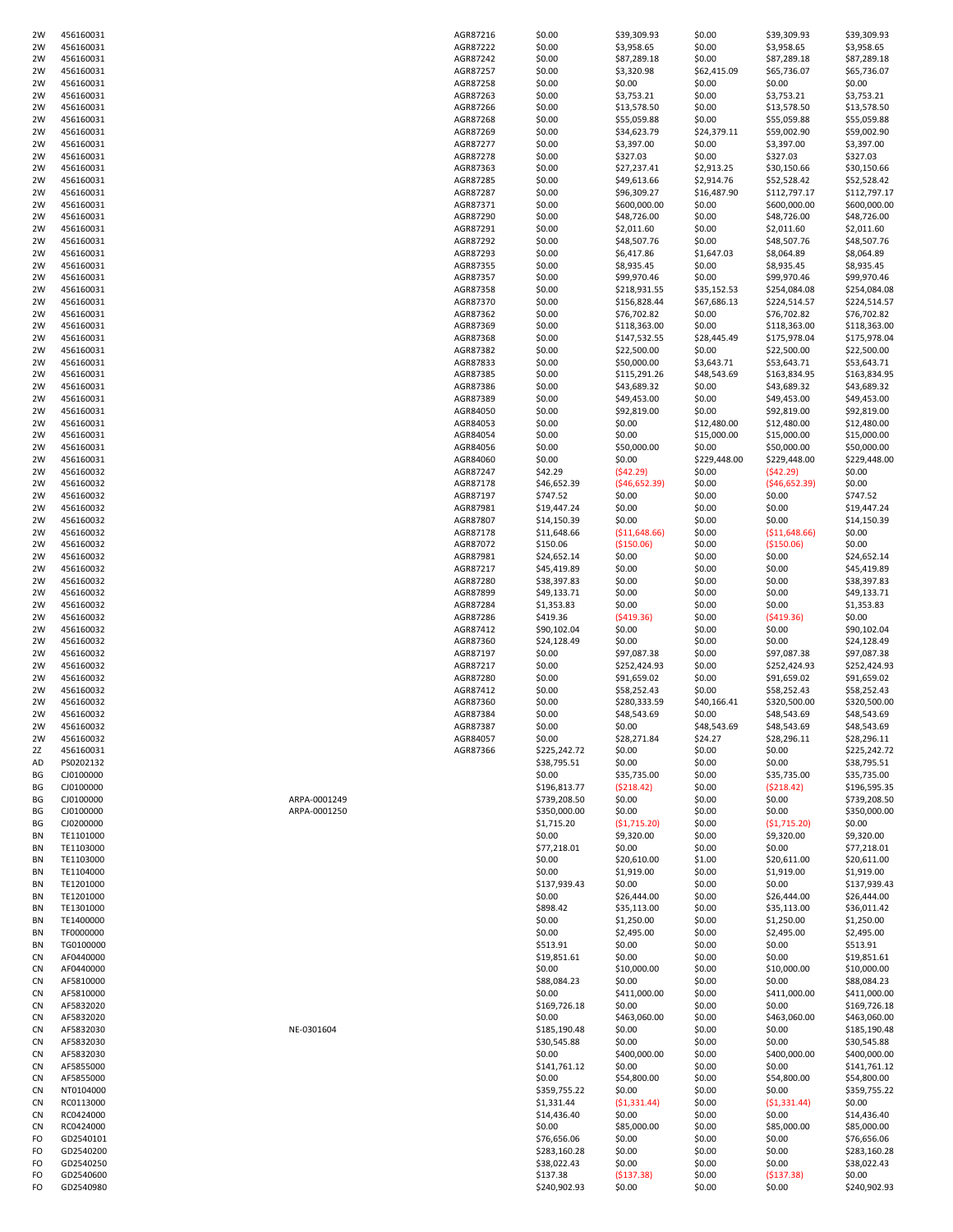| 2W        | 456160031 |              | AGR87216 | \$0.00       | \$39,309.93    | \$0.00       | \$39,309.93    | \$39,309.93  |
|-----------|-----------|--------------|----------|--------------|----------------|--------------|----------------|--------------|
| 2W        | 456160031 |              | AGR87222 | \$0.00       | \$3,958.65     | \$0.00       | \$3,958.65     | \$3,958.65   |
|           |           |              |          |              |                |              |                |              |
| 2W        | 456160031 |              | AGR87242 | \$0.00       | \$87,289.18    | \$0.00       | \$87,289.18    | \$87,289.18  |
| 2W        | 456160031 |              | AGR87257 | \$0.00       | \$3,320.98     | \$62,415.09  | \$65,736.07    | \$65,736.07  |
| 2W        | 456160031 |              | AGR87258 | \$0.00       | \$0.00         | \$0.00       | \$0.00         | \$0.00       |
| 2W        | 456160031 |              | AGR87263 | \$0.00       | \$3,753.21     | \$0.00       | \$3,753.21     | \$3,753.21   |
| 2W        | 456160031 |              | AGR87266 | \$0.00       | \$13,578.50    | \$0.00       | \$13,578.50    | \$13,578.50  |
| 2W        | 456160031 |              | AGR87268 | \$0.00       | \$55,059.88    | \$0.00       | \$55,059.88    | \$55,059.88  |
| 2W        | 456160031 |              | AGR87269 | \$0.00       | \$34,623.79    | \$24,379.11  | \$59,002.90    | \$59,002.90  |
|           | 456160031 |              | AGR87277 | \$0.00       | \$3,397.00     | \$0.00       |                | \$3,397.00   |
| 2W        |           |              |          |              |                |              | \$3,397.00     |              |
| 2W        | 456160031 |              | AGR87278 | \$0.00       | \$327.03       | \$0.00       | \$327.03       | \$327.03     |
| 2W        | 456160031 |              | AGR87363 | \$0.00       | \$27,237.41    | \$2,913.25   | \$30,150.66    | \$30,150.66  |
| 2W        | 456160031 |              | AGR87285 | \$0.00       | \$49,613.66    | \$2,914.76   | \$52,528.42    | \$52,528.42  |
| 2W        | 456160031 |              | AGR87287 | \$0.00       | \$96,309.27    | \$16,487.90  | \$112,797.17   | \$112,797.17 |
| 2W        | 456160031 |              | AGR87371 | \$0.00       | \$600,000.00   | \$0.00       | \$600,000.00   | \$600,000.00 |
| 2W        | 456160031 |              | AGR87290 | \$0.00       | \$48,726.00    | \$0.00       | \$48,726.00    | \$48,726.00  |
|           | 456160031 |              | AGR87291 | \$0.00       | \$2,011.60     | \$0.00       | \$2,011.60     | \$2,011.60   |
| 2W        |           |              |          |              |                |              |                |              |
| 2W        | 456160031 |              | AGR87292 | \$0.00       | \$48,507.76    | \$0.00       | \$48,507.76    | \$48,507.76  |
| 2W        | 456160031 |              | AGR87293 | \$0.00       | \$6,417.86     | \$1,647.03   | \$8,064.89     | \$8,064.89   |
| 2W        | 456160031 |              | AGR87355 | \$0.00       | \$8,935.45     | \$0.00       | \$8,935.45     | \$8,935.45   |
| 2W        | 456160031 |              | AGR87357 | \$0.00       | \$99,970.46    | \$0.00       | \$99,970.46    | \$99,970.46  |
| 2W        | 456160031 |              | AGR87358 | \$0.00       | \$218,931.55   | \$35,152.53  | \$254,084.08   | \$254,084.08 |
| 2W        |           |              |          |              |                |              |                |              |
|           | 456160031 |              | AGR87370 | \$0.00       | \$156,828.44   | \$67,686.13  | \$224,514.57   | \$224,514.57 |
| 2W        | 456160031 |              | AGR87362 | \$0.00       | \$76,702.82    | \$0.00       | \$76,702.82    | \$76,702.82  |
| 2W        | 456160031 |              | AGR87369 | \$0.00       | \$118,363.00   | \$0.00       | \$118,363.00   | \$118,363.00 |
| 2W        | 456160031 |              | AGR87368 | \$0.00       | \$147,532.55   | \$28,445.49  | \$175,978.04   | \$175,978.04 |
| 2W        | 456160031 |              | AGR87382 | \$0.00       | \$22,500.00    | \$0.00       | \$22,500.00    | \$22,500.00  |
| 2W        | 456160031 |              | AGR87833 | \$0.00       | \$50,000.00    | \$3,643.71   | \$53,643.71    | \$53,643.71  |
|           |           |              |          |              |                |              |                |              |
| 2W        | 456160031 |              | AGR87385 | \$0.00       | \$115,291.26   | \$48,543.69  | \$163,834.95   | \$163,834.95 |
| 2W        | 456160031 |              | AGR87386 | \$0.00       | \$43,689.32    | \$0.00       | \$43,689.32    | \$43,689.32  |
| 2W        | 456160031 |              | AGR87389 | \$0.00       | \$49,453.00    | \$0.00       | \$49,453.00    | \$49,453.00  |
| 2W        | 456160031 |              | AGR84050 | \$0.00       | \$92,819.00    | \$0.00       | \$92,819.00    | \$92,819.00  |
| 2W        | 456160031 |              | AGR84053 | \$0.00       | \$0.00         | \$12,480.00  | \$12,480.00    | \$12,480.00  |
| 2W        | 456160031 |              | AGR84054 | \$0.00       | \$0.00         | \$15,000.00  | \$15,000.00    | \$15,000.00  |
|           |           |              |          |              |                |              |                |              |
| 2W        | 456160031 |              | AGR84056 | \$0.00       | \$50,000.00    | \$0.00       | \$50,000.00    | \$50,000.00  |
| 2W        | 456160031 |              | AGR84060 | \$0.00       | \$0.00         | \$229,448.00 | \$229,448.00   | \$229,448.00 |
| 2W        | 456160032 |              | AGR87247 | \$42.29      | (542.29)       | \$0.00       | (542.29)       | \$0.00       |
| 2W        | 456160032 |              | AGR87178 | \$46,652.39  | (546, 652.39)  | \$0.00       | (546, 652.39)  | \$0.00       |
| 2W        | 456160032 |              | AGR87197 | \$747.52     | \$0.00         | \$0.00       | \$0.00         | \$747.52     |
|           | 456160032 |              | AGR87981 |              | \$0.00         |              |                | \$19,447.24  |
| 2W        |           |              |          | \$19,447.24  |                | \$0.00       | \$0.00         |              |
| 2W        | 456160032 |              | AGR87807 | \$14,150.39  | \$0.00         | \$0.00       | \$0.00         | \$14,150.39  |
| 2W        | 456160032 |              | AGR87178 | \$11,648.66  | ( \$11,648.66) | \$0.00       | ( \$11,648.66) | \$0.00       |
| 2W        | 456160032 |              | AGR87072 | \$150.06     | ( \$150.06)    | \$0.00       | ( \$150.06)    | \$0.00       |
| 2W        | 456160032 |              | AGR87981 | \$24,652.14  | \$0.00         | \$0.00       | \$0.00         | \$24,652.14  |
| 2W        | 456160032 |              | AGR87217 | \$45,419.89  | \$0.00         | \$0.00       | \$0.00         | \$45,419.89  |
|           | 456160032 |              | AGR87280 | \$38,397.83  | \$0.00         |              | \$0.00         | \$38,397.83  |
| 2W        |           |              |          |              |                | \$0.00       |                |              |
| 2W        | 456160032 |              | AGR87899 | \$49,133.71  | \$0.00         | \$0.00       | \$0.00         | \$49,133.71  |
| 2W        | 456160032 |              | AGR87284 | \$1,353.83   | \$0.00         | \$0.00       | \$0.00         | \$1,353.83   |
| 2W        | 456160032 |              | AGR87286 | \$419.36     | (5419.36)      | \$0.00       | (5419.36)      | \$0.00       |
| 2W        | 456160032 |              | AGR87412 | \$90,102.04  | \$0.00         | \$0.00       | \$0.00         | \$90,102.04  |
| 2W        | 456160032 |              | AGR87360 | \$24,128.49  | \$0.00         | \$0.00       | \$0.00         | \$24,128.49  |
| 2W        | 456160032 |              | AGR87197 | \$0.00       | \$97,087.38    | \$0.00       | \$97,087.38    | \$97,087.38  |
|           |           |              |          |              |                |              |                |              |
| 2W        | 456160032 |              | AGR87217 | \$0.00       | \$252,424.93   | \$0.00       | \$252,424.93   | \$252,424.93 |
| 2W        | 456160032 |              | AGR87280 | \$0.00       | \$91,659.02    | \$0.00       | \$91,659.02    | \$91,659.02  |
| 2W        | 456160032 |              | AGR87412 | \$0.00       | \$58,252.43    | \$0.00       | \$58,252.43    | \$58,252.43  |
| 2W        | 456160032 |              | AGR87360 | \$0.00       | \$280,333.59   | \$40,166.41  | \$320,500.00   | \$320,500.00 |
| 2W        | 456160032 |              | AGR87384 | \$0.00       | \$48,543.69    | \$0.00       | \$48,543.69    | \$48,543.69  |
| 2W        |           |              |          |              | \$0.00         |              | \$48,543.69    |              |
|           | 456160032 |              | AGR87387 | \$0.00       |                | \$48,543.69  |                | \$48,543.69  |
| 2W        | 456160032 |              | AGR84057 | \$0.00       | \$28,271.84    | \$24.27      | \$28,296.11    | \$28,296.11  |
| 2Z        | 456160031 |              | AGR87366 | \$225,242.72 | \$0.00         | \$0.00       | \$0.00         | \$225,242.72 |
| AD        | PS0202132 |              |          | \$38,795.51  | \$0.00         | \$0.00       | \$0.00         | \$38,795.51  |
| ΒG        | CJ0100000 |              |          | \$0.00       | \$35,735.00    | \$0.00       | \$35,735.00    | \$35,735.00  |
| ΒG        | CJ0100000 |              |          | \$196,813.77 | (5218.42)      | \$0.00       | (5218.42)      | \$196,595.35 |
|           |           |              |          |              |                |              |                |              |
| ΒG        | CJ0100000 | ARPA-0001249 |          | \$739,208.50 | \$0.00         | \$0.00       | \$0.00         | \$739,208.50 |
| ΒG        | CJ0100000 | ARPA-0001250 |          | \$350,000.00 | \$0.00         | \$0.00       | \$0.00         | \$350,000.00 |
| ΒG        | CJ0200000 |              |          | \$1,715.20   | (51,715.20)    | \$0.00       | (51,715.20)    | \$0.00       |
| BN        | TE1101000 |              |          | \$0.00       | \$9,320.00     | \$0.00       | \$9,320.00     | \$9,320.00   |
| BN        | TE1103000 |              |          | \$77,218.01  | \$0.00         | \$0.00       | \$0.00         | \$77,218.01  |
| BN        | TE1103000 |              |          | \$0.00       | \$20,610.00    | \$1.00       | \$20,611.00    | \$20,611.00  |
| ΒN        | TE1104000 |              |          | \$0.00       | \$1,919.00     | \$0.00       | \$1,919.00     | \$1,919.00   |
|           |           |              |          |              |                |              |                | \$137,939.43 |
| BN        | TE1201000 |              |          | \$137,939.43 | \$0.00         | \$0.00       | \$0.00         |              |
| BN        | TE1201000 |              |          | \$0.00       | \$26,444.00    | \$0.00       | \$26,444.00    | \$26,444.00  |
| BN        | TE1301000 |              |          | \$898.42     | \$35,113.00    | \$0.00       | \$35,113.00    | \$36,011.42  |
| ΒN        | TE1400000 |              |          | \$0.00       | \$1,250.00     | \$0.00       | \$1,250.00     | \$1,250.00   |
| BN        | TF0000000 |              |          | \$0.00       | \$2,495.00     | \$0.00       | \$2,495.00     | \$2,495.00   |
| BN        | TG0100000 |              |          | \$513.91     | \$0.00         | \$0.00       | \$0.00         | \$513.91     |
|           |           |              |          |              |                |              |                |              |
| CN        | AF0440000 |              |          | \$19,851.61  | \$0.00         | \$0.00       | \$0.00         | \$19,851.61  |
| CN        | AF0440000 |              |          | \$0.00       | \$10,000.00    | \$0.00       | \$10,000.00    | \$10,000.00  |
| CN        | AF5810000 |              |          | \$88,084.23  | \$0.00         | \$0.00       | \$0.00         | \$88,084.23  |
| <b>CN</b> | AF5810000 |              |          | \$0.00       | \$411,000.00   | \$0.00       | \$411,000.00   | \$411,000.00 |
| CN        | AF5832020 |              |          | \$169,726.18 | \$0.00         | \$0.00       | \$0.00         | \$169,726.18 |
| CN        | AF5832020 |              |          | \$0.00       | \$463,060.00   | \$0.00       | \$463,060.00   | \$463,060.00 |
| CN        | AF5832030 | NE-0301604   |          | \$185,190.48 | \$0.00         | \$0.00       | \$0.00         | \$185,190.48 |
|           |           |              |          |              |                |              |                |              |
| CN        | AF5832030 |              |          | \$30,545.88  | \$0.00         | \$0.00       | \$0.00         | \$30,545.88  |
| CN        | AF5832030 |              |          | \$0.00       | \$400,000.00   | \$0.00       | \$400,000.00   | \$400,000.00 |
| CN        | AF5855000 |              |          | \$141,761.12 | \$0.00         | \$0.00       | \$0.00         | \$141,761.12 |
| CN        | AF5855000 |              |          | \$0.00       | \$54,800.00    | \$0.00       | \$54,800.00    | \$54,800.00  |
| <b>CN</b> | NT0104000 |              |          | \$359,755.22 | \$0.00         | \$0.00       | \$0.00         | \$359,755.22 |
| CN        | RC0113000 |              |          | \$1,331.44   | (51, 331.44)   | \$0.00       | (51, 331.44)   | \$0.00       |
| CN        | RC0424000 |              |          | \$14,436.40  | \$0.00         | \$0.00       | \$0.00         | \$14,436.40  |
|           |           |              |          |              |                |              |                |              |
| CN        | RC0424000 |              |          | \$0.00       | \$85,000.00    | \$0.00       | \$85,000.00    | \$85,000.00  |
| FO        | GD2540101 |              |          | \$76,656.06  | \$0.00         | \$0.00       | \$0.00         | \$76,656.06  |
| FO        | GD2540200 |              |          | \$283,160.28 | \$0.00         | \$0.00       | \$0.00         | \$283,160.28 |
| FO        | GD2540250 |              |          | \$38,022.43  | \$0.00         | \$0.00       | \$0.00         | \$38,022.43  |
| FO        | GD2540600 |              |          | \$137.38     | (5137.38)      | \$0.00       | (5137.38)      | \$0.00       |
| FO        | GD2540980 |              |          | \$240,902.93 | \$0.00         | \$0.00       | \$0.00         | \$240,902.93 |
|           |           |              |          |              |                |              |                |              |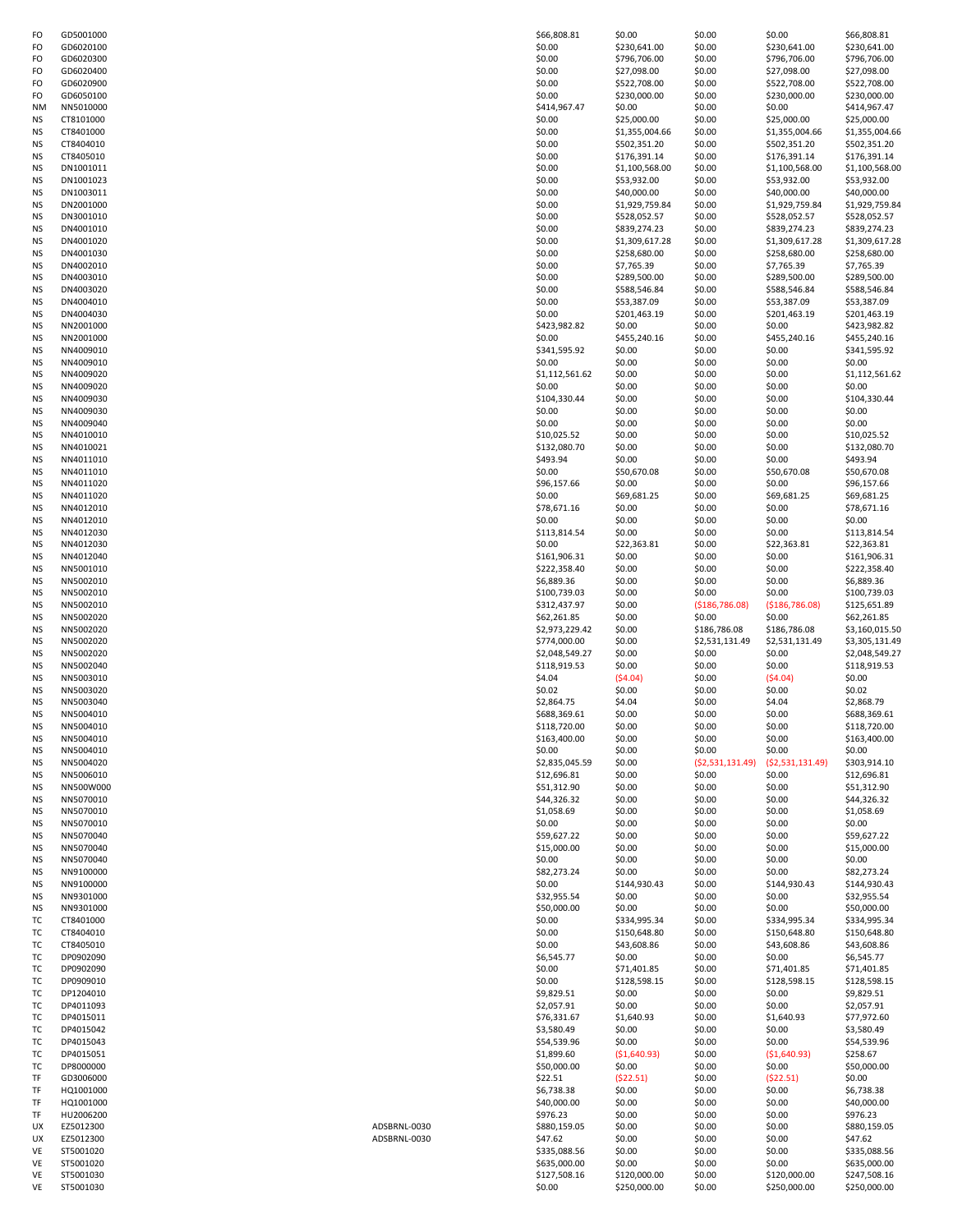| FO | GD5001000 |              | \$66,808.81    | \$0.00         | \$0.00           | \$0.00            | \$66,808.81    |
|----|-----------|--------------|----------------|----------------|------------------|-------------------|----------------|
| FO | GD6020100 |              | \$0.00         | \$230,641.00   | \$0.00           | \$230,641.00      | \$230,641.00   |
| FO | GD6020300 |              | \$0.00         | \$796,706.00   | \$0.00           | \$796,706.00      | \$796,706.00   |
|    |           |              |                |                |                  |                   |                |
| FO | GD6020400 |              | \$0.00         | \$27,098.00    | \$0.00           | \$27,098.00       | \$27,098.00    |
| FO | GD6020900 |              | \$0.00         | \$522,708.00   | \$0.00           | \$522,708.00      | \$522,708.00   |
| FO | GD6050100 |              | \$0.00         | \$230,000.00   | \$0.00           | \$230,000.00      | \$230,000.00   |
| NΜ | NN5010000 |              | \$414,967.47   | \$0.00         | \$0.00           | \$0.00            | \$414,967.47   |
| ΝS | CT8101000 |              | \$0.00         | \$25,000.00    | \$0.00           | \$25,000.00       | \$25,000.00    |
| ΝS | CT8401000 |              | \$0.00         | \$1,355,004.66 | \$0.00           | \$1,355,004.66    | \$1,355,004.66 |
| ΝS | CT8404010 |              | \$0.00         | \$502,351.20   | \$0.00           | \$502,351.20      | \$502,351.20   |
| ΝS | CT8405010 |              | \$0.00         | \$176,391.14   | \$0.00           | \$176,391.14      | \$176,391.14   |
| ΝS | DN1001011 |              | \$0.00         | \$1,100,568.00 | \$0.00           | \$1,100,568.00    | \$1,100,568.00 |
|    |           |              |                |                |                  |                   |                |
| ΝS | DN1001023 |              | \$0.00         | \$53,932.00    | \$0.00           | \$53,932.00       | \$53,932.00    |
| ΝS | DN1003011 |              | \$0.00         | \$40,000.00    | \$0.00           | \$40,000.00       | \$40,000.00    |
| ΝS | DN2001000 |              | \$0.00         | \$1,929,759.84 | \$0.00           | \$1,929,759.84    | \$1,929,759.84 |
| ΝS | DN3001010 |              | \$0.00         | \$528,052.57   | \$0.00           | \$528,052.57      | \$528,052.57   |
| ΝS | DN4001010 |              | \$0.00         | \$839,274.23   | \$0.00           | \$839,274.23      | \$839,274.23   |
| ΝS | DN4001020 |              | \$0.00         | \$1,309,617.28 | \$0.00           | \$1,309,617.28    | \$1,309,617.28 |
| ΝS | DN4001030 |              | \$0.00         | \$258,680.00   | \$0.00           | \$258,680.00      | \$258,680.00   |
| ΝS | DN4002010 |              | \$0.00         | \$7,765.39     | \$0.00           | \$7,765.39        | \$7,765.39     |
| ΝS | DN4003010 |              | \$0.00         | \$289,500.00   | \$0.00           | \$289,500.00      | \$289,500.00   |
|    |           |              |                |                |                  |                   |                |
| ΝS | DN4003020 |              | \$0.00         | \$588,546.84   | \$0.00           | \$588,546.84      | \$588,546.84   |
| ΝS | DN4004010 |              | \$0.00         | \$53,387.09    | \$0.00           | \$53,387.09       | \$53,387.09    |
| ΝS | DN4004030 |              | \$0.00         | \$201,463.19   | \$0.00           | \$201,463.19      | \$201,463.19   |
| ΝS | NN2001000 |              | \$423,982.82   | \$0.00         | \$0.00           | \$0.00            | \$423,982.82   |
| ΝS | NN2001000 |              | \$0.00         | \$455,240.16   | \$0.00           | \$455,240.16      | \$455,240.16   |
| ΝS | NN4009010 |              | \$341,595.92   | \$0.00         | \$0.00           | \$0.00            | \$341,595.92   |
| ΝS | NN4009010 |              | \$0.00         | \$0.00         | \$0.00           | \$0.00            | \$0.00         |
| ΝS | NN4009020 |              | \$1,112,561.62 | \$0.00         | \$0.00           | \$0.00            | \$1,112,561.62 |
| ΝS | NN4009020 |              | \$0.00         | \$0.00         | \$0.00           | \$0.00            | \$0.00         |
|    | NN4009030 |              | \$104,330.44   | \$0.00         | \$0.00           | \$0.00            | \$104,330.44   |
| ΝS |           |              |                |                |                  |                   |                |
| ΝS | NN4009030 |              | \$0.00         | \$0.00         | \$0.00           | \$0.00            | \$0.00         |
| ΝS | NN4009040 |              | \$0.00         | \$0.00         | \$0.00           | \$0.00            | \$0.00         |
| ΝS | NN4010010 |              | \$10,025.52    | \$0.00         | \$0.00           | \$0.00            | \$10,025.52    |
| ΝS | NN4010021 |              | \$132,080.70   | \$0.00         | \$0.00           | \$0.00            | \$132,080.70   |
| ΝS | NN4011010 |              | \$493.94       | \$0.00         | \$0.00           | \$0.00            | \$493.94       |
| ΝS | NN4011010 |              | \$0.00         | \$50,670.08    | \$0.00           | \$50,670.08       | \$50,670.08    |
| ΝS | NN4011020 |              | \$96,157.66    | \$0.00         | \$0.00           | \$0.00            | \$96,157.66    |
| ΝS | NN4011020 |              | \$0.00         | \$69,681.25    | \$0.00           | \$69,681.25       | \$69,681.25    |
|    |           |              |                |                |                  |                   |                |
| ΝS | NN4012010 |              | \$78,671.16    | \$0.00         | \$0.00           | \$0.00            | \$78,671.16    |
| ΝS | NN4012010 |              | \$0.00         | \$0.00         | \$0.00           | \$0.00            | \$0.00         |
| ΝS | NN4012030 |              | \$113,814.54   | \$0.00         | \$0.00           | \$0.00            | \$113,814.54   |
| ΝS | NN4012030 |              | \$0.00         | \$22,363.81    | \$0.00           | \$22,363.81       | \$22,363.81    |
| ΝS | NN4012040 |              | \$161,906.31   | \$0.00         | \$0.00           | \$0.00            | \$161,906.31   |
| ΝS | NN5001010 |              | \$222,358.40   | \$0.00         | \$0.00           | \$0.00            | \$222,358.40   |
| ΝS | NN5002010 |              | \$6,889.36     | \$0.00         | \$0.00           | \$0.00            | \$6,889.36     |
| ΝS | NN5002010 |              | \$100,739.03   | \$0.00         | \$0.00           | \$0.00            | \$100,739.03   |
| ΝS | NN5002010 |              | \$312,437.97   | \$0.00         | ( \$186, 786.08) | ( \$186, 786.08)  | \$125,651.89   |
| ΝS | NN5002020 |              | \$62,261.85    | \$0.00         | \$0.00           | \$0.00            | \$62,261.85    |
|    |           |              |                |                |                  |                   |                |
| ΝS | NN5002020 |              | \$2,973,229.42 | \$0.00         | \$186,786.08     | \$186,786.08      | \$3,160,015.50 |
| ΝS | NN5002020 |              | \$774,000.00   | \$0.00         | \$2,531,131.49   | \$2,531,131.49    | \$3,305,131.49 |
| ΝS | NN5002020 |              | \$2,048,549.27 | \$0.00         | \$0.00           | \$0.00            | \$2,048,549.27 |
| ΝS | NN5002040 |              | \$118,919.53   | \$0.00         | \$0.00           | \$0.00            | \$118,919.53   |
| ΝS | NN5003010 |              | \$4.04         | ( \$4.04)      | \$0.00           | (54.04)           | \$0.00         |
| ΝS | NN5003020 |              | \$0.02         | \$0.00         | \$0.00           | \$0.00            | \$0.02         |
| ΝS | NN5003040 |              | \$2,864.75     | \$4.04         | \$0.00           | \$4.04            | \$2,868.79     |
| NS | NN5004010 |              | \$688,369.61   | \$0.00         | \$0.00           | \$0.00            | \$688,369.61   |
| ΝS | NN5004010 |              | \$118,720.00   | \$0.00         | \$0.00           | \$0.00            | \$118,720.00   |
| ΝS | NN5004010 |              | \$163,400.00   | \$0.00         | \$0.00           | \$0.00            | \$163,400.00   |
|    | NN5004010 |              |                |                |                  |                   |                |
| ΝS |           |              | \$0.00         | \$0.00         | \$0.00           | \$0.00            | \$0.00         |
| ΝS | NN5004020 |              | \$2,835,045.59 | \$0.00         | (52,531,131.49)  | ( \$2,531,131.49) | \$303,914.10   |
| ΝS | NN5006010 |              | \$12,696.81    | \$0.00         | \$0.00           | \$0.00            | \$12,696.81    |
| ΝS | NN500W000 |              | \$51,312.90    | \$0.00         | \$0.00           | \$0.00            | \$51,312.90    |
| ΝS | NN5070010 |              | \$44,326.32    | \$0.00         | \$0.00           | \$0.00            | \$44,326.32    |
| ΝS | NN5070010 |              | \$1,058.69     | \$0.00         | \$0.00           | \$0.00            | \$1,058.69     |
| ΝS | NN5070010 |              | \$0.00         | \$0.00         | \$0.00           | \$0.00            | \$0.00         |
| ΝS | NN5070040 |              | \$59,627.22    | \$0.00         | \$0.00           | \$0.00            | \$59,627.22    |
| ΝS | NN5070040 |              | \$15,000.00    | \$0.00         | \$0.00           | \$0.00            | \$15,000.00    |
| ΝS | NN5070040 |              | \$0.00         | \$0.00         | \$0.00           | \$0.00            | \$0.00         |
| ΝS | NN9100000 |              | \$82,273.24    | \$0.00         | \$0.00           | \$0.00            | \$82,273.24    |
| ΝS | NN9100000 |              | \$0.00         | \$144,930.43   | \$0.00           | \$144,930.43      | \$144,930.43   |
| ΝS | NN9301000 |              | \$32,955.54    | \$0.00         | \$0.00           | \$0.00            | \$32,955.54    |
| ΝS | NN9301000 |              | \$50,000.00    | \$0.00         | \$0.00           | \$0.00            | \$50,000.00    |
|    |           |              |                |                |                  |                   |                |
| ТC | CT8401000 |              | \$0.00         | \$334,995.34   | \$0.00           | \$334,995.34      | \$334,995.34   |
| ТC | CT8404010 |              | \$0.00         | \$150,648.80   | \$0.00           | \$150,648.80      | \$150,648.80   |
| ТC | CT8405010 |              | \$0.00         | \$43,608.86    | \$0.00           | \$43,608.86       | \$43,608.86    |
| ТC | DP0902090 |              | \$6,545.77     | \$0.00         | \$0.00           | \$0.00            | \$6,545.77     |
| ТC | DP0902090 |              | \$0.00         | \$71,401.85    | \$0.00           | \$71,401.85       | \$71,401.85    |
| тс | DP0909010 |              | \$0.00         | \$128,598.15   | \$0.00           | \$128,598.15      | \$128,598.15   |
| ТC | DP1204010 |              | \$9,829.51     | \$0.00         | \$0.00           | \$0.00            | \$9,829.51     |
| ТC | DP4011093 |              | \$2,057.91     | \$0.00         | \$0.00           | \$0.00            | \$2,057.91     |
| ТC | DP4015011 |              | \$76,331.67    | \$1,640.93     | \$0.00           | \$1,640.93        | \$77,972.60    |
|    |           |              | \$3,580.49     | \$0.00         | \$0.00           | \$0.00            | \$3,580.49     |
| тс | DP4015042 |              |                |                |                  |                   |                |
| ТC | DP4015043 |              | \$54,539.96    | \$0.00         | \$0.00           | \$0.00            | \$54,539.96    |
| ТC | DP4015051 |              | \$1,899.60     | (\$1,640.93)   | \$0.00           | ( \$1,640.93)     | \$258.67       |
| ТC | DP8000000 |              | \$50,000.00    | \$0.00         | \$0.00           | \$0.00            | \$50,000.00    |
| TF | GD3006000 |              | \$22.51        | (522.51)       | \$0.00           | (522.51)          | \$0.00         |
| TF | HQ1001000 |              | \$6,738.38     | \$0.00         | \$0.00           | \$0.00            | \$6,738.38     |
| TF | HQ1001000 |              | \$40,000.00    | \$0.00         | \$0.00           | \$0.00            | \$40,000.00    |
| TF | HU2006200 |              | \$976.23       | \$0.00         | \$0.00           | \$0.00            | \$976.23       |
| UX | EZ5012300 | ADSBRNL-0030 | \$880,159.05   | \$0.00         | \$0.00           | \$0.00            | \$880,159.05   |
| UX | EZ5012300 | ADSBRNL-0030 | \$47.62        | \$0.00         | \$0.00           | \$0.00            | \$47.62        |
|    |           |              |                |                |                  |                   |                |
| VE | ST5001020 |              | \$335,088.56   | \$0.00         | \$0.00           | \$0.00            | \$335,088.56   |
| VE | ST5001020 |              | \$635,000.00   | \$0.00         | \$0.00           | \$0.00            | \$635,000.00   |
| VE | ST5001030 |              | \$127,508.16   | \$120,000.00   | \$0.00           | \$120,000.00      | \$247,508.16   |
| VE | ST5001030 |              | \$0.00         | \$250,000.00   | \$0.00           | \$250,000.00      | \$250,000.00   |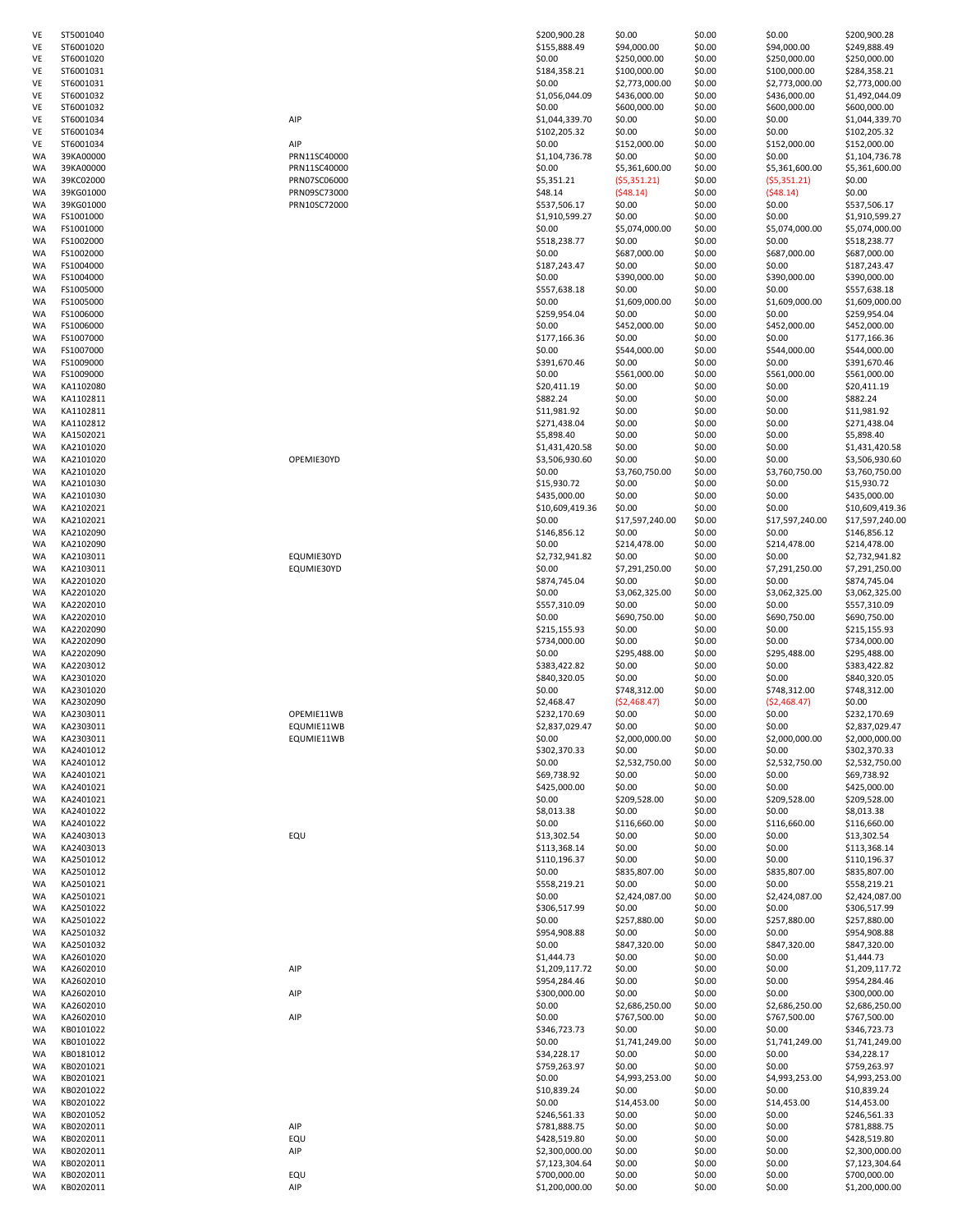| VE       | ST5001040              |              | \$200,900.28                   | \$0.00           | \$0.00           | \$0.00           | \$200,900.28                     |
|----------|------------------------|--------------|--------------------------------|------------------|------------------|------------------|----------------------------------|
| VE       | ST6001020              |              | \$155,888.49                   | \$94,000.00      | \$0.00           | \$94,000.00      | \$249,888.49                     |
| VE       | ST6001020              |              | \$0.00                         | \$250,000.00     | \$0.00           | \$250,000.00     | \$250,000.00                     |
| VE       | ST6001031              |              | \$184,358.21                   | \$100,000.00     | \$0.00           | \$100,000.00     | \$284,358.21                     |
| VE       | ST6001031              |              | \$0.00                         |                  | \$0.00           |                  | \$2,773,000.00                   |
| VE       |                        |              |                                | \$2,773,000.00   |                  | \$2,773,000.00   |                                  |
|          | ST6001032              |              | \$1,056,044.09                 | \$436,000.00     | \$0.00           | \$436,000.00     | \$1,492,044.09                   |
| VE       | ST6001032              |              | \$0.00                         | \$600,000.00     | \$0.00           | \$600,000.00     | \$600,000.00                     |
| VE       | ST6001034              | AIP          | \$1,044,339.70                 | \$0.00           | \$0.00           | \$0.00           | \$1,044,339.70                   |
| VE       | ST6001034              |              | \$102,205.32                   | \$0.00           | \$0.00           | \$0.00           | \$102,205.32                     |
| VE       | ST6001034              | AIP          | \$0.00                         | \$152,000.00     | \$0.00           | \$152,000.00     | \$152,000.00                     |
| WA       | 39KA00000              | PRN11SC40000 | \$1,104,736.78                 | \$0.00           | \$0.00           | \$0.00           | \$1,104,736.78                   |
| WA       | 39KA00000              | PRN11SC40000 | \$0.00                         | \$5,361,600.00   | \$0.00           | \$5,361,600.00   | \$5,361,600.00                   |
| WA       | 39KC02000              | PRN07SC06000 | \$5,351.21                     | (55,351.21)      | \$0.00           | (55, 351.21)     | \$0.00                           |
| WA       | 39KG01000              | PRN09SC73000 | \$48.14                        | (548.14)         | \$0.00           | (548.14)         | \$0.00                           |
| WA       | 39KG01000              | PRN10SC72000 | \$537,506.17                   | \$0.00           | \$0.00           | \$0.00           | \$537,506.17                     |
| WA       | FS1001000              |              | \$1,910,599.27                 | \$0.00           | \$0.00           | \$0.00           | \$1,910,599.27                   |
| WA       | FS1001000              |              | \$0.00                         | \$5,074,000.00   | \$0.00           | \$5,074,000.00   | \$5,074,000.00                   |
| WA       | FS1002000              |              | \$518,238.77                   | \$0.00           | \$0.00           | \$0.00           | \$518,238.77                     |
| WA       | FS1002000              |              | \$0.00                         | \$687,000.00     | \$0.00           | \$687,000.00     | \$687,000.00                     |
| WA       | FS1004000              |              | \$187,243.47                   | \$0.00           | \$0.00           | \$0.00           | \$187,243.47                     |
| WA       | FS1004000              |              | \$0.00                         | \$390,000.00     | \$0.00           | \$390,000.00     | \$390,000.00                     |
| WA       | FS1005000              |              | \$557,638.18                   | \$0.00           | \$0.00           | \$0.00           | \$557,638.18                     |
| WA       | FS1005000              |              | \$0.00                         | \$1,609,000.00   | \$0.00           | \$1,609,000.00   | \$1,609,000.00                   |
|          | FS1006000              |              | \$259,954.04                   | \$0.00           | \$0.00           | \$0.00           | \$259,954.04                     |
| WA       |                        |              |                                |                  |                  |                  |                                  |
| WA       | FS1006000              |              | \$0.00                         | \$452,000.00     | \$0.00           | \$452,000.00     | \$452,000.00                     |
| WA       | FS1007000              |              | \$177,166.36                   | \$0.00           | \$0.00           | \$0.00           | \$177,166.36                     |
| WA       | FS1007000              |              | \$0.00                         | \$544,000.00     | \$0.00           | \$544,000.00     | \$544,000.00                     |
| WA       | FS1009000              |              | \$391,670.46                   | \$0.00           | \$0.00           | \$0.00           | \$391,670.46                     |
| WA       | FS1009000              |              | \$0.00                         | \$561,000.00     | \$0.00           | \$561,000.00     | \$561,000.00                     |
| WA       | KA1102080              |              | \$20,411.19                    | \$0.00           | \$0.00           | \$0.00           | \$20,411.19                      |
| WA       | KA1102811              |              | \$882.24                       | \$0.00           | \$0.00           | \$0.00           | \$882.24                         |
| WA       | KA1102811              |              | \$11,981.92                    | \$0.00           | \$0.00           | \$0.00           | \$11,981.92                      |
| WA       | KA1102812              |              | \$271,438.04                   | \$0.00           | \$0.00           | \$0.00           | \$271,438.04                     |
| WA       | KA1502021              |              | \$5,898.40                     | \$0.00           | \$0.00           | \$0.00           | \$5,898.40                       |
| WA       | KA2101020              |              | \$1,431,420.58                 | \$0.00           | \$0.00           | \$0.00           | \$1,431,420.58                   |
| WA       | KA2101020              | OPEMIE30YD   | \$3,506,930.60                 | \$0.00           | \$0.00           | \$0.00           | \$3,506,930.60                   |
| WA       | KA2101020              |              | \$0.00                         | \$3,760,750.00   | \$0.00           | \$3,760,750.00   | \$3,760,750.00                   |
| WA       | KA2101030              |              | \$15,930.72                    | \$0.00           | \$0.00           | \$0.00           | \$15,930.72                      |
| WA       | KA2101030              |              | \$435,000.00                   | \$0.00           | \$0.00           | \$0.00           | \$435,000.00                     |
| WA       | KA2102021              |              | \$10,609,419.36                | \$0.00           | \$0.00           | \$0.00           | \$10,609,419.3                   |
|          |                        |              |                                |                  |                  |                  |                                  |
| WA       | KA2102021              |              | \$0.00                         | \$17,597,240.00  | \$0.00           | \$17,597,240.00  | \$17,597,240.0                   |
| WA       | KA2102090              |              | \$146,856.12                   | \$0.00           | \$0.00           | \$0.00           | \$146,856.12                     |
| WA       | KA2102090              |              | \$0.00                         | \$214,478.00     | \$0.00           | \$214,478.00     | \$214,478.00                     |
| WA       | KA2103011              | EQUMIE30YD   | \$2,732,941.82                 | \$0.00           | \$0.00           | \$0.00           | \$2,732,941.82                   |
| WA       | KA2103011              | EQUMIE30YD   | \$0.00                         | \$7,291,250.00   | \$0.00           | \$7,291,250.00   | \$7,291,250.00                   |
| WA       | KA2201020              |              | \$874,745.04                   | \$0.00           | \$0.00           | \$0.00           | \$874,745.04                     |
| WA       | KA2201020              |              | \$0.00                         | \$3,062,325.00   | \$0.00           | \$3,062,325.00   | \$3,062,325.00                   |
| WA       | KA2202010              |              | \$557,310.09                   | \$0.00           | \$0.00           | \$0.00           | \$557,310.09                     |
| WA       | KA2202010              |              | \$0.00                         | \$690,750.00     | \$0.00           | \$690,750.00     | \$690,750.00                     |
| WA       | KA2202090              |              | \$215,155.93                   | \$0.00           | \$0.00           | \$0.00           | \$215,155.93                     |
| WA       | KA2202090              |              | \$734,000.00                   | \$0.00           | \$0.00           | \$0.00           | \$734,000.00                     |
| WA       | KA2202090              |              | \$0.00                         | \$295,488.00     | \$0.00           | \$295,488.00     | \$295,488.00                     |
| WA       | KA2203012              |              | \$383,422.82                   | \$0.00           | \$0.00           | \$0.00           | \$383,422.82                     |
| WA       | KA2301020              |              | \$840,320.05                   | \$0.00           | \$0.00           | \$0.00           | \$840,320.05                     |
| WA       | KA2301020              |              | \$0.00                         | \$748,312.00     | \$0.00           | \$748,312.00     | \$748,312.00                     |
| WA       | KA2302090              |              | \$2,468.47                     | (\$2,468.47)     | \$0.00           | (52, 468.47)     | \$0.00                           |
| WA       | KA2303011              | OPEMIE11WB   | \$232,170.69                   | \$0.00           | \$0.00           | \$0.00           | \$232,170.69                     |
| WA       | KA2303011              | EQUMIE11WB   | \$2,837,029.47                 | \$0.00           | \$0.00           | \$0.00           | \$2,837,029.47                   |
| WA       | KA2303011              | EQUMIE11WB   | \$0.00                         | \$2,000,000.00   | \$0.00           | \$2,000,000.00   | \$2,000,000.00                   |
| WA       | KA2401012              |              | \$302,370.33                   | \$0.00           | \$0.00           | \$0.00           | \$302,370.33                     |
|          |                        |              |                                |                  |                  |                  |                                  |
| WA       | KA2401012              |              | \$0.00                         | \$2,532,750.00   | \$0.00           | \$2,532,750.00   | \$2,532,750.00                   |
| WA       | KA2401021              |              | \$69,738.92                    | \$0.00           | \$0.00           | \$0.00           | \$69,738.92                      |
| WA       | KA2401021              |              | \$425,000.00                   | \$0.00           | \$0.00           | \$0.00           | \$425,000.00                     |
| WA       | KA2401021              |              | \$0.00                         | \$209,528.00     | \$0.00           | \$209,528.00     | \$209,528.00                     |
| WA       | KA2401022              |              | \$8,013.38                     | \$0.00           | \$0.00           | \$0.00           | \$8,013.38                       |
| WA       | KA2401022              |              | \$0.00                         | \$116,660.00     | \$0.00           | \$116,660.00     | \$116,660.00                     |
| WA       | KA2403013              | EQU          | \$13,302.54                    | \$0.00           | \$0.00           | \$0.00           | \$13,302.54                      |
| WA       | KA2403013              |              | \$113,368.14                   | \$0.00           | \$0.00           | \$0.00           | \$113,368.14                     |
| WA       | KA2501012              |              | \$110,196.37                   | \$0.00           | \$0.00           | \$0.00           | \$110,196.37                     |
| WA       | KA2501012              |              | \$0.00                         | \$835,807.00     | \$0.00           | \$835,807.00     | \$835,807.00                     |
| WA       | KA2501021              |              | \$558,219.21                   | \$0.00           | \$0.00           | \$0.00           | \$558,219.21                     |
| WA       | KA2501021              |              | \$0.00                         | \$2,424,087.00   | \$0.00           | \$2,424,087.00   | \$2,424,087.00                   |
| WA       | KA2501022              |              | \$306,517.99                   | \$0.00           | \$0.00           | \$0.00           | \$306,517.99                     |
| WA       | KA2501022              |              | \$0.00                         | \$257,880.00     | \$0.00           | \$257,880.00     | \$257,880.00                     |
| WA       | KA2501032              |              | \$954,908.88                   | \$0.00           | \$0.00           | \$0.00           | \$954,908.88                     |
| WA       | KA2501032              |              | \$0.00                         | \$847,320.00     | \$0.00           | \$847,320.00     | \$847,320.00                     |
| WA       | KA2601020              |              | \$1,444.73                     | \$0.00           | \$0.00           | \$0.00           | \$1,444.73                       |
|          | KA2602010              |              | \$1,209,117.72                 | \$0.00           | \$0.00           | \$0.00           | \$1,209,117.72                   |
| WA       |                        | AIP          |                                |                  |                  |                  |                                  |
| WA       | KA2602010              |              | \$954,284.46                   | \$0.00           | \$0.00           | \$0.00           | \$954,284.46                     |
| WA       | KA2602010              | AIP          | \$300,000.00                   | \$0.00           | \$0.00           | \$0.00           | \$300,000.00                     |
| WA       | KA2602010              |              | \$0.00                         | \$2,686,250.00   | \$0.00           | \$2,686,250.00   | \$2,686,250.00                   |
| WA       | KA2602010              | AIP          | \$0.00                         | \$767,500.00     | \$0.00           | \$767,500.00     | \$767,500.00                     |
| WA       | KB0101022              |              | \$346,723.73                   | \$0.00           | \$0.00           | \$0.00           | \$346,723.73                     |
| WA       | KB0101022              |              | \$0.00                         | \$1,741,249.00   | \$0.00           | \$1,741,249.00   | \$1,741,249.00                   |
| WA       | KB0181012              |              | \$34,228.17                    | \$0.00           | \$0.00           | \$0.00           | \$34,228.17                      |
| WA       | KB0201021              |              | \$759,263.97                   | \$0.00           | \$0.00           | \$0.00           | \$759,263.97                     |
| WA       | KB0201021              |              | \$0.00                         | \$4,993,253.00   | \$0.00           | \$4,993,253.00   | \$4,993,253.00                   |
| WA       | KB0201022              |              | \$10,839.24                    | \$0.00           | \$0.00           | \$0.00           | \$10,839.24                      |
| WA       | KB0201022              |              | \$0.00                         | \$14,453.00      | \$0.00           | \$14,453.00      | \$14,453.00                      |
| WA       | KB0201052              |              | \$246,561.33                   | \$0.00           | \$0.00           | \$0.00           | \$246,561.33                     |
| WA       | KB0202011              | AIP          | \$781,888.75                   | \$0.00           | \$0.00           | \$0.00           | \$781,888.75                     |
| WA       | KB0202011              | EQU          | \$428,519.80                   | \$0.00           | \$0.00           | \$0.00           | \$428,519.80                     |
|          |                        |              |                                |                  |                  |                  |                                  |
| WA<br>WA | KB0202011              | AIP          | \$2,300,000.00                 | \$0.00           | \$0.00           | \$0.00           | \$2,300,000.00<br>\$7,123,304.64 |
|          |                        |              | \$7,123,304.64                 | \$0.00           | \$0.00           | \$0.00           |                                  |
|          | KB0202011              |              |                                |                  |                  |                  |                                  |
| WA<br>WA | KB0202011<br>KB0202011 | EQU<br>AIP   | \$700,000.00<br>\$1,200,000.00 | \$0.00<br>\$0.00 | \$0.00<br>\$0.00 | \$0.00<br>\$0.00 | \$700,000.00<br>\$1,200,000.00   |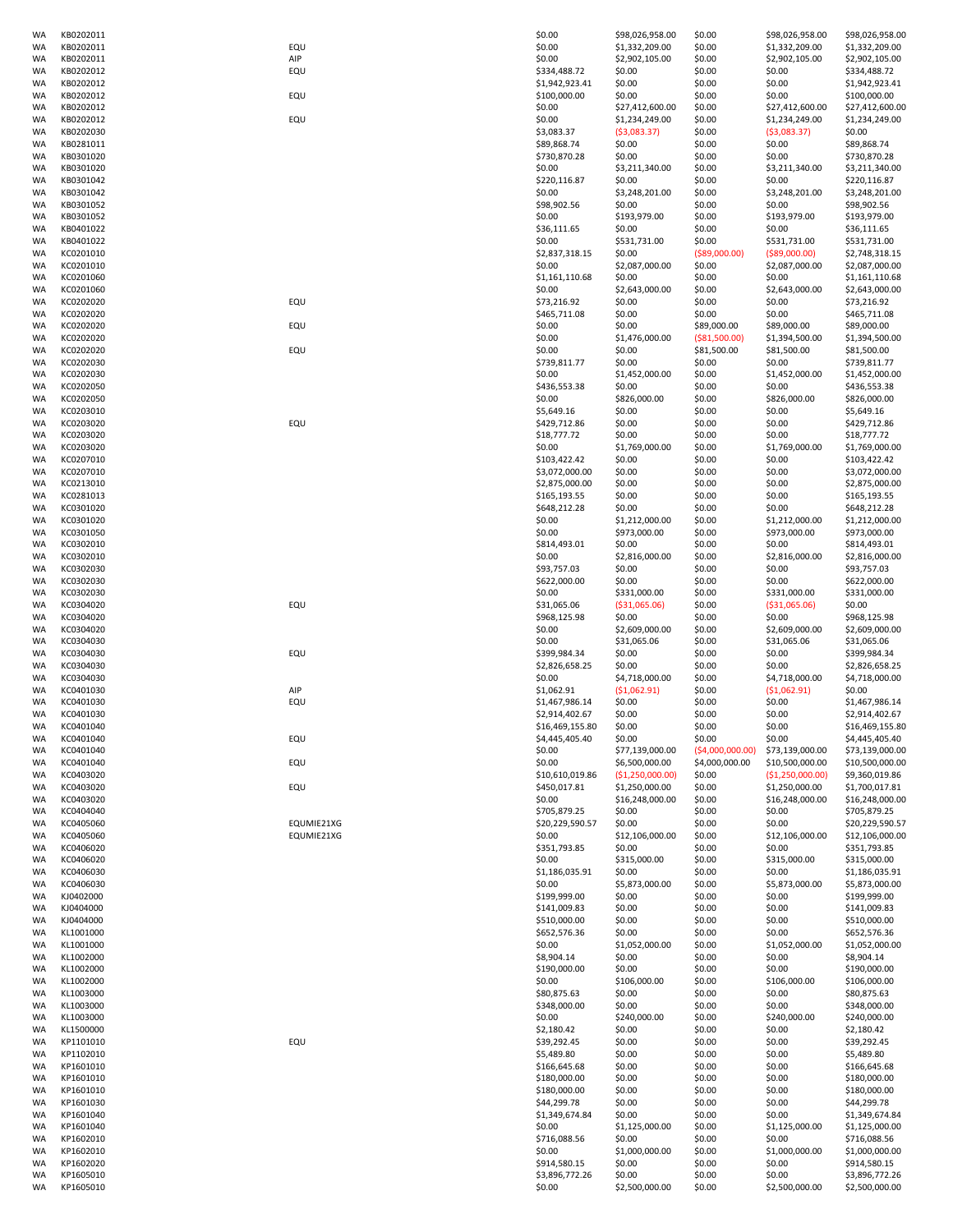| WA       | KB0202011              |            | \$0.00                   | \$98,026,958.00          | \$0.00           | \$98,026,958.00          | \$98,026,958.00                  |
|----------|------------------------|------------|--------------------------|--------------------------|------------------|--------------------------|----------------------------------|
| WA       | KB0202011              | EQU        | \$0.00                   | \$1,332,209.00           | \$0.00           | \$1,332,209.00           | \$1,332,209.00                   |
| WA       | KB0202011              | AIP        | \$0.00                   | \$2,902,105.00           | \$0.00           | \$2,902,105.00           | \$2,902,105.00                   |
| WA       | KB0202012              | EQU        | \$334,488.72             | \$0.00                   | \$0.00           | \$0.00                   | \$334,488.72                     |
|          |                        |            |                          |                          |                  |                          |                                  |
| WA       | KB0202012              |            | \$1,942,923.41           | \$0.00                   | \$0.00           | \$0.00                   | \$1,942,923.41                   |
| WA       | KB0202012              | EQU        | \$100,000.00             | \$0.00                   | \$0.00           | \$0.00                   | \$100,000.00                     |
| WA       | KB0202012              |            | \$0.00                   | \$27,412,600.00          | \$0.00           | \$27,412,600.00          | \$27,412,600.00                  |
| WA       | KB0202012              | EQU        | \$0.00                   | \$1,234,249.00           | \$0.00           | \$1,234,249.00           | \$1,234,249.00                   |
| WA       | KB0202030              |            | \$3,083.37               | (53,083.37)              | \$0.00           | (53,083.37)              | \$0.00                           |
|          |                        |            |                          |                          |                  |                          |                                  |
| WA       | KB0281011              |            | \$89,868.74              | \$0.00                   | \$0.00           | \$0.00                   | \$89,868.74                      |
| WA       | KB0301020              |            | \$730,870.28             | \$0.00                   | \$0.00           | \$0.00                   | \$730,870.28                     |
| WA       | KB0301020              |            | \$0.00                   | \$3,211,340.00           | \$0.00           | \$3,211,340.00           | \$3,211,340.00                   |
| WA       | KB0301042              |            | \$220,116.87             | \$0.00                   | \$0.00           | \$0.00                   | \$220,116.87                     |
|          |                        |            |                          |                          |                  |                          |                                  |
| WA       | KB0301042              |            | \$0.00                   | \$3,248,201.00           | \$0.00           | \$3,248,201.00           | \$3,248,201.00                   |
| WA       | KB0301052              |            | \$98,902.56              | \$0.00                   | \$0.00           | \$0.00                   | \$98,902.56                      |
| WA       | KB0301052              |            | \$0.00                   | \$193,979.00             | \$0.00           | \$193,979.00             | \$193,979.00                     |
| WA       | KB0401022              |            | \$36,111.65              | \$0.00                   | \$0.00           | \$0.00                   | \$36,111.65                      |
| WA       | KB0401022              |            | \$0.00                   | \$531,731.00             | \$0.00           | \$531,731.00             | \$531,731.00                     |
|          |                        |            |                          |                          |                  |                          |                                  |
| WA       | KC0201010              |            | \$2,837,318.15           | \$0.00                   | ( \$89,000.00)   | ( \$89,000.00)           | \$2,748,318.15                   |
| WA       | KC0201010              |            | \$0.00                   | \$2,087,000.00           | \$0.00           | \$2,087,000.00           | \$2,087,000.00                   |
| WA       | KC0201060              |            | \$1,161,110.68           | \$0.00                   | \$0.00           | \$0.00                   | \$1,161,110.68                   |
| WA       | KC0201060              |            | \$0.00                   | \$2,643,000.00           | \$0.00           | \$2,643,000.00           | \$2,643,000.00                   |
|          |                        |            |                          |                          |                  |                          |                                  |
| WA       | KC0202020              | EQU        | \$73,216.92              | \$0.00                   | \$0.00           | \$0.00                   | \$73,216.92                      |
| WA       | KC0202020              |            | \$465,711.08             | \$0.00                   | \$0.00           | \$0.00                   | \$465,711.08                     |
| WA       | KC0202020              | EQU        | \$0.00                   | \$0.00                   | \$89,000.00      | \$89,000.00              | \$89,000.00                      |
| WA       | KC0202020              |            | \$0.00                   | \$1,476,000.00           | ( \$81,500.00)   | \$1,394,500.00           | \$1,394,500.00                   |
|          |                        |            |                          |                          |                  |                          |                                  |
| WA       | KC0202020              | EQU        | \$0.00                   | \$0.00                   | \$81,500.00      | \$81,500.00              | \$81,500.00                      |
| WA       | KC0202030              |            | \$739,811.77             | \$0.00                   | \$0.00           | \$0.00                   | \$739,811.77                     |
| WA       | KC0202030              |            | \$0.00                   | \$1,452,000.00           | \$0.00           | \$1,452,000.00           | \$1,452,000.00                   |
| WA       | KC0202050              |            | \$436,553.38             | \$0.00                   | \$0.00           | \$0.00                   | \$436,553.38                     |
|          |                        |            |                          |                          |                  |                          |                                  |
| WA       | KC0202050              |            | \$0.00                   | \$826,000.00             | \$0.00           | \$826,000.00             | \$826,000.00                     |
| WA       | KC0203010              |            | \$5,649.16               | \$0.00                   | \$0.00           | \$0.00                   | \$5,649.16                       |
| WA       | KC0203020              | EQU        | \$429,712.86             | \$0.00                   | \$0.00           | \$0.00                   | \$429,712.86                     |
| WA       | KC0203020              |            | \$18,777.72              | \$0.00                   | \$0.00           | \$0.00                   | \$18,777.72                      |
|          |                        |            |                          |                          |                  |                          |                                  |
| WA       | KC0203020              |            | \$0.00                   | \$1,769,000.00           | \$0.00           | \$1,769,000.00           | \$1,769,000.00                   |
| WA       | KC0207010              |            | \$103,422.42             | \$0.00                   | \$0.00           | \$0.00                   | \$103,422.42                     |
| WA       | KC0207010              |            | \$3,072,000.00           | \$0.00                   | \$0.00           | \$0.00                   | \$3,072,000.00                   |
| WA       | KC0213010              |            | \$2,875,000.00           | \$0.00                   | \$0.00           | \$0.00                   | \$2,875,000.00                   |
|          |                        |            |                          |                          |                  |                          |                                  |
| WA       | KC0281013              |            | \$165,193.55             | \$0.00                   | \$0.00           | \$0.00                   | \$165,193.55                     |
| WA       | KC0301020              |            | \$648,212.28             | \$0.00                   | \$0.00           | \$0.00                   | \$648,212.28                     |
| WA       | KC0301020              |            | \$0.00                   | \$1,212,000.00           | \$0.00           | \$1,212,000.00           | \$1,212,000.00                   |
| WA       | KC0301050              |            | \$0.00                   | \$973,000.00             | \$0.00           | \$973,000.00             | \$973,000.00                     |
|          |                        |            |                          |                          |                  |                          |                                  |
| WA       | KC0302010              |            | \$814,493.01             | \$0.00                   | \$0.00           | \$0.00                   | \$814,493.01                     |
| WA       | KC0302010              |            | \$0.00                   | \$2,816,000.00           | \$0.00           | \$2,816,000.00           | \$2,816,000.00                   |
| WA       | KC0302030              |            | \$93,757.03              | \$0.00                   | \$0.00           | \$0.00                   | \$93,757.03                      |
| WA       | KC0302030              |            | \$622,000.00             | \$0.00                   | \$0.00           | \$0.00                   | \$622,000.00                     |
|          |                        |            |                          |                          |                  |                          |                                  |
| WA       | KC0302030              |            | \$0.00                   | \$331,000.00             | \$0.00           | \$331,000.00             | \$331,000.00                     |
| WA       | KC0304020              | EQU        | \$31,065.06              | ( \$31,065.06)           | \$0.00           | ( \$31,065.06)           | \$0.00                           |
| WA       | KC0304020              |            | \$968,125.98             | \$0.00                   | \$0.00           | \$0.00                   | \$968,125.98                     |
| WA       | KC0304020              |            | \$0.00                   | \$2,609,000.00           | \$0.00           | \$2,609,000.00           | \$2,609,000.00                   |
|          |                        |            |                          |                          |                  |                          |                                  |
| WA       | KC0304030              |            | \$0.00                   | \$31,065.06              | \$0.00           | \$31,065.06              | \$31,065.06                      |
| WA       | KC0304030              | EQU        | \$399,984.34             | \$0.00                   | \$0.00           | \$0.00                   | \$399,984.34                     |
| WA       | KC0304030              |            | \$2,826,658.25           | \$0.00                   | \$0.00           | \$0.00                   | \$2,826,658.25                   |
| WA       | KC0304030              |            | \$0.00                   | \$4,718,000.00           | \$0.00           | \$4,718,000.00           | \$4,718,000.00                   |
|          |                        |            | \$1,062.91               | (51,062.91)              |                  | (51,062.91)              |                                  |
| WA       | KC0401030              | AIP        |                          |                          | \$0.00           |                          | \$0.00                           |
| WA       | KC0401030              | EQU        | \$1,467,986.14           | \$0.00                   | \$0.00           | \$0.00                   | \$1,467,986.14                   |
| WA       | KC0401030              |            | \$2,914,402.67           | \$0.00                   | \$0.00           | \$0.00                   | \$2,914,402.67                   |
| WA       | KC0401040              |            | \$16,469,155.80          | \$0.00                   | \$0.00           | \$0.00                   | \$16,469,155.80                  |
| WA       | KC0401040              |            | \$4,445,405.40           | \$0.00                   | \$0.00           | \$0.00                   | \$4,445,405.40                   |
|          |                        | EQU        |                          |                          |                  |                          |                                  |
| WA       | KC0401040              |            | \$0.00                   | \$77,139,000.00          | (54,000,000.00)  | \$73,139,000.00          | \$73,139,000.00                  |
| WA       | KC0401040              | EQU        | \$0.00                   | \$6,500,000.00           | \$4,000,000.00   | \$10,500,000.00          | \$10,500,000.00                  |
| WA       | KC0403020              |            | \$10,610,019.86          | (\$1,250,000.00)         | \$0.00           | (\$1,250,000.00)         | \$9,360,019.86                   |
| WA       | KC0403020              | EQU        | \$450,017.81             | \$1,250,000.00           | \$0.00           | \$1,250,000.00           | \$1,700,017.81                   |
|          |                        |            |                          |                          |                  |                          |                                  |
| WA       | KC0403020              |            | \$0.00                   | \$16,248,000.00          | \$0.00           | \$16,248,000.00          | \$16,248,000.00                  |
| WA       | KC0404040              |            | \$705,879.25             | \$0.00                   | \$0.00           | \$0.00                   | \$705,879.25                     |
| WA       | KC0405060              | EQUMIE21XG | \$20,229,590.57          | \$0.00                   | \$0.00           | \$0.00                   | \$20,229,590.57                  |
| WA       | KC0405060              | EQUMIE21XG | \$0.00                   | \$12,106,000.00          | \$0.00           | \$12,106,000.00          | \$12,106,000.00                  |
|          | KC0406020              |            |                          | \$0.00                   | \$0.00           | \$0.00                   | \$351,793.85                     |
| WA       |                        |            | \$351,793.85             |                          |                  |                          |                                  |
| WA       | KC0406020              |            | \$0.00                   | \$315,000.00             | \$0.00           | \$315,000.00             | \$315,000.00                     |
| WA       | KC0406030              |            | \$1,186,035.91           | \$0.00                   | \$0.00           | \$0.00                   | \$1,186,035.91                   |
| WA       | KC0406030              |            | \$0.00                   | \$5,873,000.00           | \$0.00           | \$5,873,000.00           | \$5,873,000.00                   |
| WA       | KJ0402000              |            | \$199,999.00             | \$0.00                   | \$0.00           | \$0.00                   | \$199,999.00                     |
|          |                        |            |                          |                          |                  |                          |                                  |
| WA       | KJ0404000              |            | \$141,009.83             | \$0.00                   | \$0.00           | \$0.00                   | \$141,009.83                     |
| WA       | KJ0404000              |            | \$510,000.00             | \$0.00                   | \$0.00           | \$0.00                   | \$510,000.00                     |
| WA       | KL1001000              |            | \$652,576.36             | \$0.00                   | \$0.00           | \$0.00                   | \$652,576.36                     |
| WA       | KL1001000              |            | \$0.00                   | \$1,052,000.00           | \$0.00           | \$1,052,000.00           | \$1,052,000.00                   |
|          |                        |            |                          |                          |                  |                          |                                  |
| WA       | KL1002000              |            | \$8,904.14               | \$0.00                   | \$0.00           | \$0.00                   | \$8,904.14                       |
| WA       | KL1002000              |            | \$190,000.00             | \$0.00                   | \$0.00           | \$0.00                   | \$190,000.00                     |
| WA       | KL1002000              |            | \$0.00                   | \$106,000.00             | \$0.00           | \$106,000.00             | \$106,000.00                     |
| WA       | KL1003000              |            | \$80,875.63              | \$0.00                   | \$0.00           | \$0.00                   | \$80,875.63                      |
| WA       | KL1003000              |            | \$348,000.00             | \$0.00                   | \$0.00           | \$0.00                   | \$348,000.00                     |
|          |                        |            |                          |                          |                  |                          |                                  |
| WA       | KL1003000              |            | \$0.00                   | \$240,000.00             | \$0.00           | \$240,000.00             | \$240,000.00                     |
| WA       | KL1500000              |            | \$2,180.42               | \$0.00                   | \$0.00           | \$0.00                   | \$2,180.42                       |
| WA       | KP1101010              | EQU        | \$39,292.45              | \$0.00                   | \$0.00           | \$0.00                   | \$39,292.45                      |
|          | KP1102010              |            | \$5,489.80               | \$0.00                   | \$0.00           | \$0.00                   | \$5,489.80                       |
|          |                        |            |                          |                          |                  |                          |                                  |
| WA       |                        |            | \$166,645.68             | \$0.00                   | \$0.00           | \$0.00                   | \$166,645.68                     |
| WA       | KP1601010              |            |                          |                          |                  |                          |                                  |
| WA       | KP1601010              |            | \$180,000.00             | \$0.00                   | \$0.00           | \$0.00                   | \$180,000.00                     |
| WA       | KP1601010              |            | \$180,000.00             | \$0.00                   | \$0.00           | \$0.00                   | \$180,000.00                     |
|          |                        |            |                          |                          |                  |                          |                                  |
| WA       | KP1601030              |            | \$44,299.78              | \$0.00                   | \$0.00           | \$0.00                   | \$44,299.78                      |
| WA       | KP1601040              |            | \$1,349,674.84           | \$0.00                   | \$0.00           | \$0.00                   | \$1,349,674.84                   |
| WA       | KP1601040              |            | \$0.00                   | \$1,125,000.00           | \$0.00           | \$1,125,000.00           | \$1,125,000.00                   |
| WA       | KP1602010              |            | \$716,088.56             | \$0.00                   | \$0.00           | \$0.00                   | \$716,088.56                     |
|          |                        |            |                          |                          |                  |                          |                                  |
| WA       | KP1602010              |            | \$0.00                   | \$1,000,000.00           | \$0.00           | \$1,000,000.00           | \$1,000,000.00                   |
| WA       | KP1602020              |            | \$914,580.15             | \$0.00                   | \$0.00           | \$0.00                   | \$914,580.15                     |
| WA<br>WA | KP1605010<br>KP1605010 |            | \$3,896,772.26<br>\$0.00 | \$0.00<br>\$2,500,000.00 | \$0.00<br>\$0.00 | \$0.00<br>\$2,500,000.00 | \$3,896,772.26<br>\$2,500,000.00 |